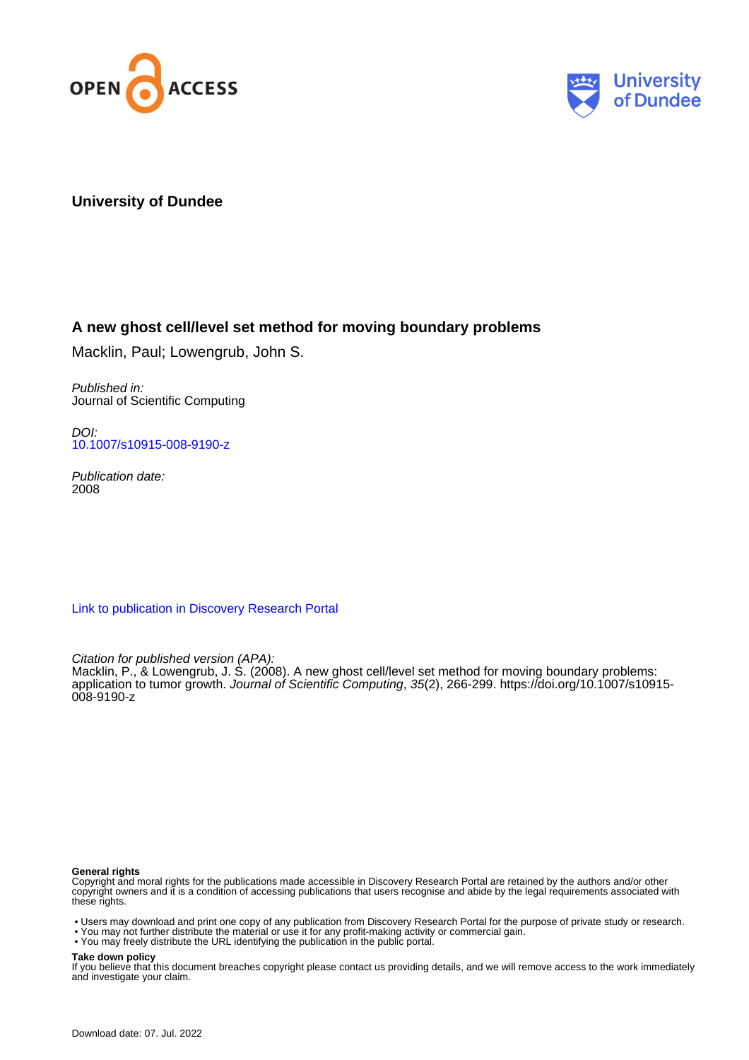



# **University of Dundee**

# **A new ghost cell/level set method for moving boundary problems**

Macklin, Paul; Lowengrub, John S.

Published in: Journal of Scientific Computing

DOI: [10.1007/s10915-008-9190-z](https://doi.org/10.1007/s10915-008-9190-z)

Publication date: 2008

[Link to publication in Discovery Research Portal](https://discovery.dundee.ac.uk/en/publications/37697a40-e7ca-4a5a-814a-81231b3f0bcf)

Citation for published version (APA):

Macklin, P., & Lowengrub, J. S. (2008). A new ghost cell/level set method for moving boundary problems: application to tumor growth. Journal of Scientific Computing, 35(2), 266-299. [https://doi.org/10.1007/s10915-](https://doi.org/10.1007/s10915-008-9190-z) [008-9190-z](https://doi.org/10.1007/s10915-008-9190-z)

#### **General rights**

Copyright and moral rights for the publications made accessible in Discovery Research Portal are retained by the authors and/or other copyright owners and it is a condition of accessing publications that users recognise and abide by the legal requirements associated with these rights.

- Users may download and print one copy of any publication from Discovery Research Portal for the purpose of private study or research.
- You may not further distribute the material or use it for any profit-making activity or commercial gain.
- You may freely distribute the URL identifying the publication in the public portal.

#### **Take down policy**

If you believe that this document breaches copyright please contact us providing details, and we will remove access to the work immediately and investigate your claim.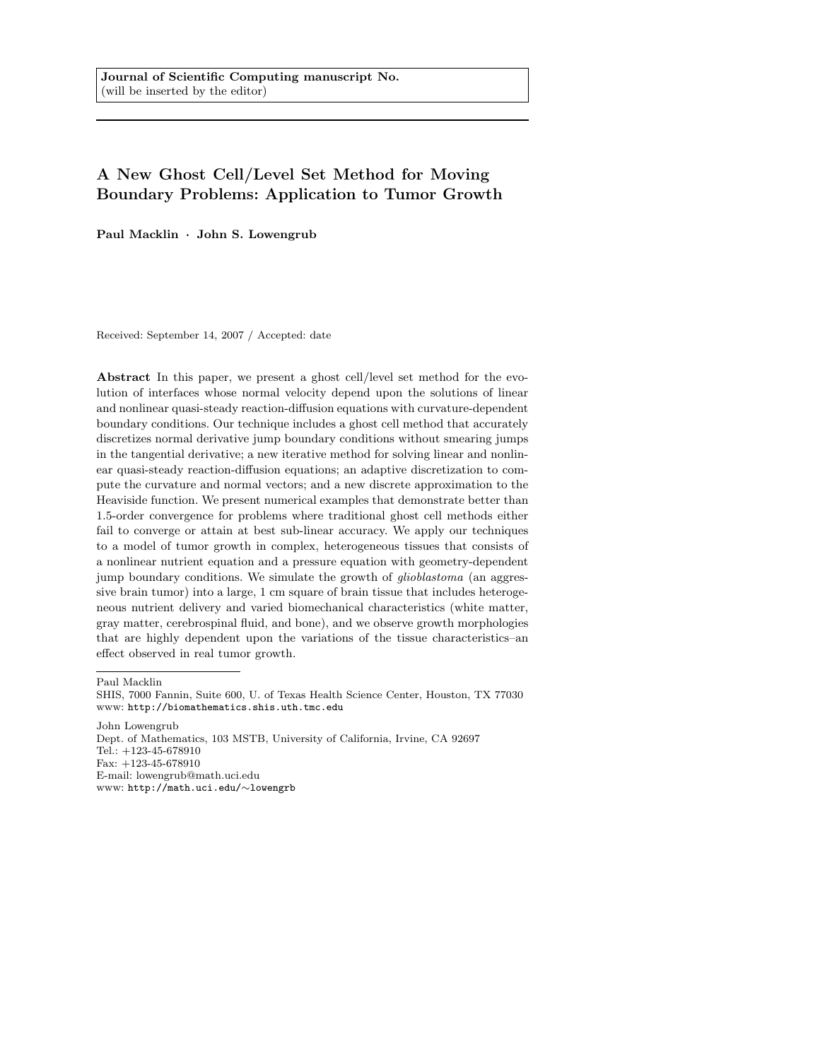# A New Ghost Cell/Level Set Method for Moving Boundary Problems: Application to Tumor Growth

Paul Macklin · John S. Lowengrub

Received: September 14, 2007 / Accepted: date

Abstract In this paper, we present a ghost cell/level set method for the evolution of interfaces whose normal velocity depend upon the solutions of linear and nonlinear quasi-steady reaction-diffusion equations with curvature-dependent boundary conditions. Our technique includes a ghost cell method that accurately discretizes normal derivative jump boundary conditions without smearing jumps in the tangential derivative; a new iterative method for solving linear and nonlinear quasi-steady reaction-diffusion equations; an adaptive discretization to compute the curvature and normal vectors; and a new discrete approximation to the Heaviside function. We present numerical examples that demonstrate better than 1.5-order convergence for problems where traditional ghost cell methods either fail to converge or attain at best sub-linear accuracy. We apply our techniques to a model of tumor growth in complex, heterogeneous tissues that consists of a nonlinear nutrient equation and a pressure equation with geometry-dependent jump boundary conditions. We simulate the growth of *glioblastoma* (an aggressive brain tumor) into a large, 1 cm square of brain tissue that includes heterogeneous nutrient delivery and varied biomechanical characteristics (white matter, gray matter, cerebrospinal fluid, and bone), and we observe growth morphologies that are highly dependent upon the variations of the tissue characteristics–an effect observed in real tumor growth.

Paul Macklin

John Lowengrub Dept. of Mathematics, 103 MSTB, University of California, Irvine, CA 92697 Tel.: +123-45-678910 Fax: +123-45-678910 E-mail: lowengrub@math.uci.edu www: http://math.uci.edu/∼lowengrb

SHIS, 7000 Fannin, Suite 600, U. of Texas Health Science Center, Houston, TX 77030 www: http://biomathematics.shis.uth.tmc.edu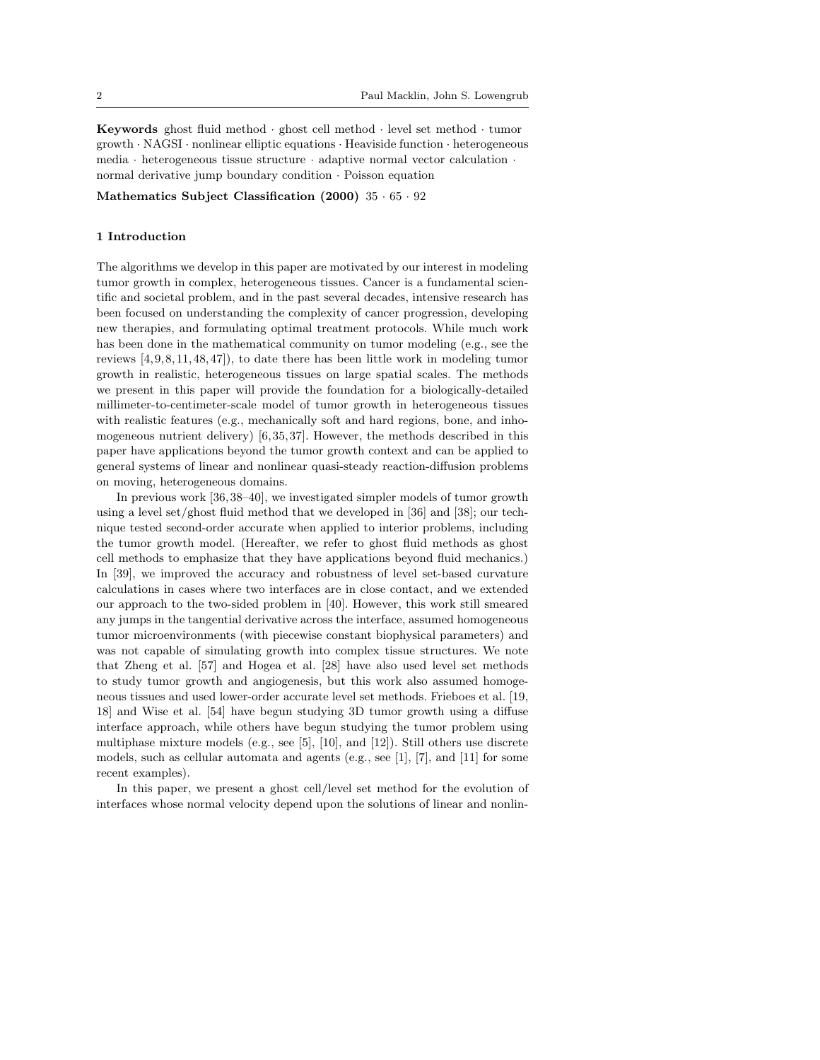Keywords ghost fluid method · ghost cell method · level set method · tumor growth · NAGSI · nonlinear elliptic equations · Heaviside function · heterogeneous media · heterogeneous tissue structure · adaptive normal vector calculation · normal derivative jump boundary condition · Poisson equation

Mathematics Subject Classification (2000) 35 · 65 · 92

#### 1 Introduction

The algorithms we develop in this paper are motivated by our interest in modeling tumor growth in complex, heterogeneous tissues. Cancer is a fundamental scientific and societal problem, and in the past several decades, intensive research has been focused on understanding the complexity of cancer progression, developing new therapies, and formulating optimal treatment protocols. While much work has been done in the mathematical community on tumor modeling (e.g., see the reviews [4, 9, 8, 11, 48,47]), to date there has been little work in modeling tumor growth in realistic, heterogeneous tissues on large spatial scales. The methods we present in this paper will provide the foundation for a biologically-detailed millimeter-to-centimeter-scale model of tumor growth in heterogeneous tissues with realistic features (e.g., mechanically soft and hard regions, bone, and inhomogeneous nutrient delivery) [6,35, 37]. However, the methods described in this paper have applications beyond the tumor growth context and can be applied to general systems of linear and nonlinear quasi-steady reaction-diffusion problems on moving, heterogeneous domains.

In previous work [36, 38–40], we investigated simpler models of tumor growth using a level set/ghost fluid method that we developed in [36] and [38]; our technique tested second-order accurate when applied to interior problems, including the tumor growth model. (Hereafter, we refer to ghost fluid methods as ghost cell methods to emphasize that they have applications beyond fluid mechanics.) In [39], we improved the accuracy and robustness of level set-based curvature calculations in cases where two interfaces are in close contact, and we extended our approach to the two-sided problem in [40]. However, this work still smeared any jumps in the tangential derivative across the interface, assumed homogeneous tumor microenvironments (with piecewise constant biophysical parameters) and was not capable of simulating growth into complex tissue structures. We note that Zheng et al. [57] and Hogea et al. [28] have also used level set methods to study tumor growth and angiogenesis, but this work also assumed homogeneous tissues and used lower-order accurate level set methods. Frieboes et al. [19, 18] and Wise et al. [54] have begun studying 3D tumor growth using a diffuse interface approach, while others have begun studying the tumor problem using multiphase mixture models (e.g., see [5], [10], and [12]). Still others use discrete models, such as cellular automata and agents (e.g., see [1], [7], and [11] for some recent examples).

In this paper, we present a ghost cell/level set method for the evolution of interfaces whose normal velocity depend upon the solutions of linear and nonlin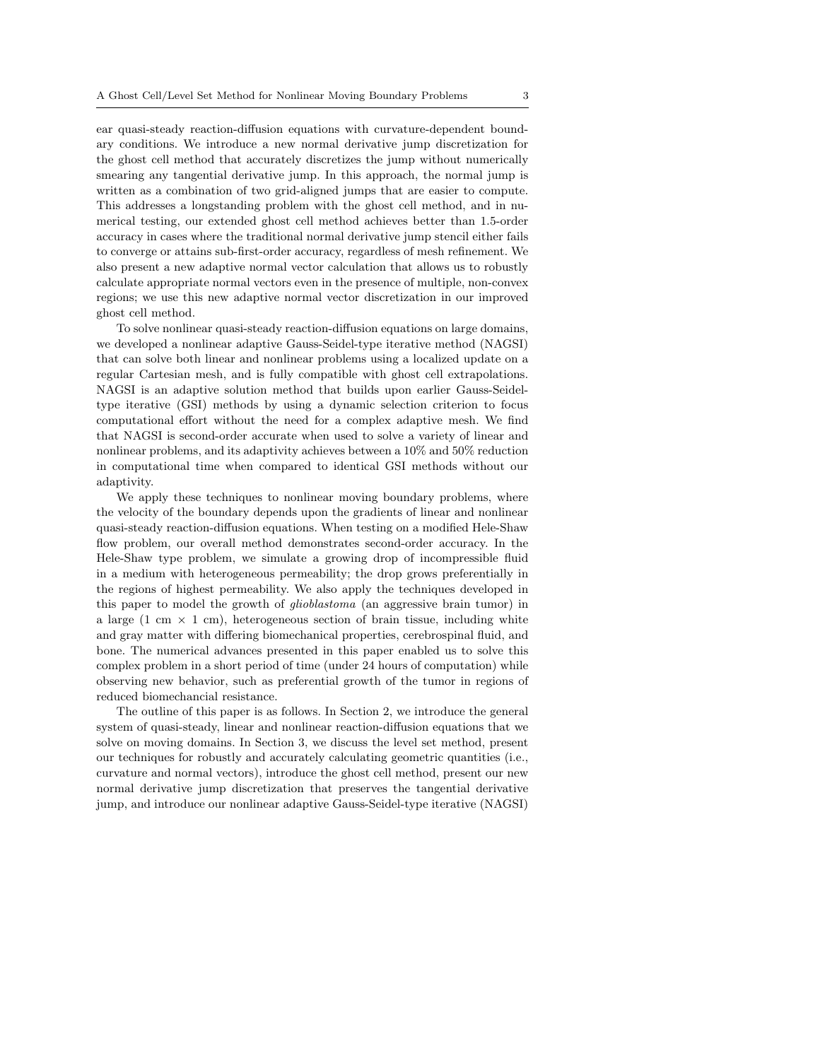ear quasi-steady reaction-diffusion equations with curvature-dependent boundary conditions. We introduce a new normal derivative jump discretization for the ghost cell method that accurately discretizes the jump without numerically smearing any tangential derivative jump. In this approach, the normal jump is written as a combination of two grid-aligned jumps that are easier to compute. This addresses a longstanding problem with the ghost cell method, and in numerical testing, our extended ghost cell method achieves better than 1.5-order accuracy in cases where the traditional normal derivative jump stencil either fails to converge or attains sub-first-order accuracy, regardless of mesh refinement. We also present a new adaptive normal vector calculation that allows us to robustly calculate appropriate normal vectors even in the presence of multiple, non-convex regions; we use this new adaptive normal vector discretization in our improved ghost cell method.

To solve nonlinear quasi-steady reaction-diffusion equations on large domains, we developed a nonlinear adaptive Gauss-Seidel-type iterative method (NAGSI) that can solve both linear and nonlinear problems using a localized update on a regular Cartesian mesh, and is fully compatible with ghost cell extrapolations. NAGSI is an adaptive solution method that builds upon earlier Gauss-Seideltype iterative (GSI) methods by using a dynamic selection criterion to focus computational effort without the need for a complex adaptive mesh. We find that NAGSI is second-order accurate when used to solve a variety of linear and nonlinear problems, and its adaptivity achieves between a 10% and 50% reduction in computational time when compared to identical GSI methods without our adaptivity.

We apply these techniques to nonlinear moving boundary problems, where the velocity of the boundary depends upon the gradients of linear and nonlinear quasi-steady reaction-diffusion equations. When testing on a modified Hele-Shaw flow problem, our overall method demonstrates second-order accuracy. In the Hele-Shaw type problem, we simulate a growing drop of incompressible fluid in a medium with heterogeneous permeability; the drop grows preferentially in the regions of highest permeability. We also apply the techniques developed in this paper to model the growth of glioblastoma (an aggressive brain tumor) in a large  $(1 \text{ cm } \times 1 \text{ cm})$ , heterogeneous section of brain tissue, including white and gray matter with differing biomechanical properties, cerebrospinal fluid, and bone. The numerical advances presented in this paper enabled us to solve this complex problem in a short period of time (under 24 hours of computation) while observing new behavior, such as preferential growth of the tumor in regions of reduced biomechancial resistance.

The outline of this paper is as follows. In Section 2, we introduce the general system of quasi-steady, linear and nonlinear reaction-diffusion equations that we solve on moving domains. In Section 3, we discuss the level set method, present our techniques for robustly and accurately calculating geometric quantities (i.e., curvature and normal vectors), introduce the ghost cell method, present our new normal derivative jump discretization that preserves the tangential derivative jump, and introduce our nonlinear adaptive Gauss-Seidel-type iterative (NAGSI)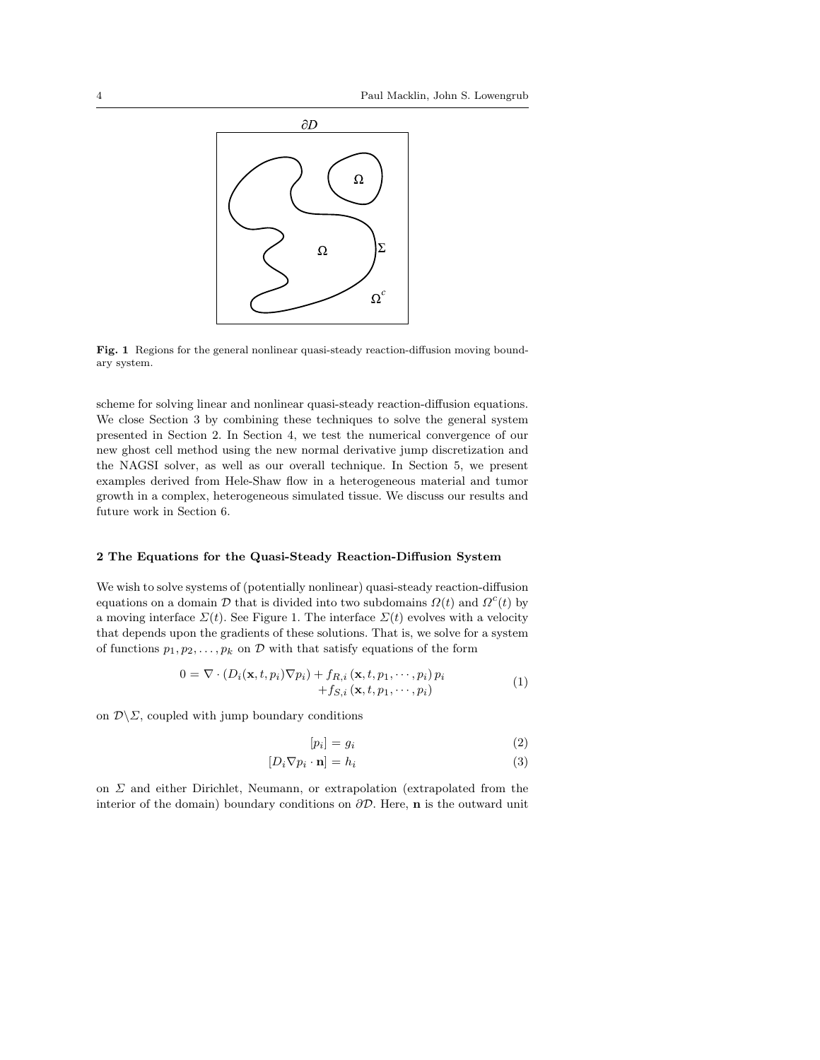

Fig. 1 Regions for the general nonlinear quasi-steady reaction-diffusion moving boundary system.

scheme for solving linear and nonlinear quasi-steady reaction-diffusion equations. We close Section 3 by combining these techniques to solve the general system presented in Section 2. In Section 4, we test the numerical convergence of our new ghost cell method using the new normal derivative jump discretization and the NAGSI solver, as well as our overall technique. In Section 5, we present examples derived from Hele-Shaw flow in a heterogeneous material and tumor growth in a complex, heterogeneous simulated tissue. We discuss our results and future work in Section 6.

#### 2 The Equations for the Quasi-Steady Reaction-Diffusion System

We wish to solve systems of (potentially nonlinear) quasi-steady reaction-diffusion equations on a domain  $\mathcal D$  that is divided into two subdomains  $\Omega(t)$  and  $\Omega^c(t)$  by a moving interface  $\Sigma(t)$ . See Figure 1. The interface  $\Sigma(t)$  evolves with a velocity that depends upon the gradients of these solutions. That is, we solve for a system of functions  $p_1, p_2, \ldots, p_k$  on D with that satisfy equations of the form

$$
0 = \nabla \cdot (D_i(\mathbf{x}, t, p_i) \nabla p_i) + f_{R,i}(\mathbf{x}, t, p_1, \cdots, p_i) p_i
$$
  
+
$$
f_{S,i}(\mathbf{x}, t, p_1, \cdots, p_i)
$$
 (1)

on  $\mathcal{D}\backslash\mathcal{Z}$ , coupled with jump boundary conditions

$$
[p_i] = g_i \tag{2}
$$

$$
[D_i \nabla p_i \cdot \mathbf{n}] = h_i \tag{3}
$$

on  $\Sigma$  and either Dirichlet, Neumann, or extrapolation (extrapolated from the interior of the domain) boundary conditions on  $\partial \mathcal{D}$ . Here, **n** is the outward unit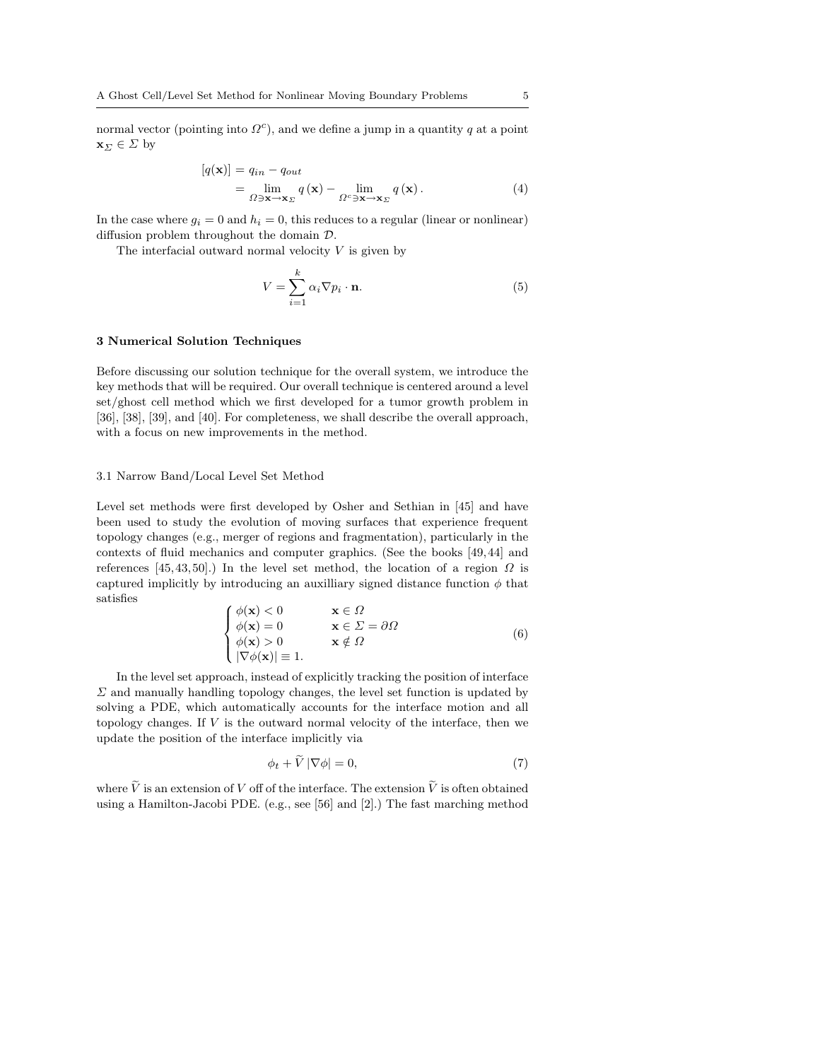normal vector (pointing into  $\Omega^c$ ), and we define a jump in a quantity q at a point  $\mathbf{x}_{\Sigma} \in \Sigma$  by

$$
\begin{aligned} \left[q(\mathbf{x})\right] &= q_{in} - q_{out} \\ &= \lim_{\Omega \ni \mathbf{x} \to \mathbf{x}_{\Sigma}} q\left(\mathbf{x}\right) - \lim_{\Omega^c \ni \mathbf{x} \to \mathbf{x}_{\Sigma}} q\left(\mathbf{x}\right). \end{aligned} \tag{4}
$$

In the case where  $g_i = 0$  and  $h_i = 0$ , this reduces to a regular (linear or nonlinear) diffusion problem throughout the domain D.

The interfacial outward normal velocity  $V$  is given by

$$
V = \sum_{i=1}^{k} \alpha_i \nabla p_i \cdot \mathbf{n}.
$$
 (5)

#### 3 Numerical Solution Techniques

Before discussing our solution technique for the overall system, we introduce the key methods that will be required. Our overall technique is centered around a level set/ghost cell method which we first developed for a tumor growth problem in [36], [38], [39], and [40]. For completeness, we shall describe the overall approach, with a focus on new improvements in the method.

#### 3.1 Narrow Band/Local Level Set Method

Level set methods were first developed by Osher and Sethian in [45] and have been used to study the evolution of moving surfaces that experience frequent topology changes (e.g., merger of regions and fragmentation), particularly in the contexts of fluid mechanics and computer graphics. (See the books [49, 44] and references [45, 43, 50].) In the level set method, the location of a region  $\Omega$  is captured implicitly by introducing an auxilliary signed distance function  $\phi$  that satisfies  $\overline{a}$ 

$$
\begin{cases}\n\phi(\mathbf{x}) < 0 & \mathbf{x} \in \Omega \\
\phi(\mathbf{x}) = 0 & \mathbf{x} \in \Sigma = \partial\Omega \\
\phi(\mathbf{x}) > 0 & \mathbf{x} \notin \Omega \\
|\nabla\phi(\mathbf{x})| \equiv 1.\n\end{cases} \tag{6}
$$

In the level set approach, instead of explicitly tracking the position of interface  $\Sigma$  and manually handling topology changes, the level set function is updated by solving a PDE, which automatically accounts for the interface motion and all topology changes. If  $V$  is the outward normal velocity of the interface, then we update the position of the interface implicitly via

$$
\phi_t + \widetilde{V} |\nabla \phi| = 0,\tag{7}
$$

where  $\tilde{V}$  is an extension of V off of the interface. The extension  $\tilde{V}$  is often obtained using a Hamilton-Jacobi PDE. (e.g., see [56] and [2].) The fast marching method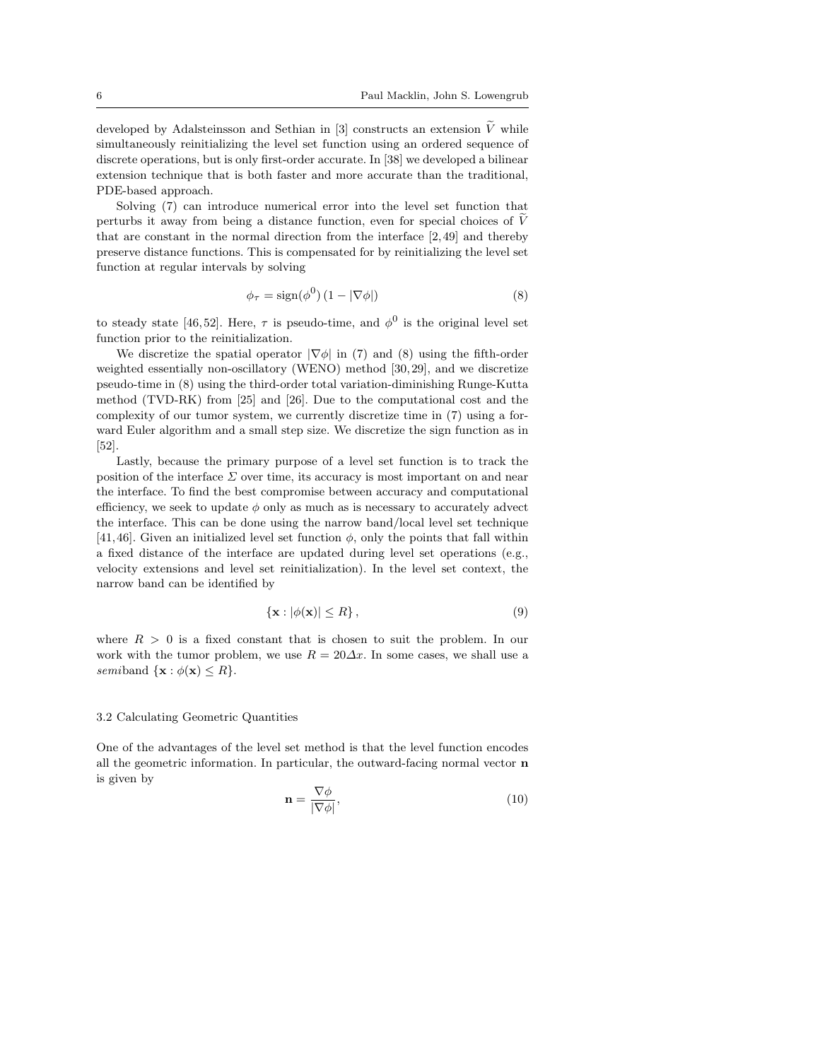developed by Adalsteinsson and Sethian in [3] constructs an extension  $\tilde{V}$  while simultaneously reinitializing the level set function using an ordered sequence of discrete operations, but is only first-order accurate. In [38] we developed a bilinear extension technique that is both faster and more accurate than the traditional, PDE-based approach.

Solving (7) can introduce numerical error into the level set function that perturbs it away from being a distance function, even for special choices of  $\tilde{V}$ that are constant in the normal direction from the interface [2, 49] and thereby preserve distance functions. This is compensated for by reinitializing the level set function at regular intervals by solving

$$
\phi_{\tau} = \text{sign}(\phi^0) \left( 1 - |\nabla \phi| \right) \tag{8}
$$

to steady state [46,52]. Here,  $\tau$  is pseudo-time, and  $\phi^0$  is the original level set function prior to the reinitialization.

We discretize the spatial operator  $|\nabla \phi|$  in (7) and (8) using the fifth-order weighted essentially non-oscillatory (WENO) method [30, 29], and we discretize pseudo-time in (8) using the third-order total variation-diminishing Runge-Kutta method (TVD-RK) from [25] and [26]. Due to the computational cost and the complexity of our tumor system, we currently discretize time in (7) using a forward Euler algorithm and a small step size. We discretize the sign function as in [52].

Lastly, because the primary purpose of a level set function is to track the position of the interface  $\Sigma$  over time, its accuracy is most important on and near the interface. To find the best compromise between accuracy and computational efficiency, we seek to update  $\phi$  only as much as is necessary to accurately advect the interface. This can be done using the narrow band/local level set technique [41,46]. Given an initialized level set function  $\phi$ , only the points that fall within a fixed distance of the interface are updated during level set operations (e.g., velocity extensions and level set reinitialization). In the level set context, the narrow band can be identified by

$$
\{\mathbf x : |\phi(\mathbf x)| \le R\},\tag{9}
$$

where  $R > 0$  is a fixed constant that is chosen to suit the problem. In our work with the tumor problem, we use  $R = 20\Delta x$ . In some cases, we shall use a semiband  $\{x : \phi(x) \leq R\}.$ 

### 3.2 Calculating Geometric Quantities

One of the advantages of the level set method is that the level function encodes all the geometric information. In particular, the outward-facing normal vector  $\bf{n}$ is given by

$$
\mathbf{n} = \frac{\nabla \phi}{|\nabla \phi|},\tag{10}
$$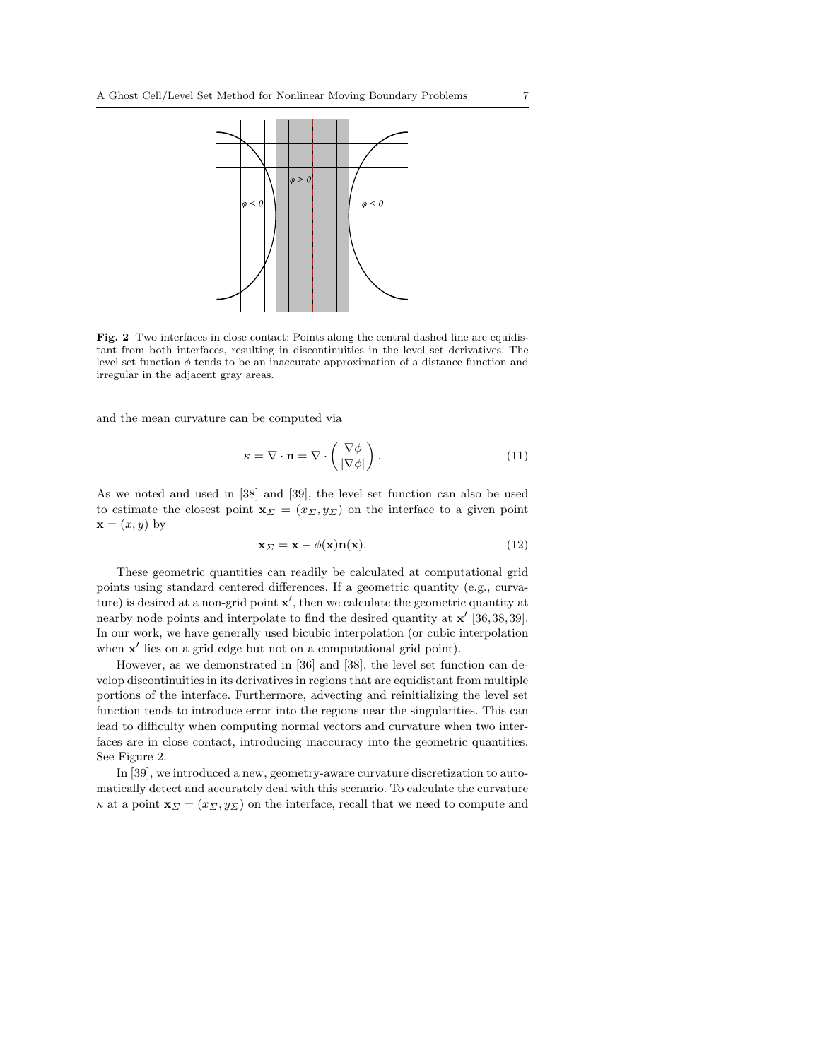

Fig. 2 Two interfaces in close contact: Points along the central dashed line are equidistant from both interfaces, resulting in discontinuities in the level set derivatives. The level set function  $\phi$  tends to be an inaccurate approximation of a distance function and irregular in the adjacent gray areas.

and the mean curvature can be computed via

$$
\kappa = \nabla \cdot \mathbf{n} = \nabla \cdot \left(\frac{\nabla \phi}{|\nabla \phi|}\right). \tag{11}
$$

As we noted and used in [38] and [39], the level set function can also be used to estimate the closest point  $\mathbf{x}_{\Sigma} = (x_{\Sigma}, y_{\Sigma})$  on the interface to a given point  $\mathbf{x} = (x, y)$  by

$$
\mathbf{x}_{\Sigma} = \mathbf{x} - \phi(\mathbf{x})\mathbf{n}(\mathbf{x}).\tag{12}
$$

These geometric quantities can readily be calculated at computational grid points using standard centered differences. If a geometric quantity (e.g., curvature) is desired at a non-grid point  $x'$ , then we calculate the geometric quantity at nearby node points and interpolate to find the desired quantity at  $x'$  [36, 38, 39]. In our work, we have generally used bicubic interpolation (or cubic interpolation when  $x'$  lies on a grid edge but not on a computational grid point).

However, as we demonstrated in [36] and [38], the level set function can develop discontinuities in its derivatives in regions that are equidistant from multiple portions of the interface. Furthermore, advecting and reinitializing the level set function tends to introduce error into the regions near the singularities. This can lead to difficulty when computing normal vectors and curvature when two interfaces are in close contact, introducing inaccuracy into the geometric quantities. See Figure 2.

In [39], we introduced a new, geometry-aware curvature discretization to automatically detect and accurately deal with this scenario. To calculate the curvature  $\kappa$  at a point  $\mathbf{x}_{\Sigma} = (x_{\Sigma}, y_{\Sigma})$  on the interface, recall that we need to compute and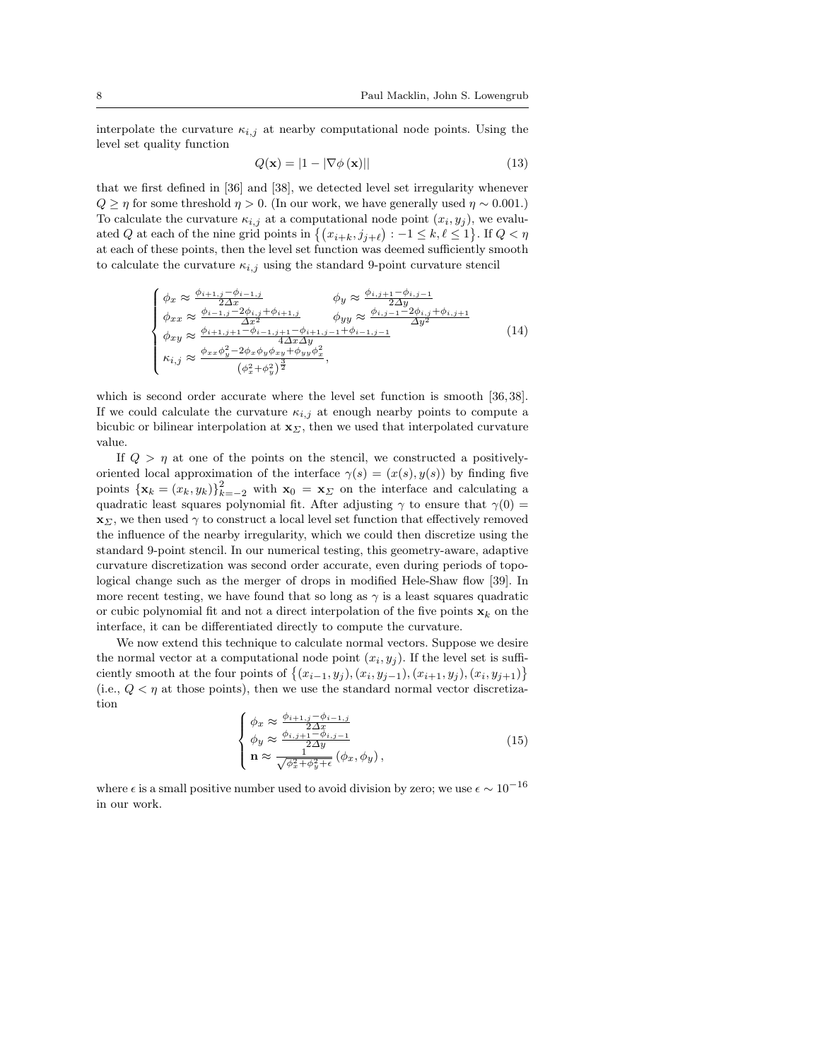interpolate the curvature  $\kappa_{i,j}$  at nearby computational node points. Using the level set quality function

$$
Q(\mathbf{x}) = |1 - |\nabla \phi(\mathbf{x})|| \tag{13}
$$

that we first defined in [36] and [38], we detected level set irregularity whenever  $Q \geq \eta$  for some threshold  $\eta > 0$ . (In our work, we have generally used  $\eta \sim 0.001$ .) To calculate the curvature  $\kappa_{i,j}$  at a computational node point  $(x_i, y_j)$ , we evalu-To calculate the curvature  $\kappa_{i,j}$  at a computational hode point  $(x_i, y_j)$ , we evaluated Q at each of the nine grid points in  $\{(x_{i+k}, j_{j+\ell}) : -1 \leq k, \ell \leq 1\}$ . If  $Q < \eta$ at each of these points, then the level set function was deemed sufficiently smooth to calculate the curvature  $\kappa_{i,j}$  using the standard 9-point curvature stencil

$$
\begin{cases}\n\phi_x \approx \frac{\phi_{i+1,j} - \phi_{i-1,j}}{2\Delta x} & \phi_y \approx \frac{\phi_{i,j+1} - \phi_{i,j-1}}{2\Delta y} \\
\phi_{xx} \approx \frac{\phi_{i-1,j} - 2\phi_{i,j} + \phi_{i+1,j}}{\Delta x^2} & \phi_{yy} \approx \frac{\phi_{i,j-1} - 2\phi_{i,j} + \phi_{i,j+1}}{\Delta y^2} \\
\phi_{xy} \approx \frac{\phi_{i+1,j+1} - \phi_{i-1,j+1} - \phi_{i+1,j-1} + \phi_{i-1,j-1}}{4\Delta x \Delta y} & (14) \\
\kappa_{i,j} \approx \frac{\phi_{xx}\phi_y^2 - 2\phi_x\phi_y\phi_{xy} + \phi_{yy}\phi_x^2}{(\phi_x^2 + \phi_y^2)^{\frac{3}{2}}},\n\end{cases}
$$

which is second order accurate where the level set function is smooth [36,38]. If we could calculate the curvature  $\kappa_{i,j}$  at enough nearby points to compute a bicubic or bilinear interpolation at  $\mathbf{x}_{\Sigma}$ , then we used that interpolated curvature value.

If  $Q > \eta$  at one of the points on the stencil, we constructed a positivelyoriented local approximation of the interface  $\gamma(s) = (x(s), y(s))$  by finding five points  $\{\mathbf x_k = (x_k, y_k)\}_{k=-2}^2$  with  $\mathbf x_0 = \mathbf x_{\Sigma}$  on the interface and calculating a quadratic least squares polynomial fit. After adjusting  $\gamma$  to ensure that  $\gamma(0)$  =  $\mathbf{x}_{\Sigma}$ , we then used  $\gamma$  to construct a local level set function that effectively removed the influence of the nearby irregularity, which we could then discretize using the standard 9-point stencil. In our numerical testing, this geometry-aware, adaptive curvature discretization was second order accurate, even during periods of topological change such as the merger of drops in modified Hele-Shaw flow [39]. In more recent testing, we have found that so long as  $\gamma$  is a least squares quadratic or cubic polynomial fit and not a direct interpolation of the five points  $x_k$  on the interface, it can be differentiated directly to compute the curvature.

We now extend this technique to calculate normal vectors. Suppose we desire the normal vector at a computational node point  $(x_i, y_j)$ . If the level set is suffithe normal vector at a computational node point  $(x_i, y_j)$ . If the level set is sufficiently smooth at the four points of  $\{(x_{i-1}, y_j), (x_i, y_{j-1}), (x_{i+1}, y_j), (x_i, y_{j+1})\}$ (i.e.,  $Q < \eta$  at those points), then we use the standard normal vector discretization  $\overline{a}$ 

$$
\begin{cases}\n\phi_x \approx \frac{\phi_{i+1,j} - \phi_{i-1,j}}{2\Delta x} \\
\phi_y \approx \frac{\phi_{i,j+1} - \phi_{i,j-1}}{2\Delta y} \\
\mathbf{n} \approx \frac{1}{\sqrt{\phi_x^2 + \phi_y^2 + \epsilon}} (\phi_x, \phi_y),\n\end{cases} \tag{15}
$$

where  $\epsilon$  is a small positive number used to avoid division by zero; we use  $\epsilon \sim 10^{-16}$ in our work.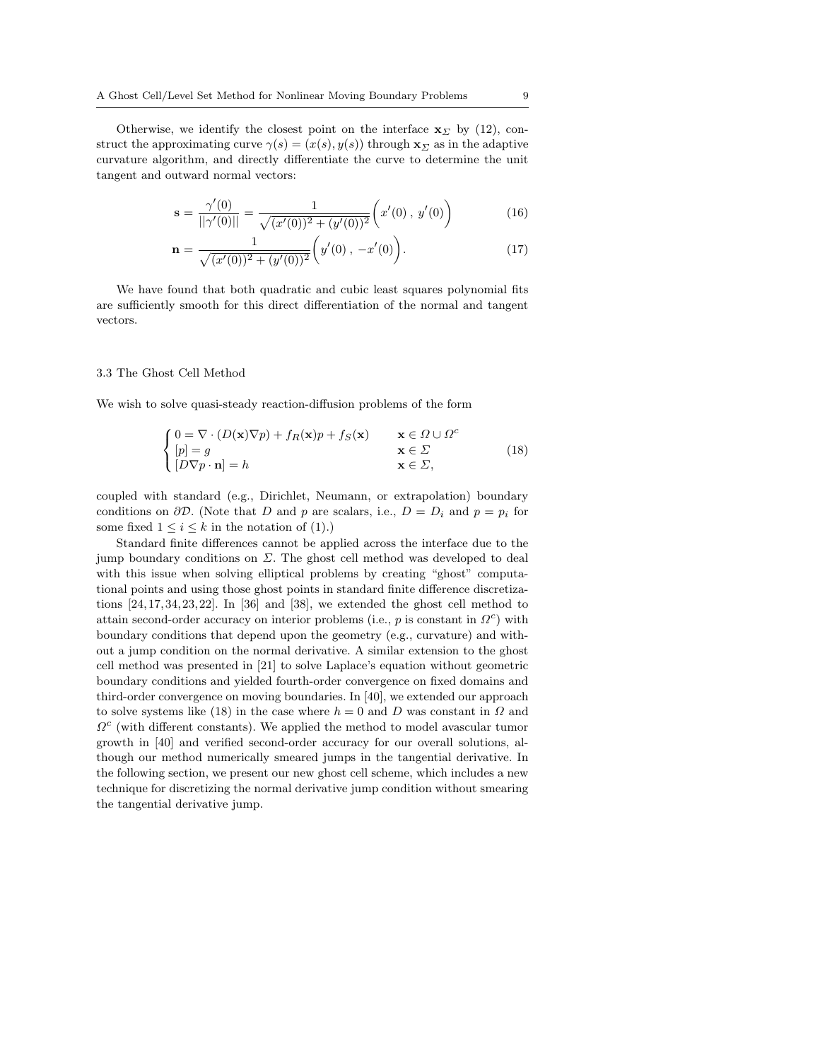Otherwise, we identify the closest point on the interface  $\mathbf{x}_{\Sigma}$  by (12), construct the approximating curve  $\gamma(s) = (x(s), y(s))$  through  $\mathbf{x}_{\Sigma}$  as in the adaptive curvature algorithm, and directly differentiate the curve to determine the unit tangent and outward normal vectors:

$$
\mathbf{s} = \frac{\gamma'(0)}{||\gamma'(0)||} = \frac{1}{\sqrt{(x'(0))^2 + (y'(0))^2}} \left(x'(0), y'(0)\right) \tag{16}
$$

$$
\mathbf{n} = \frac{1}{\sqrt{(x'(0))^2 + (y'(0))^2}} \left( y'(0), -x'(0) \right).
$$
 (17)

We have found that both quadratic and cubic least squares polynomial fits are sufficiently smooth for this direct differentiation of the normal and tangent vectors.

#### 3.3 The Ghost Cell Method

We wish to solve quasi-steady reaction-diffusion problems of the form

$$
\begin{cases}\n0 = \nabla \cdot (D(\mathbf{x}) \nabla p) + f_R(\mathbf{x}) p + f_S(\mathbf{x}) & \mathbf{x} \in \Omega \cup \Omega^c \\
[p] = g & \mathbf{x} \in \Sigma \\
[D \nabla p \cdot \mathbf{n}] = h & \mathbf{x} \in \Sigma,\n\end{cases}
$$
\n(18)

coupled with standard (e.g., Dirichlet, Neumann, or extrapolation) boundary conditions on  $\partial \mathcal{D}$ . (Note that D and p are scalars, i.e.,  $D = D_i$  and  $p = p_i$  for some fixed  $1 \leq i \leq k$  in the notation of (1).)

Standard finite differences cannot be applied across the interface due to the jump boundary conditions on  $\Sigma$ . The ghost cell method was developed to deal with this issue when solving elliptical problems by creating "ghost" computational points and using those ghost points in standard finite difference discretizations  $[24, 17, 34, 23, 22]$ . In  $[36]$  and  $[38]$ , we extended the ghost cell method to attain second-order accuracy on interior problems (i.e.,  $p$  is constant in  $\Omega^c$ ) with boundary conditions that depend upon the geometry (e.g., curvature) and without a jump condition on the normal derivative. A similar extension to the ghost cell method was presented in [21] to solve Laplace's equation without geometric boundary conditions and yielded fourth-order convergence on fixed domains and third-order convergence on moving boundaries. In [40], we extended our approach to solve systems like (18) in the case where  $h = 0$  and D was constant in  $\Omega$  and  $\Omega^c$  (with different constants). We applied the method to model avascular tumor growth in [40] and verified second-order accuracy for our overall solutions, although our method numerically smeared jumps in the tangential derivative. In the following section, we present our new ghost cell scheme, which includes a new technique for discretizing the normal derivative jump condition without smearing the tangential derivative jump.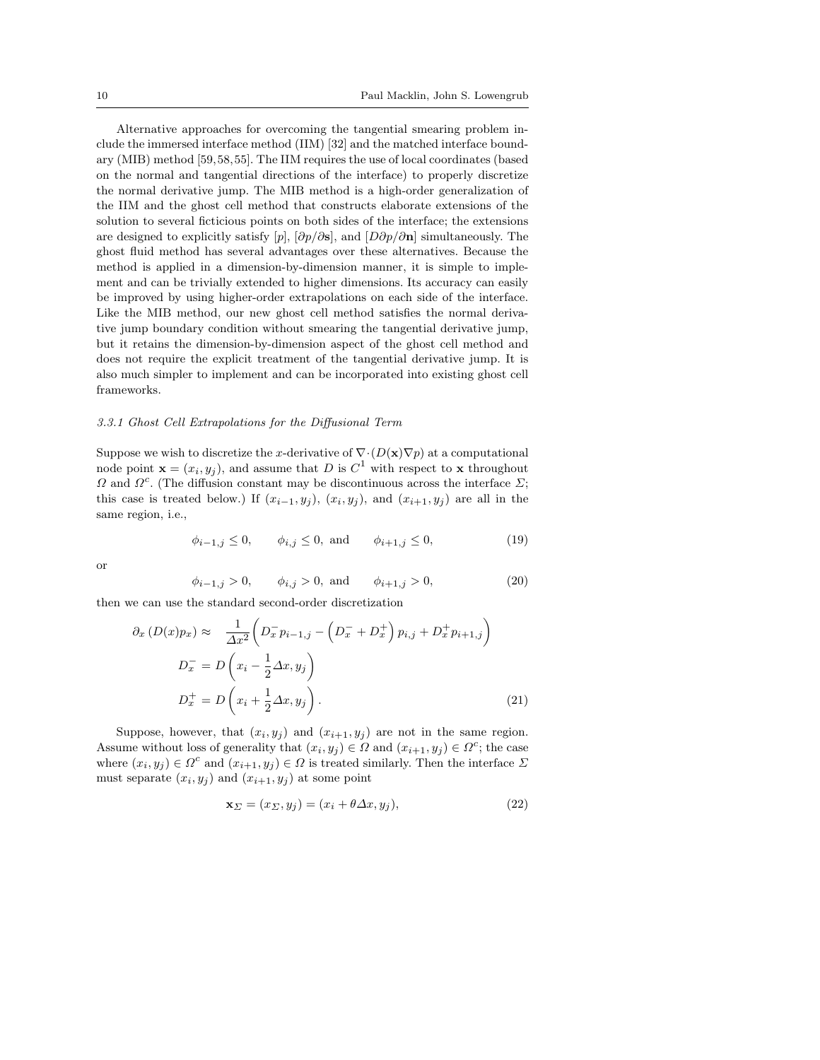Alternative approaches for overcoming the tangential smearing problem include the immersed interface method (IIM) [32] and the matched interface boundary (MIB) method [59, 58,55]. The IIM requires the use of local coordinates (based on the normal and tangential directions of the interface) to properly discretize the normal derivative jump. The MIB method is a high-order generalization of the IIM and the ghost cell method that constructs elaborate extensions of the solution to several ficticious points on both sides of the interface; the extensions are designed to explicitly satisfy  $[p]$ ,  $[\partial p/\partial s]$ , and  $[D\partial p/\partial n]$  simultaneously. The ghost fluid method has several advantages over these alternatives. Because the method is applied in a dimension-by-dimension manner, it is simple to implement and can be trivially extended to higher dimensions. Its accuracy can easily be improved by using higher-order extrapolations on each side of the interface. Like the MIB method, our new ghost cell method satisfies the normal derivative jump boundary condition without smearing the tangential derivative jump, but it retains the dimension-by-dimension aspect of the ghost cell method and does not require the explicit treatment of the tangential derivative jump. It is also much simpler to implement and can be incorporated into existing ghost cell frameworks.

### 3.3.1 Ghost Cell Extrapolations for the Diffusional Term

Suppose we wish to discretize the x-derivative of  $\nabla \cdot (D(\mathbf{x}) \nabla p)$  at a computational node point  $\mathbf{x} = (x_i, y_j)$ , and assume that D is  $C^1$  with respect to x throughout  $\Omega$  and  $\Omega^c$ . (The diffusion constant may be discontinuous across the interface  $\Sigma$ ; this case is treated below.) If  $(x_{i-1}, y_j)$ ,  $(x_i, y_j)$ , and  $(x_{i+1}, y_j)$  are all in the same region, i.e.,

$$
\phi_{i-1,j} \le 0,
$$
,  $\phi_{i,j} \le 0$ , and  $\phi_{i+1,j} \le 0$ , (19)

or

$$
\phi_{i-1,j} > 0,
$$
\n $\phi_{i,j} > 0,$  and  $\phi_{i+1,j} > 0,$ \n(20)

then we can use the standard second-order discretization

$$
\partial_x \left( D(x) p_x \right) \approx \frac{1}{\Delta x^2} \left( D_x^- p_{i-1,j} - \left( D_x^- + D_x^+ \right) p_{i,j} + D_x^+ p_{i+1,j} \right)
$$
  

$$
D_x^- = D \left( x_i - \frac{1}{2} \Delta x, y_j \right)
$$
  

$$
D_x^+ = D \left( x_i + \frac{1}{2} \Delta x, y_j \right).
$$
 (21)

Suppose, however, that  $(x_i, y_j)$  and  $(x_{i+1}, y_j)$  are not in the same region. Assume without loss of generality that  $(x_i, y_j) \in \Omega$  and  $(x_{i+1}, y_j) \in \Omega^c$ ; the case where  $(x_i, y_j) \in \Omega^c$  and  $(x_{i+1}, y_j) \in \Omega$  is treated similarly. Then the interface  $\Sigma$ must separate  $(x_i, y_j)$  and  $(x_{i+1}, y_j)$  at some point

$$
\mathbf{x}_{\Sigma} = (x_{\Sigma}, y_j) = (x_i + \theta \Delta x, y_j),\tag{22}
$$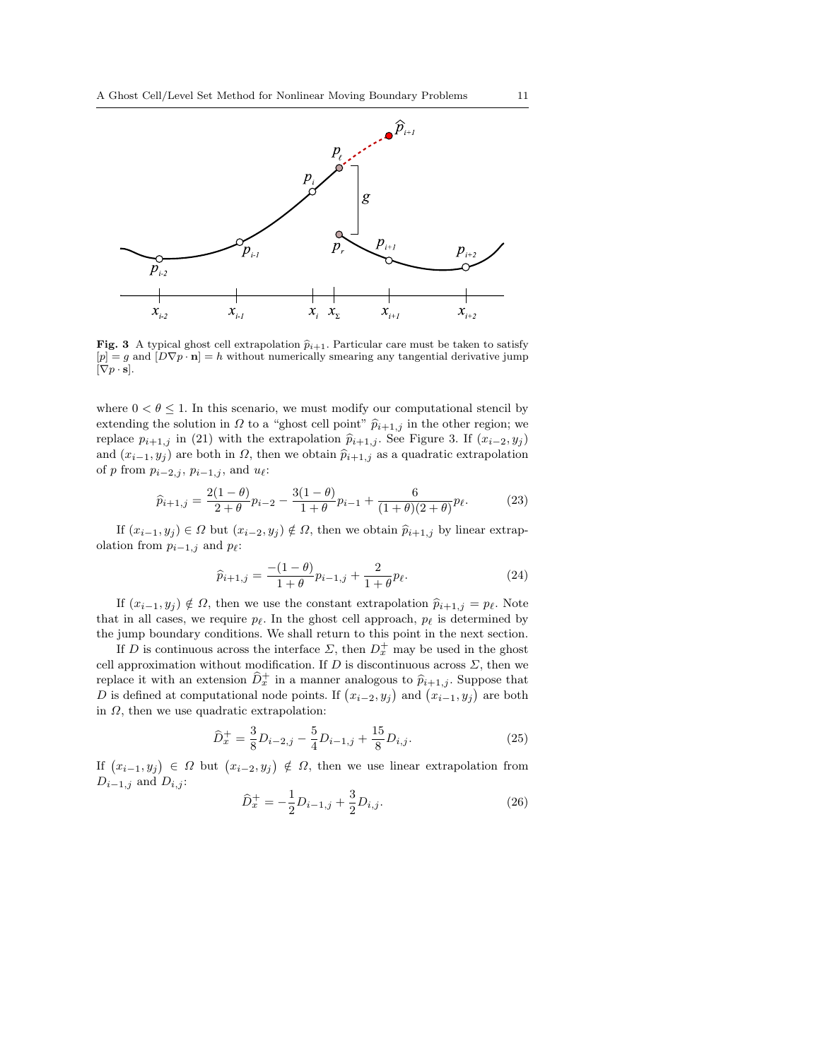

Fig. 3 A typical ghost cell extrapolation  $\hat{p}_{i+1}$ . Particular care must be taken to satisfy  $[p] = g$  and  $[D\nabla p \cdot \mathbf{n}] = h$  without numerically smearing any tangential derivative jump  $[\nabla p \cdot \mathbf{s}].$ 

where  $0 < \theta \leq 1$ . In this scenario, we must modify our computational stencil by extending the solution in  $\Omega$  to a "ghost cell point"  $\hat{p}_{i+1,j}$  in the other region; we replace  $p_{i+1,j}$  in (21) with the extrapolation  $\hat{p}_{i+1,j}$ . See Figure 3. If  $(x_{i-2}, y_j)$ and  $(x_{i-1}, y_j)$  are both in  $\Omega$ , then we obtain  $\widehat{p}_{i+1,j}$  as a quadratic extrapolation of p from  $p_{i-2,j}$ ,  $p_{i-1,j}$ , and  $u_{\ell}$ :

$$
\widehat{p}_{i+1,j} = \frac{2(1-\theta)}{2+\theta} p_{i-2} - \frac{3(1-\theta)}{1+\theta} p_{i-1} + \frac{6}{(1+\theta)(2+\theta)} p_{\ell}.
$$
 (23)

If  $(x_{i-1}, y_i) \in \Omega$  but  $(x_{i-2}, y_i) \notin \Omega$ , then we obtain  $\hat{p}_{i+1,j}$  by linear extrapolation from  $p_{i-1,j}$  and  $p_{\ell}$ :

$$
\hat{p}_{i+1,j} = \frac{-(1-\theta)}{1+\theta} p_{i-1,j} + \frac{2}{1+\theta} p_{\ell}.
$$
\n(24)

If  $(x_{i-1}, y_j) \notin \Omega$ , then we use the constant extrapolation  $\hat{p}_{i+1,j} = p_{\ell}$ . Note that in all cases, we require  $p_\ell$ . In the ghost cell approach,  $p_\ell$  is determined by the jump boundary conditions. We shall return to this point in the next section.

If D is continuous across the interface  $\Sigma$ , then  $D_x^+$  may be used in the ghost cell approximation without modification. If  $D$  is discontinuous across  $\Sigma$ , then we replace it with an extension  $\widehat{D}_x^+$  in a manner analogous to  $\widehat{p}_{i+1,j}$ . Suppose that replace it with an extension  $D_x$  in a manner analogous to  $p_{i+1,j}$ . Suppose that  $D$  is defined at computational node points. If  $(x_{i-2}, y_j)$  and  $(x_{i-1}, y_j)$  are both in  $\Omega$ , then we use quadratic extrapolation:

$$
\hat{D}_x^+ = \frac{3}{8} D_{i-2,j} - \frac{5}{4} D_{i-1,j} + \frac{15}{8} D_{i,j}.
$$
\n(25)

If  $(x_{i-1}, y_i) \in \Omega$  but  $(x_{i-2}, y_j) \notin \Omega$ , then we use linear extrapolation from  $D_{i-1,j}$  and  $D_{i,j}$ :

$$
\widehat{D}_x^+ = -\frac{1}{2}D_{i-1,j} + \frac{3}{2}D_{i,j}.\tag{26}
$$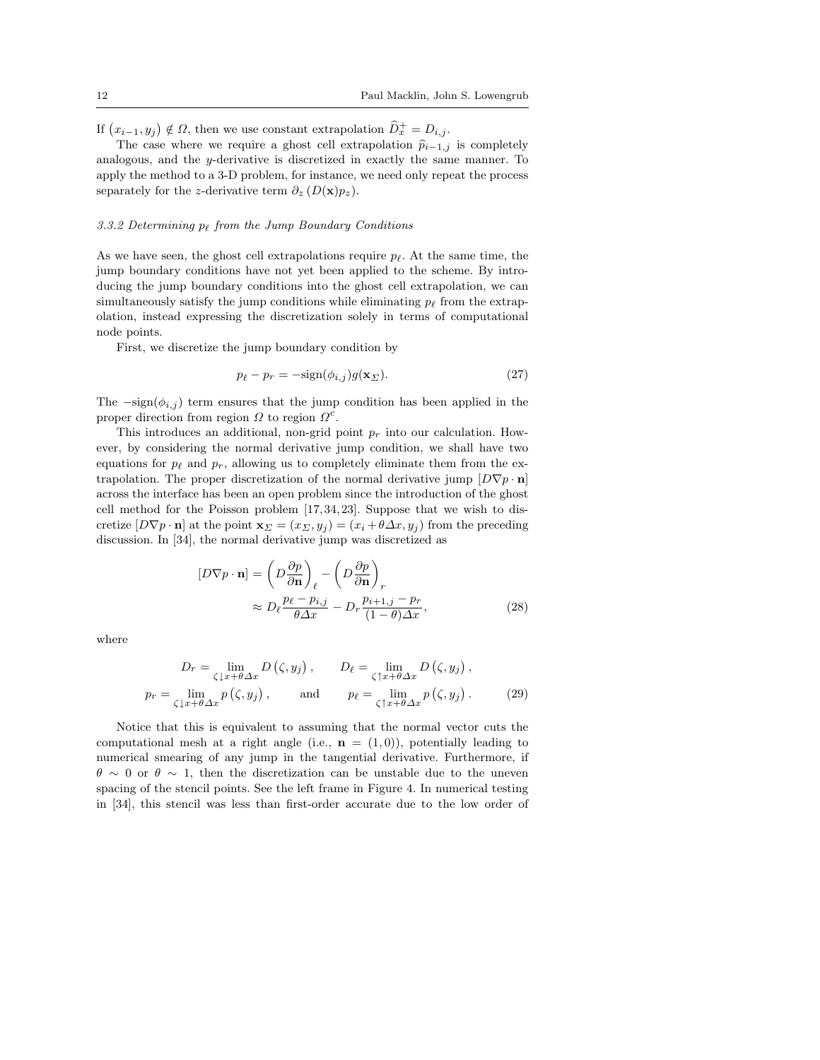If  $(x_{i-1}, y_j) \notin \Omega$ , then we use constant extrapolation  $\widehat{D}_x^+ = D_{i,j}$ .

The case where we require a ghost cell extrapolation  $\hat{p}_{i-1,j}$  is completely analogous, and the y-derivative is discretized in exactly the same manner. To apply the method to a 3-D problem, for instance, we need only repeat the process separately for the z-derivative term  $\partial_z(D(\mathbf{x})p_z)$ .

# 3.3.2 Determining  $p_{\ell}$  from the Jump Boundary Conditions

As we have seen, the ghost cell extrapolations require  $p_{\ell}$ . At the same time, the jump boundary conditions have not yet been applied to the scheme. By introducing the jump boundary conditions into the ghost cell extrapolation, we can simultaneously satisfy the jump conditions while eliminating  $p_\ell$  from the extrapolation, instead expressing the discretization solely in terms of computational node points.

First, we discretize the jump boundary condition by

$$
p_{\ell} - p_r = -\text{sign}(\phi_{i,j})g(\mathbf{x}_{\Sigma}).\tag{27}
$$

The  $-\text{sign}(\phi_{i,j})$  term ensures that the jump condition has been applied in the proper direction from region  $\Omega$  to region  $\Omega^c$ .

This introduces an additional, non-grid point  $p_r$  into our calculation. However, by considering the normal derivative jump condition, we shall have two equations for  $p_\ell$  and  $p_r$ , allowing us to completely eliminate them from the extrapolation. The proper discretization of the normal derivative jump  $[D\nabla p \cdot \mathbf{n}]$ across the interface has been an open problem since the introduction of the ghost cell method for the Poisson problem [17,34, 23]. Suppose that we wish to discretize  $[D\nabla p \cdot \mathbf{n}]$  at the point  $\mathbf{x}_{\Sigma} = (x_{\Sigma}, y_i) = (x_i + \theta \Delta x, y_i)$  from the preceding discussion. In [34], the normal derivative jump was discretized as

$$
[D\nabla p \cdot \mathbf{n}] = \left(D\frac{\partial p}{\partial \mathbf{n}}\right)_{\ell} - \left(D\frac{\partial p}{\partial \mathbf{n}}\right)_{r}
$$

$$
\approx D_{\ell}\frac{p_{\ell} - p_{i,j}}{\theta \Delta x} - D_{r}\frac{p_{i+1,j} - p_{r}}{(1-\theta)\Delta x},
$$
(28)

where

$$
D_r = \lim_{\zeta \downarrow x + \theta \Delta x} D(\zeta, y_j), \qquad D_\ell = \lim_{\zeta \uparrow x + \theta \Delta x} D(\zeta, y_j),
$$
  
\n
$$
p_r = \lim_{\zeta \downarrow x + \theta \Delta x} p(\zeta, y_j), \qquad \text{and} \qquad p_\ell = \lim_{\zeta \uparrow x + \theta \Delta x} p(\zeta, y_j). \tag{29}
$$

Notice that this is equivalent to assuming that the normal vector cuts the computational mesh at a right angle (i.e.,  $\mathbf{n} = (1,0)$ ), potentially leading to numerical smearing of any jump in the tangential derivative. Furthermore, if  $\theta \sim 0$  or  $\theta \sim 1$ , then the discretization can be unstable due to the uneven spacing of the stencil points. See the left frame in Figure 4. In numerical testing in [34], this stencil was less than first-order accurate due to the low order of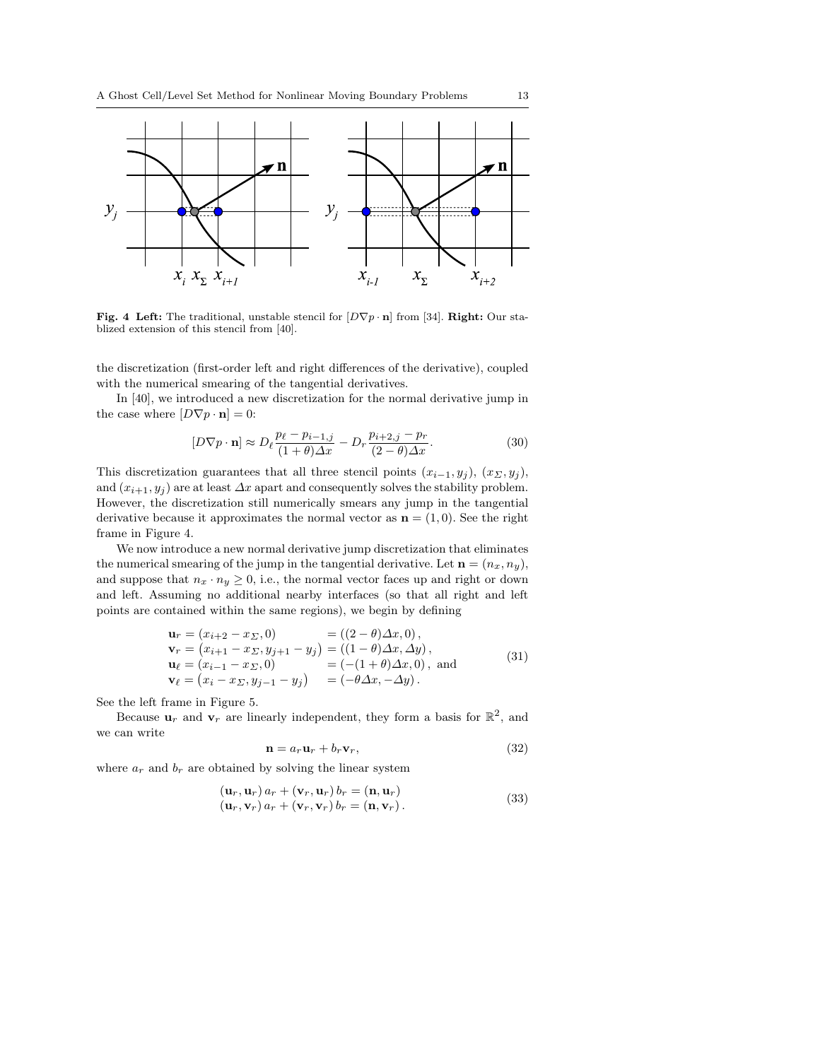

Fig. 4 Left: The traditional, unstable stencil for  $[D\nabla p \cdot \mathbf{n}]$  from [34]. Right: Our stablized extension of this stencil from [40].

the discretization (first-order left and right differences of the derivative), coupled with the numerical smearing of the tangential derivatives.

In [40], we introduced a new discretization for the normal derivative jump in the case where  $[D\nabla p \cdot \mathbf{n}] = 0$ :

$$
[D\nabla p \cdot \mathbf{n}] \approx D_{\ell} \frac{p_{\ell} - p_{i-1,j}}{(1+\theta)\Delta x} - D_{r} \frac{p_{i+2,j} - p_{r}}{(2-\theta)\Delta x}.
$$
 (30)

This discretization guarantees that all three stencil points  $(x_{i-1}, y_i)$ ,  $(x_{\Sigma}, y_i)$ , and  $(x_{i+1}, y_i)$  are at least  $\Delta x$  apart and consequently solves the stability problem. However, the discretization still numerically smears any jump in the tangential derivative because it approximates the normal vector as  $\mathbf{n} = (1, 0)$ . See the right frame in Figure 4.

We now introduce a new normal derivative jump discretization that eliminates the numerical smearing of the jump in the tangential derivative. Let  $\mathbf{n} = (n_x, n_y)$ , and suppose that  $n_x \cdot n_y \geq 0$ , i.e., the normal vector faces up and right or down and left. Assuming no additional nearby interfaces (so that all right and left points are contained within the same regions), we begin by defining

$$
\mathbf{u}_r = (x_{i+2} - x_{\Sigma}, 0) = ((2 - \theta)\Delta x, 0),\n\mathbf{v}_r = (x_{i+1} - x_{\Sigma}, y_{j+1} - y_j) = ((1 - \theta)\Delta x, \Delta y),\n\mathbf{u}_\ell = (x_{i-1} - x_{\Sigma}, 0) = ((-1 + \theta)\Delta x, 0), and\n\mathbf{v}_\ell = (x_i - x_{\Sigma}, y_{j-1} - y_j) = (-\theta\Delta x, -\Delta y).
$$
\n(31)

See the left frame in Figure 5.

Because  $\mathbf{u}_r$  and  $\mathbf{v}_r$  are linearly independent, they form a basis for  $\mathbb{R}^2$ , and we can write

$$
\mathbf{n} = a_r \mathbf{u}_r + b_r \mathbf{v}_r,\tag{32}
$$

where  $a_r$  and  $b_r$  are obtained by solving the linear system

$$
(\mathbf{u}_r, \mathbf{u}_r) a_r + (\mathbf{v}_r, \mathbf{u}_r) b_r = (\mathbf{n}, \mathbf{u}_r)
$$
  
\n
$$
(\mathbf{u}_r, \mathbf{v}_r) a_r + (\mathbf{v}_r, \mathbf{v}_r) b_r = (\mathbf{n}, \mathbf{v}_r).
$$
\n(33)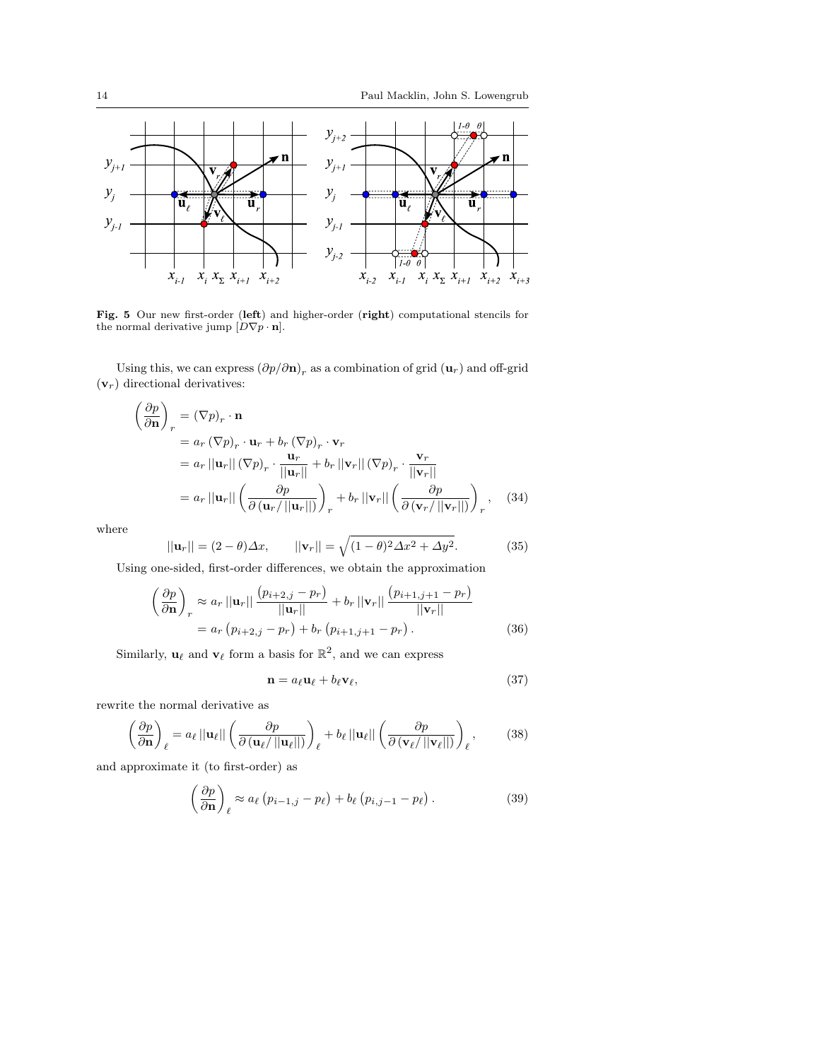

Fig. 5 Our new first-order (left) and higher-order (right) computational stencils for the normal derivative jump  $[D\nabla p \cdot \mathbf{n}]$ .

Using this, we can express  $(\partial p/\partial \mathbf{n})_r$  as a combination of grid  $(\mathbf{u}_r)$  and off-grid  $(v_r)$  directional derivatives:

$$
\left(\frac{\partial p}{\partial \mathbf{n}}\right)_r = (\nabla p)_r \cdot \mathbf{n}
$$
\n
$$
= a_r (\nabla p)_r \cdot \mathbf{u}_r + b_r (\nabla p)_r \cdot \mathbf{v}_r
$$
\n
$$
= a_r ||\mathbf{u}_r|| (\nabla p)_r \cdot \frac{\mathbf{u}_r}{||\mathbf{u}_r||} + b_r ||\mathbf{v}_r|| (\nabla p)_r \cdot \frac{\mathbf{v}_r}{||\mathbf{v}_r||}
$$
\n
$$
= a_r ||\mathbf{u}_r|| \left(\frac{\partial p}{\partial (\mathbf{u}_r/||\mathbf{u}_r||)}\right)_r + b_r ||\mathbf{v}_r|| \left(\frac{\partial p}{\partial (\mathbf{v}_r/||\mathbf{v}_r||)}\right)_r, \quad (34)
$$

where

$$
||\mathbf{u}_r|| = (2 - \theta)\Delta x, \qquad ||\mathbf{v}_r|| = \sqrt{(1 - \theta)^2 \Delta x^2 + \Delta y^2}.
$$
 (35)

Using one-sided, first-order differences, we obtain the approximation

$$
\left(\frac{\partial p}{\partial \mathbf{n}}\right)_r \approx a_r ||\mathbf{u}_r|| \frac{(p_{i+2,j} - p_r)}{||\mathbf{u}_r||} + b_r ||\mathbf{v}_r|| \frac{(p_{i+1,j+1} - p_r)}{||\mathbf{v}_r||}
$$
  
=  $a_r (p_{i+2,j} - p_r) + b_r (p_{i+1,j+1} - p_r).$  (36)

Similarly,  $\mathbf{u}_{\ell}$  and  $\mathbf{v}_{\ell}$  form a basis for  $\mathbb{R}^2$ , and we can express

$$
\mathbf{n} = a_{\ell} \mathbf{u}_{\ell} + b_{\ell} \mathbf{v}_{\ell},\tag{37}
$$

rewrite the normal derivative as

$$
\left(\frac{\partial p}{\partial \mathbf{n}}\right)_{\ell} = a_{\ell} ||\mathbf{u}_{\ell}|| \left(\frac{\partial p}{\partial (\mathbf{u}_{\ell}/||\mathbf{u}_{\ell}||)}\right)_{\ell} + b_{\ell} ||\mathbf{u}_{\ell}|| \left(\frac{\partial p}{\partial (\mathbf{v}_{\ell}/||\mathbf{v}_{\ell}||)}\right)_{\ell},
$$
 (38)

and approximate it (to first-order) as

$$
\left(\frac{\partial p}{\partial \mathbf{n}}\right)_{\ell} \approx a_{\ell} \left(p_{i-1,j} - p_{\ell}\right) + b_{\ell} \left(p_{i,j-1} - p_{\ell}\right). \tag{39}
$$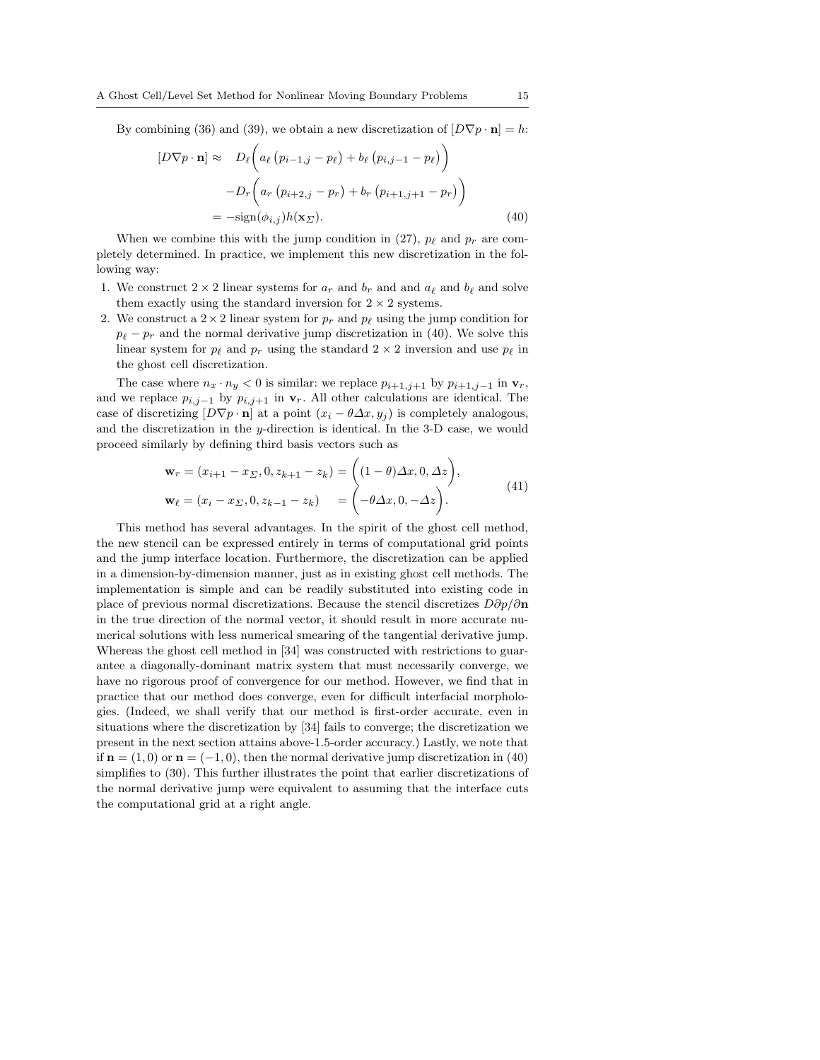By combining (36) and (39), we obtain a new discretization of  $[D\nabla p \cdot \mathbf{n}] = h$ :  $\overline{a}$  $\mathbf{r}$ 

$$
[D\nabla p \cdot \mathbf{n}] \approx D_{\ell} \left( a_{\ell} \left( p_{i-1,j} - p_{\ell} \right) + b_{\ell} \left( p_{i,j-1} - p_{\ell} \right) \right)
$$

$$
-D_{r} \left( a_{r} \left( p_{i+2,j} - p_{r} \right) + b_{r} \left( p_{i+1,j+1} - p_{r} \right) \right)
$$

$$
= -\text{sign}(\phi_{i,j}) h(\mathbf{x}_{\Sigma}). \tag{40}
$$

When we combine this with the jump condition in (27),  $p_{\ell}$  and  $p_r$  are completely determined. In practice, we implement this new discretization in the following way:

- 1. We construct  $2 \times 2$  linear systems for  $a_r$  and  $b_r$  and and  $a_\ell$  and  $b_\ell$  and solve them exactly using the standard inversion for  $2 \times 2$  systems.
- 2. We construct a  $2 \times 2$  linear system for  $p_r$  and  $p_\ell$  using the jump condition for  $p_{\ell} - p_{r}$  and the normal derivative jump discretization in (40). We solve this linear system for  $p_\ell$  and  $p_r$  using the standard  $2 \times 2$  inversion and use  $p_\ell$  in the ghost cell discretization.

The case where  $n_x \cdot n_y < 0$  is similar: we replace  $p_{i+1,j+1}$  by  $p_{i+1,j-1}$  in  $\mathbf{v}_r$ , and we replace  $p_{i,j-1}$  by  $p_{i,j+1}$  in  $v_r$ . All other calculations are identical. The case of discretizing  $[D\nabla p \cdot \mathbf{n}]$  at a point  $(x_i - \theta \Delta x, y_i)$  is completely analogous, and the discretization in the y-direction is identical. In the 3-D case, we would proceed similarly by defining third basis vectors such as

$$
\mathbf{w}_r = (x_{i+1} - x_{\Sigma}, 0, z_{k+1} - z_k) = \begin{pmatrix} (1 - \theta)\Delta x, 0, \Delta z \end{pmatrix},
$$
  
\n
$$
\mathbf{w}_\ell = (x_i - x_{\Sigma}, 0, z_{k-1} - z_k) = \begin{pmatrix} -\theta \Delta x, 0, -\Delta z \end{pmatrix}.
$$
 (41)

This method has several advantages. In the spirit of the ghost cell method, the new stencil can be expressed entirely in terms of computational grid points and the jump interface location. Furthermore, the discretization can be applied in a dimension-by-dimension manner, just as in existing ghost cell methods. The implementation is simple and can be readily substituted into existing code in place of previous normal discretizations. Because the stencil discretizes  $D\partial p/\partial n$ in the true direction of the normal vector, it should result in more accurate numerical solutions with less numerical smearing of the tangential derivative jump. Whereas the ghost cell method in [34] was constructed with restrictions to guarantee a diagonally-dominant matrix system that must necessarily converge, we have no rigorous proof of convergence for our method. However, we find that in practice that our method does converge, even for difficult interfacial morphologies. (Indeed, we shall verify that our method is first-order accurate, even in situations where the discretization by [34] fails to converge; the discretization we present in the next section attains above-1.5-order accuracy.) Lastly, we note that if  $\mathbf{n} = (1,0)$  or  $\mathbf{n} = (-1,0)$ , then the normal derivative jump discretization in (40) simplifies to (30). This further illustrates the point that earlier discretizations of the normal derivative jump were equivalent to assuming that the interface cuts the computational grid at a right angle.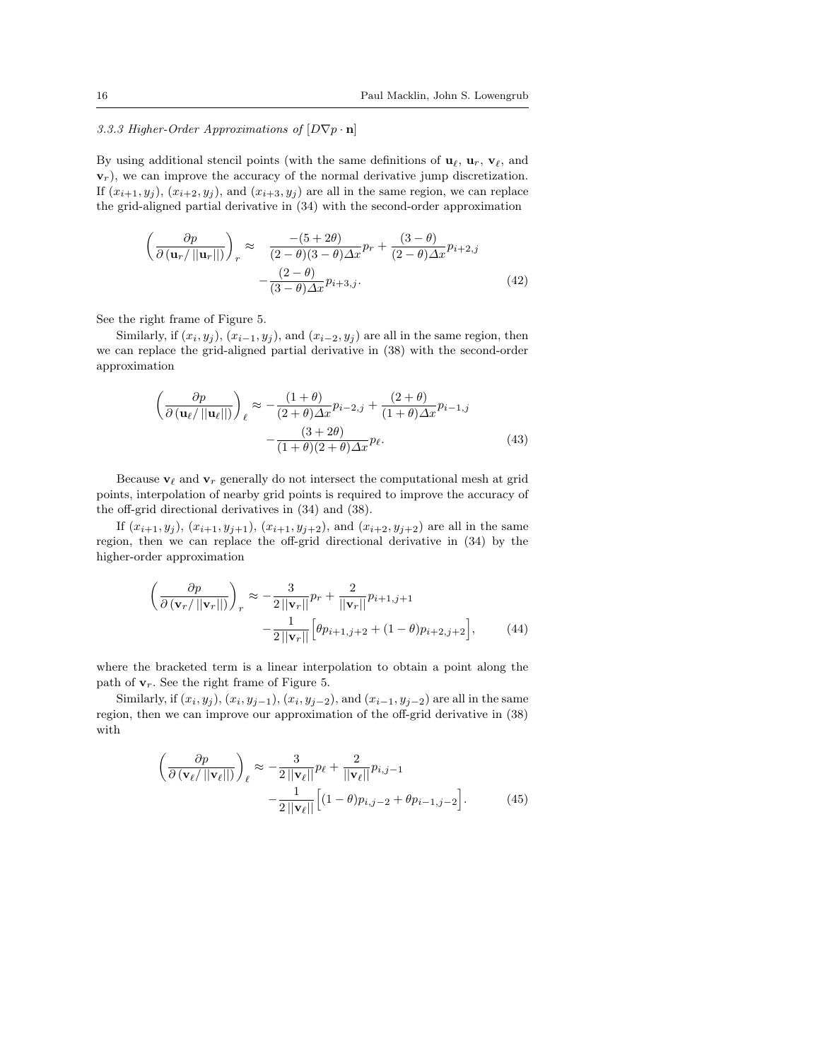# 3.3.3 Higher-Order Approximations of  $[D\nabla p \cdot \mathbf{n}]$

By using additional stencil points (with the same definitions of  $\mathbf{u}_{\ell}, \mathbf{u}_{r}, \mathbf{v}_{\ell}$ , and  $\mathbf{v}_r$ ), we can improve the accuracy of the normal derivative jump discretization. If  $(x_{i+1}, y_j)$ ,  $(x_{i+2}, y_j)$ , and  $(x_{i+3}, y_j)$  are all in the same region, we can replace the grid-aligned partial derivative in (34) with the second-order approximation

$$
\left(\frac{\partial p}{\partial (\mathbf{u}_r/\|\mathbf{u}_r\|)}\right)_r \approx \frac{-(5+2\theta)}{(2-\theta)(3-\theta)\Delta x}p_r + \frac{(3-\theta)}{(2-\theta)\Delta x}p_{i+2,j}
$$

$$
-\frac{(2-\theta)}{(3-\theta)\Delta x}p_{i+3,j}.
$$
(42)

See the right frame of Figure 5.

Similarly, if  $(x_i, y_j)$ ,  $(x_{i-1}, y_j)$ , and  $(x_{i-2}, y_j)$  are all in the same region, then we can replace the grid-aligned partial derivative in (38) with the second-order approximation

$$
\left(\frac{\partial p}{\partial \left(\mathbf{u}_{\ell}/||\mathbf{u}_{\ell}||\right)}\right)_{\ell} \approx -\frac{(1+\theta)}{(2+\theta)\Delta x}p_{i-2,j} + \frac{(2+\theta)}{(1+\theta)\Delta x}p_{i-1,j} - \frac{(3+2\theta)}{(1+\theta)(2+\theta)\Delta x}p_{\ell}.
$$
\n(43)

Because  $\mathbf{v}_{\ell}$  and  $\mathbf{v}_{r}$  generally do not intersect the computational mesh at grid points, interpolation of nearby grid points is required to improve the accuracy of the off-grid directional derivatives in (34) and (38).

If  $(x_{i+1}, y_j)$ ,  $(x_{i+1}, y_{j+1})$ ,  $(x_{i+1}, y_{j+2})$ , and  $(x_{i+2}, y_{j+2})$  are all in the same region, then we can replace the off-grid directional derivative in (34) by the higher-order approximation

$$
\left(\frac{\partial p}{\partial (\mathbf{v}_r/\|\mathbf{v}_r\|)}\right)_r \approx -\frac{3}{2\|\mathbf{v}_r\|}p_r + \frac{2}{\|\mathbf{v}_r\|}p_{i+1,j+1} - \frac{1}{2\|\mathbf{v}_r\|} \left[\theta p_{i+1,j+2} + (1-\theta)p_{i+2,j+2}\right],\tag{44}
$$

where the bracketed term is a linear interpolation to obtain a point along the path of  $v_r$ . See the right frame of Figure 5.

Similarly, if  $(x_i, y_j)$ ,  $(x_i, y_{j-1})$ ,  $(x_i, y_{j-2})$ , and  $(x_{i-1}, y_{j-2})$  are all in the same region, then we can improve our approximation of the off-grid derivative in (38) with

$$
\left(\frac{\partial p}{\partial \left(\mathbf{v}_{\ell}/||\mathbf{v}_{\ell}||\right)}\right)_{\ell} \approx -\frac{3}{2||\mathbf{v}_{\ell}||}p_{\ell} + \frac{2}{||\mathbf{v}_{\ell}||}p_{i,j-1} - \frac{1}{2||\mathbf{v}_{\ell}||}[(1-\theta)p_{i,j-2} + \theta p_{i-1,j-2}].
$$
\n(45)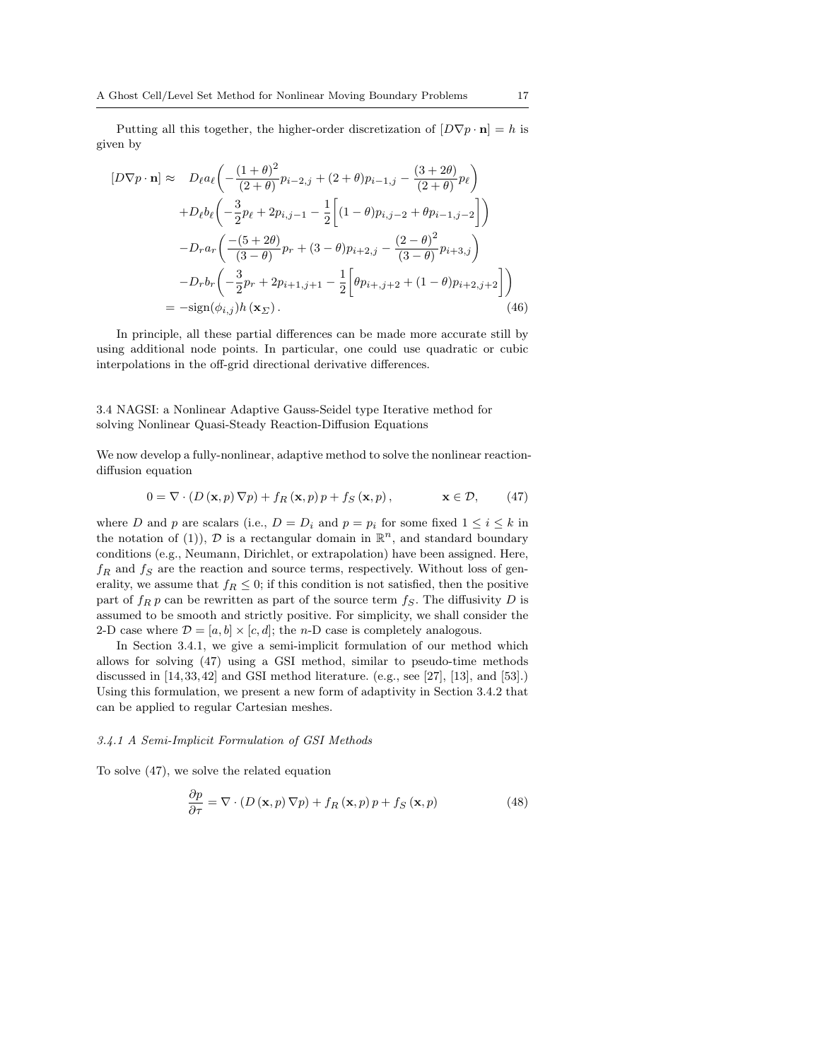Putting all this together, the higher-order discretization of  $[D\nabla p \cdot \mathbf{n}] = h$  is given by

$$
[D\nabla p \cdot \mathbf{n}] \approx D_{\ell} a_{\ell} \left( -\frac{(1+\theta)^2}{(2+\theta)} p_{i-2,j} + (2+\theta) p_{i-1,j} - \frac{(3+2\theta)}{(2+\theta)} p_{\ell} \right)
$$
  
+ 
$$
D_{\ell} b_{\ell} \left( -\frac{3}{2} p_{\ell} + 2 p_{i,j-1} - \frac{1}{2} \left[ (1-\theta) p_{i,j-2} + \theta p_{i-1,j-2} \right] \right)
$$
  
- 
$$
D_{r} a_{r} \left( \frac{-(5+2\theta)}{(3-\theta)} p_{r} + (3-\theta) p_{i+2,j} - \frac{(2-\theta)^2}{(3-\theta)} p_{i+3,j} \right)
$$
  
- 
$$
D_{r} b_{r} \left( -\frac{3}{2} p_{r} + 2 p_{i+1,j+1} - \frac{1}{2} \left[ \theta p_{i+,j+2} + (1-\theta) p_{i+2,j+2} \right] \right)
$$
  
= 
$$
-\text{sign}(\phi_{i,j}) h(\mathbf{x}_{\Sigma}). \tag{46}
$$

In principle, all these partial differences can be made more accurate still by using additional node points. In particular, one could use quadratic or cubic interpolations in the off-grid directional derivative differences.

3.4 NAGSI: a Nonlinear Adaptive Gauss-Seidel type Iterative method for solving Nonlinear Quasi-Steady Reaction-Diffusion Equations

We now develop a fully-nonlinear, adaptive method to solve the nonlinear reactiondiffusion equation

$$
0 = \nabla \cdot (D(\mathbf{x}, p) \nabla p) + f_R(\mathbf{x}, p) p + f_S(\mathbf{x}, p), \qquad \mathbf{x} \in \mathcal{D}, \qquad (47)
$$

where D and p are scalars (i.e.,  $D = D_i$  and  $p = p_i$  for some fixed  $1 \leq i \leq k$  in the notation of (1)),  $\mathcal{D}$  is a rectangular domain in  $\mathbb{R}^n$ , and standard boundary conditions (e.g., Neumann, Dirichlet, or extrapolation) have been assigned. Here,  $f_R$  and  $f_S$  are the reaction and source terms, respectively. Without loss of generality, we assume that  $f_R \leq 0$ ; if this condition is not satisfied, then the positive part of  $f_R p$  can be rewritten as part of the source term  $f_S$ . The diffusivity D is assumed to be smooth and strictly positive. For simplicity, we shall consider the 2-D case where  $\mathcal{D} = [a, b] \times [c, d]$ ; the *n*-D case is completely analogous.

In Section 3.4.1, we give a semi-implicit formulation of our method which allows for solving (47) using a GSI method, similar to pseudo-time methods discussed in [14, 33, 42] and GSI method literature. (e.g., see [27], [13], and [53].) Using this formulation, we present a new form of adaptivity in Section 3.4.2 that can be applied to regular Cartesian meshes.

#### 3.4.1 A Semi-Implicit Formulation of GSI Methods

To solve (47), we solve the related equation

$$
\frac{\partial p}{\partial \tau} = \nabla \cdot (D(\mathbf{x}, p) \nabla p) + f_R(\mathbf{x}, p) p + f_S(\mathbf{x}, p)
$$
(48)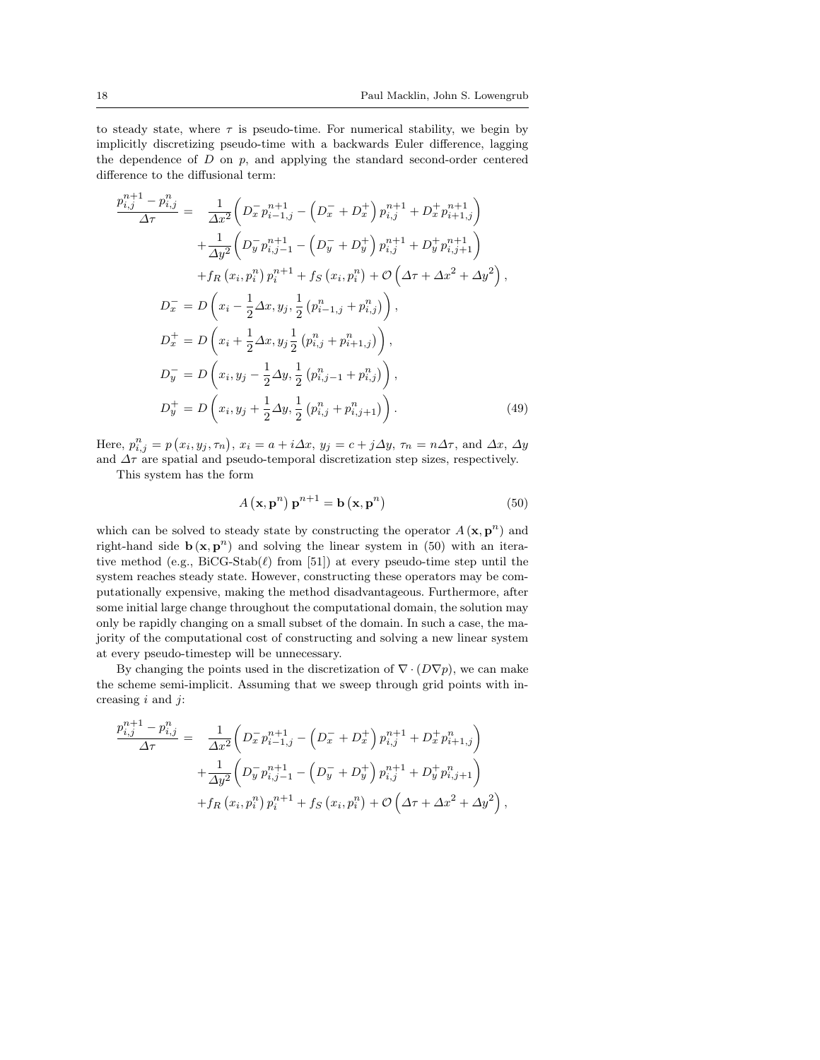to steady state, where  $\tau$  is pseudo-time. For numerical stability, we begin by implicitly discretizing pseudo-time with a backwards Euler difference, lagging the dependence of  $D$  on  $p$ , and applying the standard second-order centered difference to the diffusional term:

$$
\frac{p_{i,j}^{n+1} - p_{i,j}^n}{\Delta \tau} = \frac{1}{\Delta x^2} \left( D_x^- p_{i-1,j}^{n+1} - \left( D_x^- + D_x^+ \right) p_{i,j}^{n+1} + D_x^+ p_{i+1,j}^{n+1} \right) \n+ \frac{1}{\Delta y^2} \left( D_y^- p_{i,j-1}^{n+1} - \left( D_y^- + D_y^+ \right) p_{i,j}^{n+1} + D_y^+ p_{i,j+1}^{n+1} \right) \n+ f_R \left( x_i, p_i^n \right) p_i^{n+1} + f_S \left( x_i, p_i^n \right) + \mathcal{O} \left( \Delta \tau + \Delta x^2 + \Delta y^2 \right), \nD_x^- = D \left( x_i - \frac{1}{2} \Delta x, y_j, \frac{1}{2} \left( p_{i-1,j}^n + p_{i,j}^n \right) \right), \nD_x^+ = D \left( x_i + \frac{1}{2} \Delta x, y_j \frac{1}{2} \left( p_{i,j}^n + p_{i+1,j}^n \right) \right), \nD_y^- = D \left( x_i, y_j - \frac{1}{2} \Delta y, \frac{1}{2} \left( p_{i,j-1}^n + p_{i,j}^n \right) \right), \nD_y^+ = D \left( x_i, y_j + \frac{1}{2} \Delta y, \frac{1}{2} \left( p_{i,j}^n + p_{i,j+1}^n \right) \right).
$$
\n(49)

Here,  $p_{i,j}^n = p(x_i, y_j, \tau_n), x_i = a + i\Delta x, y_j = c + j\Delta y, \tau_n = n\Delta \tau$ , and  $\Delta x, \Delta y$ and  $\Delta\tau$  are spatial and pseudo-temporal discretization step sizes, respectively.

This system has the form

 $n+1$ 

$$
A(\mathbf{x}, \mathbf{p}^n) \mathbf{p}^{n+1} = \mathbf{b}(\mathbf{x}, \mathbf{p}^n)
$$
 (50)

which can be solved to steady state by constructing the operator  $A(\mathbf{x}, \mathbf{p}^n)$  and right-hand side  $\mathbf{b}(\mathbf{x}, \mathbf{p}^n)$  and solving the linear system in (50) with an iterative method (e.g.,  $\text{BiCG-Stab}(\ell)$  from [51]) at every pseudo-time step until the system reaches steady state. However, constructing these operators may be computationally expensive, making the method disadvantageous. Furthermore, after some initial large change throughout the computational domain, the solution may only be rapidly changing on a small subset of the domain. In such a case, the majority of the computational cost of constructing and solving a new linear system at every pseudo-timestep will be unnecessary.

By changing the points used in the discretization of  $\nabla \cdot (D\nabla p)$ , we can make the scheme semi-implicit. Assuming that we sweep through grid points with increasing  $i$  and  $j$ :

$$
\frac{p_{i,j}^{n+1} - p_{i,j}^n}{\Delta \tau} = \frac{1}{\Delta x^2} \left( D_x^- p_{i-1,j}^{n+1} - \left( D_x^- + D_x^+ \right) p_{i,j}^{n+1} + D_x^+ p_{i+1,j}^n \right) + \frac{1}{\Delta y^2} \left( D_y^- p_{i,j-1}^{n+1} - \left( D_y^- + D_y^+ \right) p_{i,j}^{n+1} + D_y^+ p_{i,j+1}^n \right) + f_R \left( x_i, p_i^n \right) p_i^{n+1} + f_S \left( x_i, p_i^n \right) + \mathcal{O} \left( \Delta \tau + \Delta x^2 + \Delta y^2 \right),
$$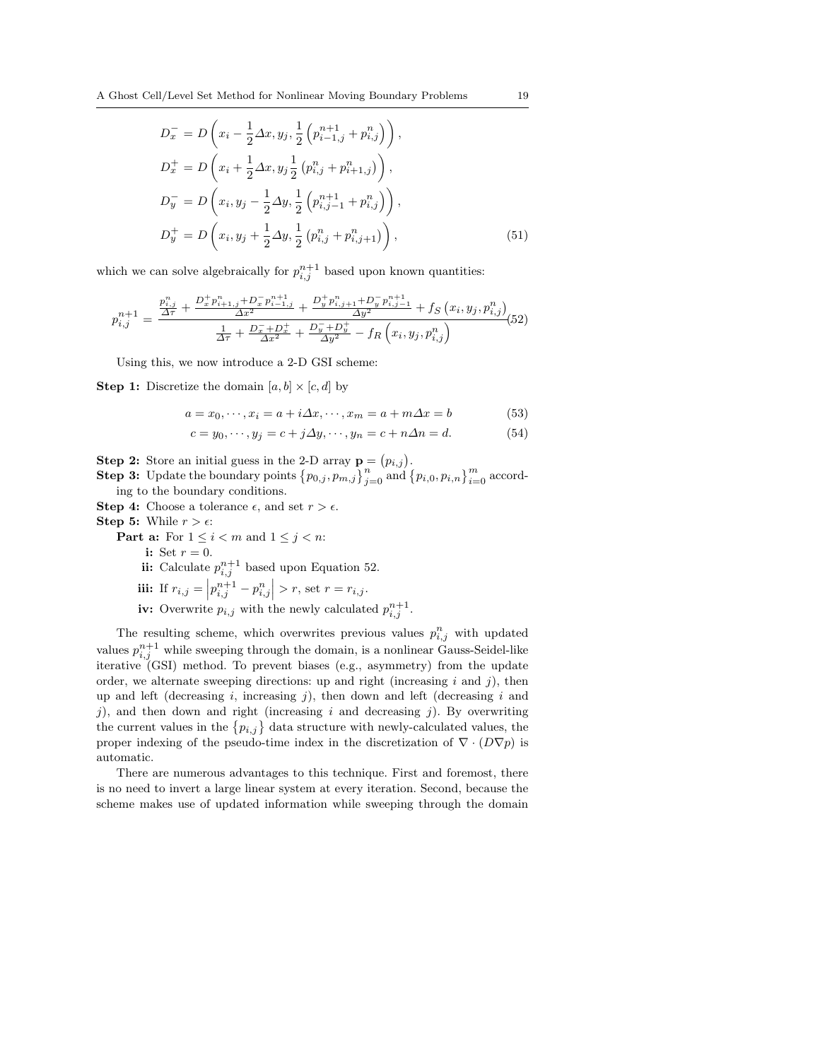$$
D_x^- = D\left(x_i - \frac{1}{2}\Delta x, y_j, \frac{1}{2}\left(p_{i-1,j}^{n+1} + p_{i,j}^n\right)\right),
$$
  
\n
$$
D_x^+ = D\left(x_i + \frac{1}{2}\Delta x, y_j\frac{1}{2}\left(p_{i,j}^n + p_{i+1,j}^n\right)\right),
$$
  
\n
$$
D_y^- = D\left(x_i, y_j - \frac{1}{2}\Delta y, \frac{1}{2}\left(p_{i,j-1}^{n+1} + p_{i,j}^n\right)\right),
$$
  
\n
$$
D_y^+ = D\left(x_i, y_j + \frac{1}{2}\Delta y, \frac{1}{2}\left(p_{i,j}^n + p_{i,j+1}^n\right)\right),
$$
\n(51)

which we can solve algebraically for  $p_{i,j}^{n+1}$  based upon known quantities:

$$
p_{i,j}^{n+1} = \frac{\frac{p_{i,j}^n}{\Delta \tau} + \frac{D_x^+ p_{i+1,j}^n + D_x^- p_{i-1,j}^{n+1}}{\Delta x^2} + \frac{D_y^+ p_{i,j+1}^n + D_y^- p_{i,j-1}^{n+1}}{\Delta y^2} + f_S(x_i, y_j, p_{i,j}^n)}{\frac{1}{\Delta \tau} + \frac{D_x^- + D_x^+}{\Delta x^2} + \frac{D_y^- + D_y^+}{\Delta y^2} - f_R(x_i, y_j, p_{i,j}^n)}
$$
(52)

Using this, we now introduce a 2-D GSI scheme:

**Step 1:** Discretize the domain  $[a, b] \times [c, d]$  by

$$
a = x_0, \cdots, x_i = a + i\Delta x, \cdots, x_m = a + m\Delta x = b \tag{53}
$$

$$
c = y_0, \cdots, y_j = c + j\Delta y, \cdots, y_n = c + n\Delta n = d.
$$
 (54)

**Step 2:** Store an initial guess in the 2-D array  $\mathbf{p} = (p_{i,j})$ .<br> **Step 3:** Update the boundary points  $\{p_{0,j}, p_{m,j}\}_{j=0}^n$  and  $\{p_{i,0}, p_{i,n}\}_{i=0}^m$  according to the boundary conditions.

**Step 4:** Choose a tolerance  $\epsilon$ , and set  $r > \epsilon$ .

**Step 5:** While  $r > \epsilon$ :

**Part a:** For  $1 \leq i < m$  and  $1 \leq j < n$ :

i: Set  $r = 0$ .

ii: Calculate  $p_{i,j}^{n+1}$  based upon Equation 52.

**iii:** If 
$$
r_{i,j} = \left| p_{i,j}^{n+1} - p_{i,j}^n \right| > r
$$
, set  $r = r_{i,j}$ .

iv: Overwrite  $p_{i,j}$  with the newly calculated  $p_{i,j}^{n+1}$ .

The resulting scheme, which overwrites previous values  $p_{i,j}^n$  with updated values  $p_{i,j}^{n+1}$  while sweeping through the domain, is a nonlinear Gauss-Seidel-like iterative (GSI) method. To prevent biases (e.g., asymmetry) from the update order, we alternate sweeping directions: up and right (increasing  $i$  and  $j$ ), then up and left (decreasing  $i$ , increasing  $j$ ), then down and left (decreasing  $i$  and j), and then down and right (increasing  $i$  and decreasing j). By overwriting f), and then down and right (increasing i and decreasing j). By overwriting the current values in the  $\{p_{i,j}\}$  data structure with newly-calculated values, the proper indexing of the pseudo-time index in the discretization of  $\nabla \cdot (D\nabla p)$  is automatic.

There are numerous advantages to this technique. First and foremost, there is no need to invert a large linear system at every iteration. Second, because the scheme makes use of updated information while sweeping through the domain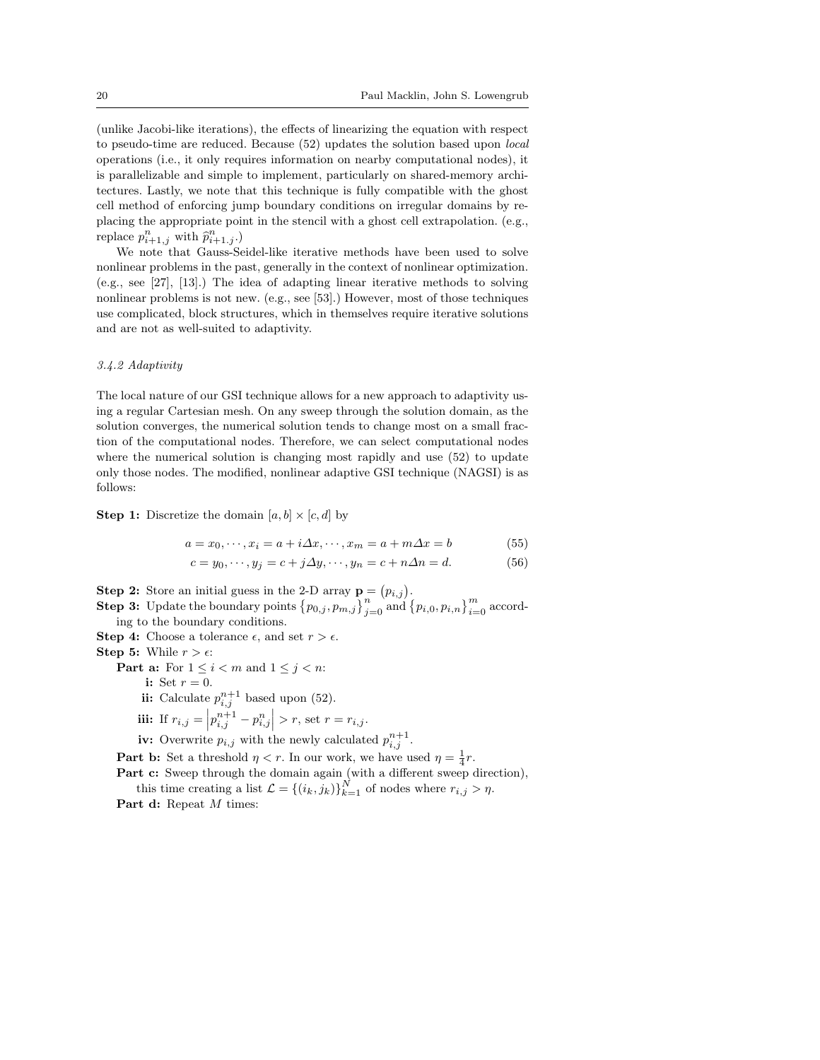(unlike Jacobi-like iterations), the effects of linearizing the equation with respect to pseudo-time are reduced. Because (52) updates the solution based upon local operations (i.e., it only requires information on nearby computational nodes), it is parallelizable and simple to implement, particularly on shared-memory architectures. Lastly, we note that this technique is fully compatible with the ghost cell method of enforcing jump boundary conditions on irregular domains by replacing the appropriate point in the stencil with a ghost cell extrapolation. (e.g., replace  $p_{i+1,j}^n$  with  $\widehat{p}_{i+1,j}^n$ .)

We note that Gauss-Seidel-like iterative methods have been used to solve nonlinear problems in the past, generally in the context of nonlinear optimization. (e.g., see [27], [13].) The idea of adapting linear iterative methods to solving nonlinear problems is not new. (e.g., see [53].) However, most of those techniques use complicated, block structures, which in themselves require iterative solutions and are not as well-suited to adaptivity.

## 3.4.2 Adaptivity

The local nature of our GSI technique allows for a new approach to adaptivity using a regular Cartesian mesh. On any sweep through the solution domain, as the solution converges, the numerical solution tends to change most on a small fraction of the computational nodes. Therefore, we can select computational nodes where the numerical solution is changing most rapidly and use (52) to update only those nodes. The modified, nonlinear adaptive GSI technique (NAGSI) is as follows:

**Step 1:** Discretize the domain  $[a, b] \times [c, d]$  by

$$
a = x_0, \cdots, x_i = a + i\Delta x, \cdots, x_m = a + m\Delta x = b \tag{55}
$$

$$
c = y_0, \cdots, y_j = c + j\Delta y, \cdots, y_n = c + n\Delta n = d.
$$
 (56)

**Step 2:** Store an initial guess in the 2-D array  $\mathbf{p} = (p_{i,j})$ .<br> **Step 3:** Update the boundary points  $\{p_{0,j}, p_{m,j}\}_{j=0}^n$  and  $\{p_{i,0}, p_{i,n}\}_{i=0}^m$  according to the boundary conditions.

**Step 4:** Choose a tolerance  $\epsilon$ , and set  $r > \epsilon$ .

**Step 5:** While  $r > \epsilon$ :

**Part a:** For  $1 \leq i < m$  and  $1 \leq j < n$ :

i: Set  $r=0$ .

ii: Calculate  $p_{i,j}^{n+1}$  based upon (52).

iii: If 
$$
r_{i,j} = |p_{i,j}^{n+1} - p_{i,j}^{n}| > r
$$
, set  $r = r_{i,j}$ .

iv: Overwrite  $p_{i,j}$  with the newly calculated  $p_{i,j}^{n+1}$ .

**Part b:** Set a threshold  $\eta < r$ . In our work, we have used  $\eta = \frac{1}{4}r$ .

Part c: Sweep through the domain again (with a different sweep direction), this time creating a list  $\mathcal{L} = \{(i_k, j_k)\}_{k=1}^N$  of nodes where  $r_{i,j} > \eta$ .

Part d: Repeat M times: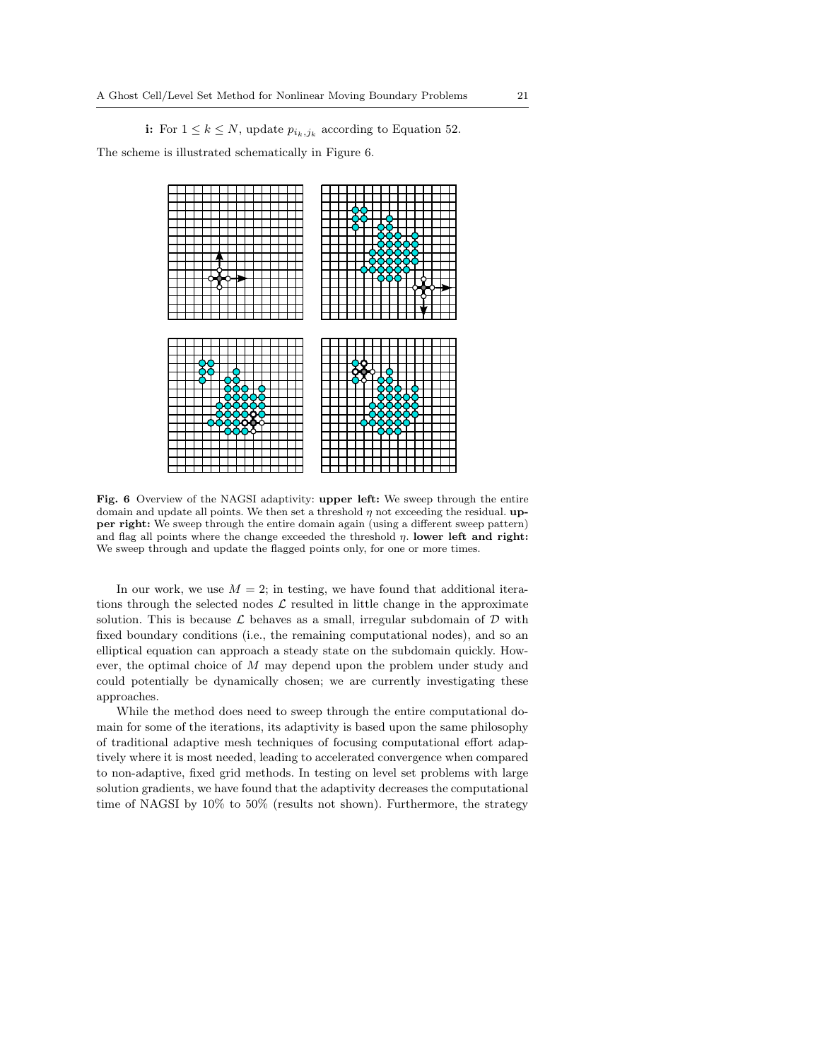# i: For  $1 \leq k \leq N$ , update  $p_{i_k,j_k}$  according to Equation 52.

The scheme is illustrated schematically in Figure 6.



Fig. 6 Overview of the NAGSI adaptivity: upper left: We sweep through the entire domain and update all points. We then set a threshold  $\eta$  not exceeding the residual. upper right: We sweep through the entire domain again (using a different sweep pattern) and flag all points where the change exceeded the threshold  $\eta$ . lower left and right: We sweep through and update the flagged points only, for one or more times.

In our work, we use  $M = 2$ ; in testing, we have found that additional iterations through the selected nodes  $\mathcal L$  resulted in little change in the approximate solution. This is because  $\mathcal L$  behaves as a small, irregular subdomain of  $\mathcal D$  with fixed boundary conditions (i.e., the remaining computational nodes), and so an elliptical equation can approach a steady state on the subdomain quickly. However, the optimal choice of M may depend upon the problem under study and could potentially be dynamically chosen; we are currently investigating these approaches.

While the method does need to sweep through the entire computational domain for some of the iterations, its adaptivity is based upon the same philosophy of traditional adaptive mesh techniques of focusing computational effort adaptively where it is most needed, leading to accelerated convergence when compared to non-adaptive, fixed grid methods. In testing on level set problems with large solution gradients, we have found that the adaptivity decreases the computational time of NAGSI by 10% to 50% (results not shown). Furthermore, the strategy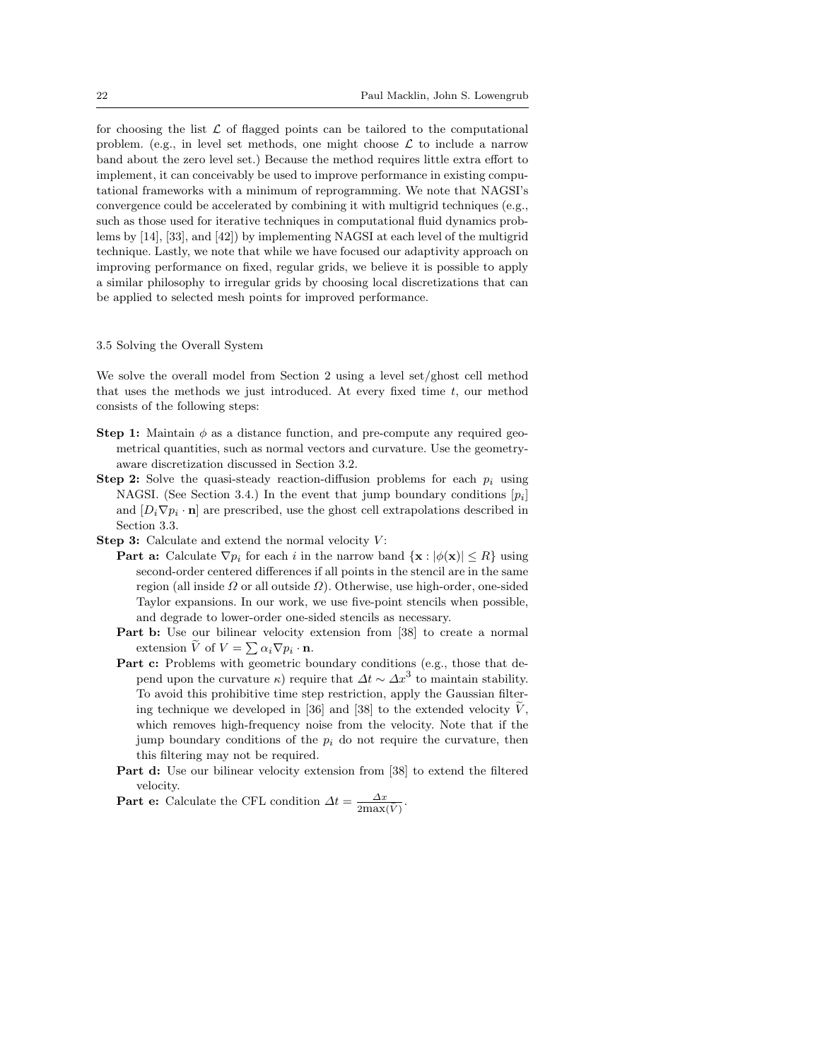for choosing the list  $\mathcal L$  of flagged points can be tailored to the computational problem. (e.g., in level set methods, one might choose  $\mathcal L$  to include a narrow band about the zero level set.) Because the method requires little extra effort to implement, it can conceivably be used to improve performance in existing computational frameworks with a minimum of reprogramming. We note that NAGSI's convergence could be accelerated by combining it with multigrid techniques (e.g., such as those used for iterative techniques in computational fluid dynamics problems by [14], [33], and [42]) by implementing NAGSI at each level of the multigrid technique. Lastly, we note that while we have focused our adaptivity approach on improving performance on fixed, regular grids, we believe it is possible to apply a similar philosophy to irregular grids by choosing local discretizations that can be applied to selected mesh points for improved performance.

#### 3.5 Solving the Overall System

We solve the overall model from Section 2 using a level set/ghost cell method that uses the methods we just introduced. At every fixed time  $t$ , our method consists of the following steps:

- **Step 1:** Maintain  $\phi$  as a distance function, and pre-compute any required geometrical quantities, such as normal vectors and curvature. Use the geometryaware discretization discussed in Section 3.2.
- **Step 2:** Solve the quasi-steady reaction-diffusion problems for each  $p_i$  using NAGSI. (See Section 3.4.) In the event that jump boundary conditions  $[p_i]$ and  $[D_i \nabla p_i \cdot \mathbf{n}]$  are prescribed, use the ghost cell extrapolations described in Section 3.3.
- **Step 3:** Calculate and extend the normal velocity  $V$ :
	- **Part a:** Calculate  $\nabla p_i$  for each i in the narrow band  $\{ \mathbf{x} : |\phi(\mathbf{x})| \leq R \}$  using second-order centered differences if all points in the stencil are in the same region (all inside  $\Omega$  or all outside  $\Omega$ ). Otherwise, use high-order, one-sided Taylor expansions. In our work, we use five-point stencils when possible, and degrade to lower-order one-sided stencils as necessary.
	- Part b: Use our bilinear velocity extension from [38] to create a normal **EVELOTE:** Use our binnear velocity  $\epsilon$  extension  $\tilde{V}$  of  $V = \sum \alpha_i \nabla p_i \cdot \mathbf{n}$ .
	- Part c: Problems with geometric boundary conditions (e.g., those that depend upon the curvature  $\kappa$ ) require that  $\Delta t \sim \Delta x^3$  to maintain stability. To avoid this prohibitive time step restriction, apply the Gaussian filtering technique we developed in [36] and [38] to the extended velocity  $V$ , which removes high-frequency noise from the velocity. Note that if the jump boundary conditions of the  $p_i$  do not require the curvature, then this filtering may not be required.
	- Part d: Use our bilinear velocity extension from [38] to extend the filtered velocity.
	- **Part e:** Calculate the CFL condition  $\Delta t = \frac{\Delta x}{2\text{max}(\tilde{V})}$ .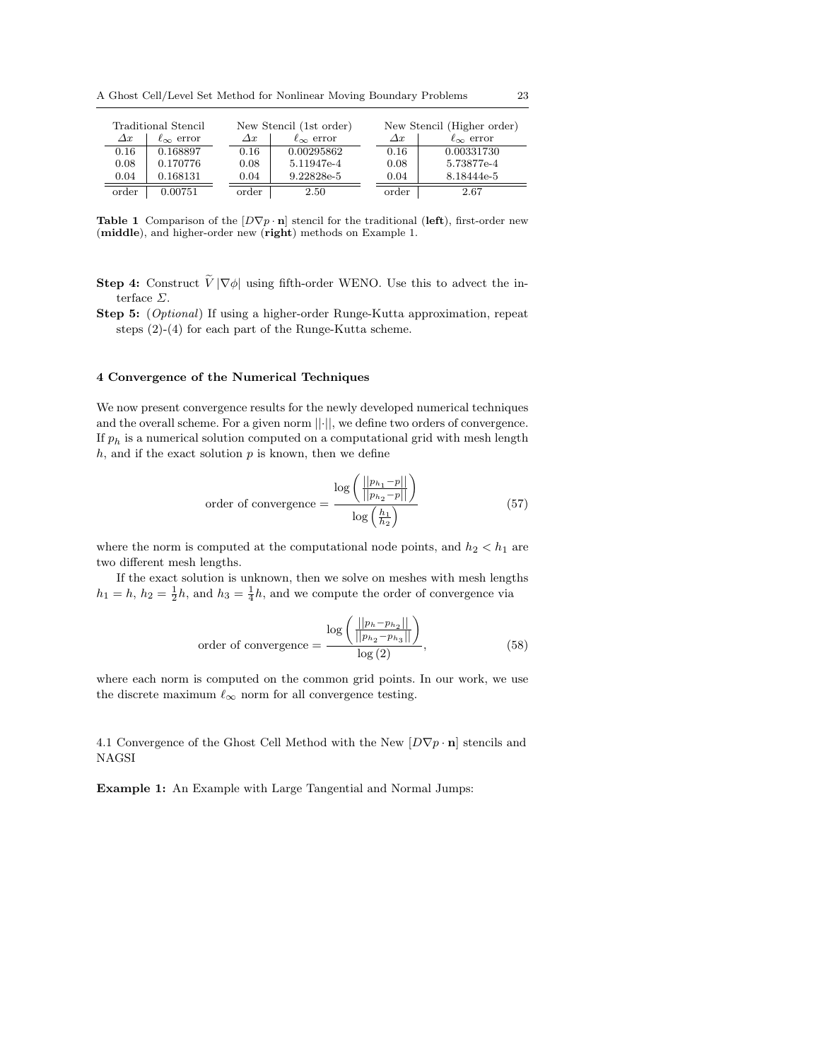A Ghost Cell/Level Set Method for Nonlinear Moving Boundary Problems 23

| Traditional Stencil |                       | New Stencil (1st order) |                       |               | New Stencil (Higher order) |  |  |
|---------------------|-----------------------|-------------------------|-----------------------|---------------|----------------------------|--|--|
| $\varDelta x$       | $\ell_{\infty}$ error | $\varDelta x$           | $\ell_{\infty}$ error | $\varDelta x$ | $\ell_{\infty}$ error      |  |  |
| 0.16                | 0.168897              | 0.16                    | 0.00295862            | 0.16          | 0.00331730                 |  |  |
| 0.08                | 0.170776              | 0.08                    | 5.11947e-4            | 0.08          | 5.73877e-4                 |  |  |
| 0.04                | 0.168131              | 0.04                    | 9.22828e-5            | 0.04          | 8.18444e-5                 |  |  |
| order               | 0.00751               | order                   | 2.50                  | order         | 2.67                       |  |  |

Table 1 Comparison of the  $[D\nabla p \cdot \mathbf{n}]$  stencil for the traditional (left), first-order new (middle), and higher-order new (right) methods on Example 1.

- **Step 4:** Construct  $\widetilde{V}|\nabla\phi|$  using fifth-order WENO. Use this to advect the interface Σ.
- Step 5: (Optional) If using a higher-order Runge-Kutta approximation, repeat steps (2)-(4) for each part of the Runge-Kutta scheme.

#### 4 Convergence of the Numerical Techniques

We now present convergence results for the newly developed numerical techniques and the overall scheme. For a given norm  $||\cdot||$ , we define two orders of convergence. If  $p_h$  is a numerical solution computed on a computational grid with mesh length  $h$ , and if the exact solution  $p$  is known, then we define

order of convergence 
$$
= \frac{\log \left( \frac{||p_{h_1} - p||}{||p_{h_2} - p||} \right)}{\log \left( \frac{h_1}{h_2} \right)}
$$
(57)

where the norm is computed at the computational node points, and  $h_2 < h_1$  are two different mesh lengths.

If the exact solution is unknown, then we solve on meshes with mesh lengths  $h_1 = h$ ,  $h_2 = \frac{1}{2}h$ , and  $h_3 = \frac{1}{4}h$ , and we compute the order of convergence via

order of convergence 
$$
= \frac{\log \left( \frac{||p_h - p_{h_2}||}{||p_{h_2} - p_{h_3}||} \right)}{\log(2)},
$$
\n(58)

where each norm is computed on the common grid points. In our work, we use the discrete maximum  $\ell_{\infty}$  norm for all convergence testing.

4.1 Convergence of the Ghost Cell Method with the New  $[D\nabla p \cdot \mathbf{n}]$  stencils and NAGSI

Example 1: An Example with Large Tangential and Normal Jumps: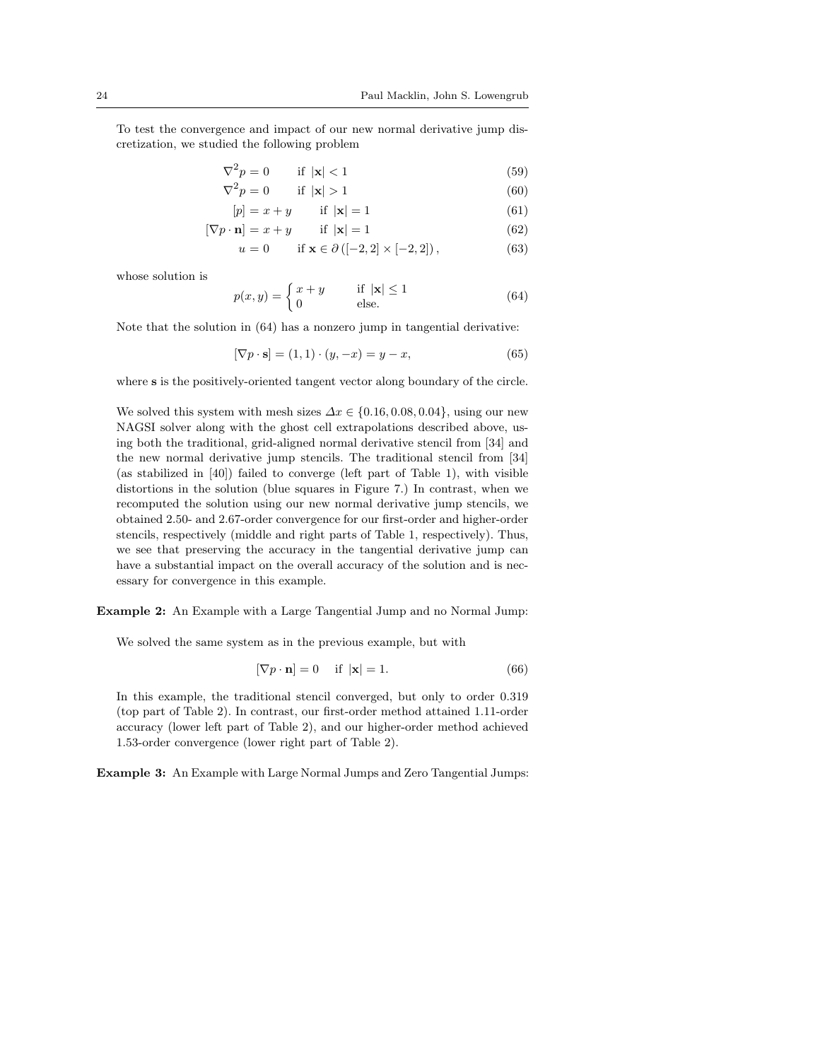To test the convergence and impact of our new normal derivative jump discretization, we studied the following problem

$$
\nabla^2 p = 0 \qquad \text{if } |\mathbf{x}| < 1 \tag{59}
$$

$$
\nabla^2 p = 0 \qquad \text{if } |\mathbf{x}| > 1 \tag{60}
$$

$$
[p] = x + y \qquad \text{if } |\mathbf{x}| = 1 \tag{61}
$$

$$
[\nabla p \cdot \mathbf{n}] = x + y \qquad \text{if } |\mathbf{x}| = 1 \tag{62}
$$

$$
u = 0 \qquad \text{if } \mathbf{x} \in \partial \left( [-2, 2] \times [-2, 2] \right), \tag{63}
$$

whose solution is

$$
p(x,y) = \begin{cases} x+y & \text{if } |\mathbf{x}| \le 1\\ 0 & \text{else.} \end{cases}
$$
 (64)

Note that the solution in (64) has a nonzero jump in tangential derivative:

$$
[\nabla p \cdot \mathbf{s}] = (1, 1) \cdot (y, -x) = y - x,\tag{65}
$$

where s is the positively-oriented tangent vector along boundary of the circle.

We solved this system with mesh sizes  $\Delta x \in \{0.16, 0.08, 0.04\}$ , using our new NAGSI solver along with the ghost cell extrapolations described above, using both the traditional, grid-aligned normal derivative stencil from [34] and the new normal derivative jump stencils. The traditional stencil from [34] (as stabilized in [40]) failed to converge (left part of Table 1), with visible distortions in the solution (blue squares in Figure 7.) In contrast, when we recomputed the solution using our new normal derivative jump stencils, we obtained 2.50- and 2.67-order convergence for our first-order and higher-order stencils, respectively (middle and right parts of Table 1, respectively). Thus, we see that preserving the accuracy in the tangential derivative jump can have a substantial impact on the overall accuracy of the solution and is necessary for convergence in this example.

Example 2: An Example with a Large Tangential Jump and no Normal Jump:

We solved the same system as in the previous example, but with

$$
[\nabla p \cdot \mathbf{n}] = 0 \quad \text{if } |\mathbf{x}| = 1. \tag{66}
$$

In this example, the traditional stencil converged, but only to order 0.319 (top part of Table 2). In contrast, our first-order method attained 1.11-order accuracy (lower left part of Table 2), and our higher-order method achieved 1.53-order convergence (lower right part of Table 2).

Example 3: An Example with Large Normal Jumps and Zero Tangential Jumps: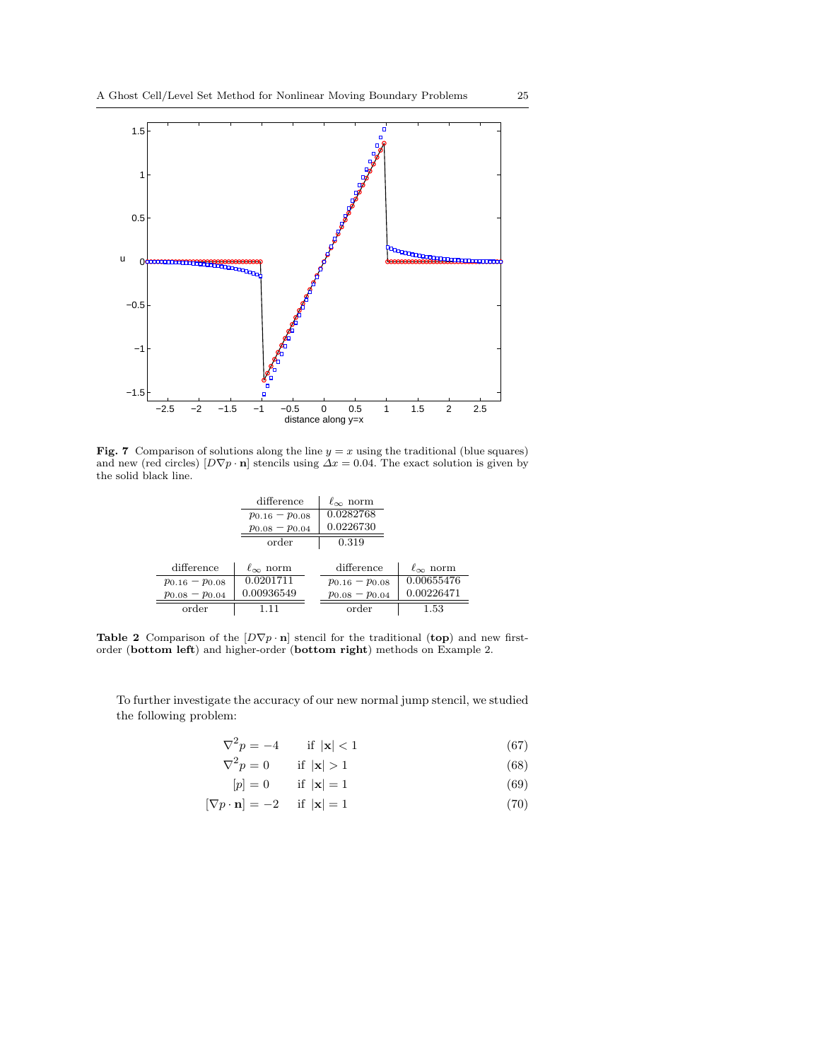

Fig. 7 Comparison of solutions along the line  $y = x$  using the traditional (blue squares) and new (red circles)  $[D\nabla p \cdot \mathbf{n}]$  stencils using  $\Delta x = 0.04$ . The exact solution is given by the solid black line.

|                       | difference            | $\ell_{\infty}$ norm  |                      |
|-----------------------|-----------------------|-----------------------|----------------------|
|                       | $p_{0.16}-p_{0.08}$   | 0.0282768             |                      |
|                       | $p_{0.08} - p_{0.04}$ | 0.0226730             |                      |
|                       | order                 | 0.319                 |                      |
|                       |                       |                       |                      |
| difference            | $\ell_{\infty}$ norm  | difference            | $\ell_{\infty}$ norm |
| $p_{0.16}-p_{0.08}$   | 0.0201711             | $p_{0.16} - p_{0.08}$ | 0.00655476           |
| $p_{0.08} - p_{0.04}$ | 0.00936549            | $p_{0.08} - p_{0.04}$ | 0.00226471           |
| order                 |                       | order                 | $1.53\,$             |

Table 2 Comparison of the  $[D\nabla p \cdot \mathbf{n}]$  stencil for the traditional (top) and new firstorder (bottom left) and higher-order (bottom right) methods on Example 2.

To further investigate the accuracy of our new normal jump stencil, we studied the following problem:

$$
\nabla^2 p = -4 \qquad \text{if } |\mathbf{x}| < 1 \tag{67}
$$

$$
\nabla^2 p = 0 \qquad \text{if } |\mathbf{x}| > 1 \tag{68}
$$

$$
[p] = 0 \qquad \text{if } |\mathbf{x}| = 1 \tag{69}
$$

$$
[\nabla p \cdot \mathbf{n}] = -2 \quad \text{if } |\mathbf{x}| = 1 \tag{70}
$$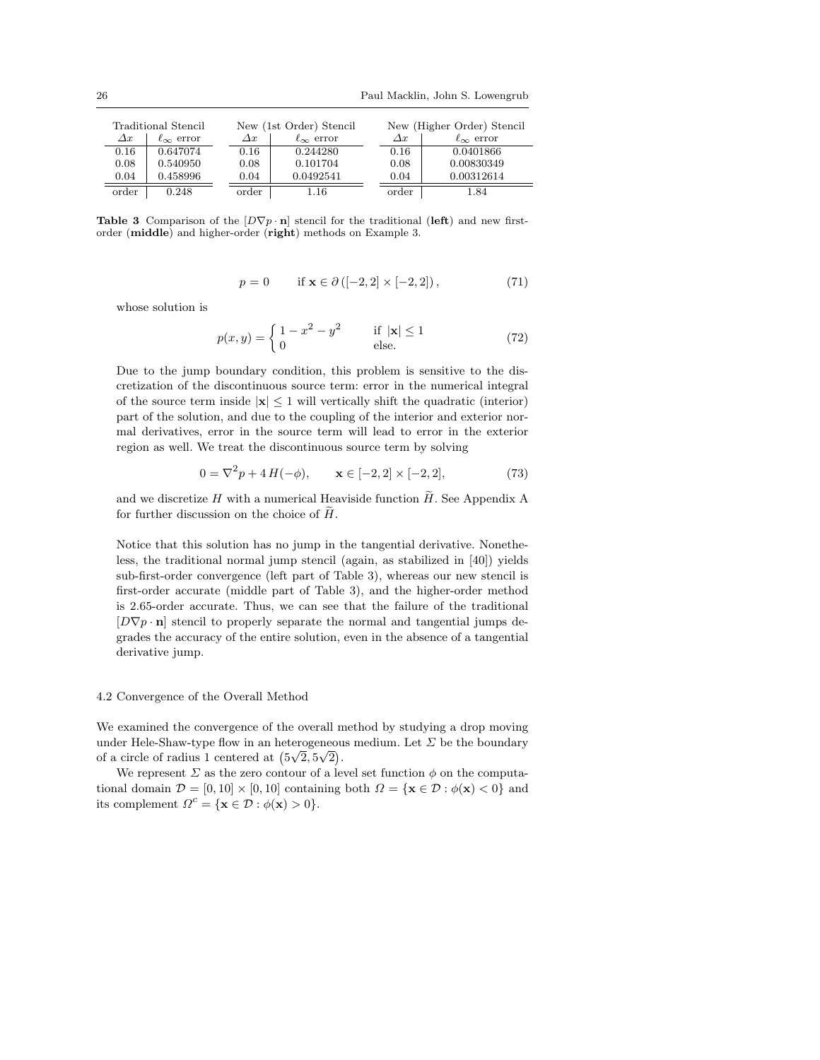| Traditional Stencil |                       |               | New (1st Order) Stencil |  | New (Higher Order) Stencil |                       |  |
|---------------------|-----------------------|---------------|-------------------------|--|----------------------------|-----------------------|--|
| $\varDelta x$       | $\ell_{\infty}$ error | $\varDelta x$ | $\ell_{\infty}$ error   |  | $\Delta x$                 | $\ell_{\infty}$ error |  |
| 0.16                | 0.647074              | 0.16          | 0.244280                |  | 0.16                       | 0.0401866             |  |
| 0.08                | 0.540950              | 0.08          | 0.101704                |  | 0.08                       | 0.00830349            |  |
| 0.04                | 0.458996              | 0.04          | 0.0492541               |  | 0.04                       | 0.00312614            |  |
| order               | 0.248                 | order         | 1.16                    |  | order                      | 1.84                  |  |

Table 3 Comparison of the  $[D\nabla p \cdot \mathbf{n}]$  stencil for the traditional (left) and new firstorder (middle) and higher-order (right) methods on Example 3.

$$
p = 0 \qquad \text{if } \mathbf{x} \in \partial \left( [-2, 2] \times [-2, 2] \right), \tag{71}
$$

whose solution is

$$
p(x,y) = \begin{cases} 1 - x^2 - y^2 & \text{if } |\mathbf{x}| \le 1 \\ 0 & \text{else.} \end{cases}
$$
(72)

Due to the jump boundary condition, this problem is sensitive to the discretization of the discontinuous source term: error in the numerical integral of the source term inside  $|x| \leq 1$  will vertically shift the quadratic (interior) part of the solution, and due to the coupling of the interior and exterior normal derivatives, error in the source term will lead to error in the exterior region as well. We treat the discontinuous source term by solving

$$
0 = \nabla^2 p + 4 H(-\phi), \qquad \mathbf{x} \in [-2, 2] \times [-2, 2], \tag{73}
$$

and we discretize H with a numerical Heaviside function  $H$ . See Appendix A for further discussion on the choice of  $H$ .

Notice that this solution has no jump in the tangential derivative. Nonetheless, the traditional normal jump stencil (again, as stabilized in [40]) yields sub-first-order convergence (left part of Table 3), whereas our new stencil is first-order accurate (middle part of Table 3), and the higher-order method is 2.65-order accurate. Thus, we can see that the failure of the traditional  $[D\nabla p \cdot \mathbf{n}]$  stencil to properly separate the normal and tangential jumps degrades the accuracy of the entire solution, even in the absence of a tangential derivative jump.

#### 4.2 Convergence of the Overall Method

We examined the convergence of the overall method by studying a drop moving under Hele-Shaw-type flow in an heterogeneous medium. Let  $\Sigma$  be the boundary under riele-shaw-type now in an heterogeneou<br>of a circle of radius 1 centered at  $(5\sqrt{2}, 5\sqrt{2})$ .

We represent  $\Sigma$  as the zero contour of a level set function  $\phi$  on the computational domain  $\mathcal{D} = [0, 10] \times [0, 10]$  containing both  $\Omega = {\mathbf{x} \in \mathcal{D} : \phi(\mathbf{x}) < 0}$  and its complement  $\Omega^c = {\mathbf{x} \in \mathcal{D} : \phi(\mathbf{x}) > 0}.$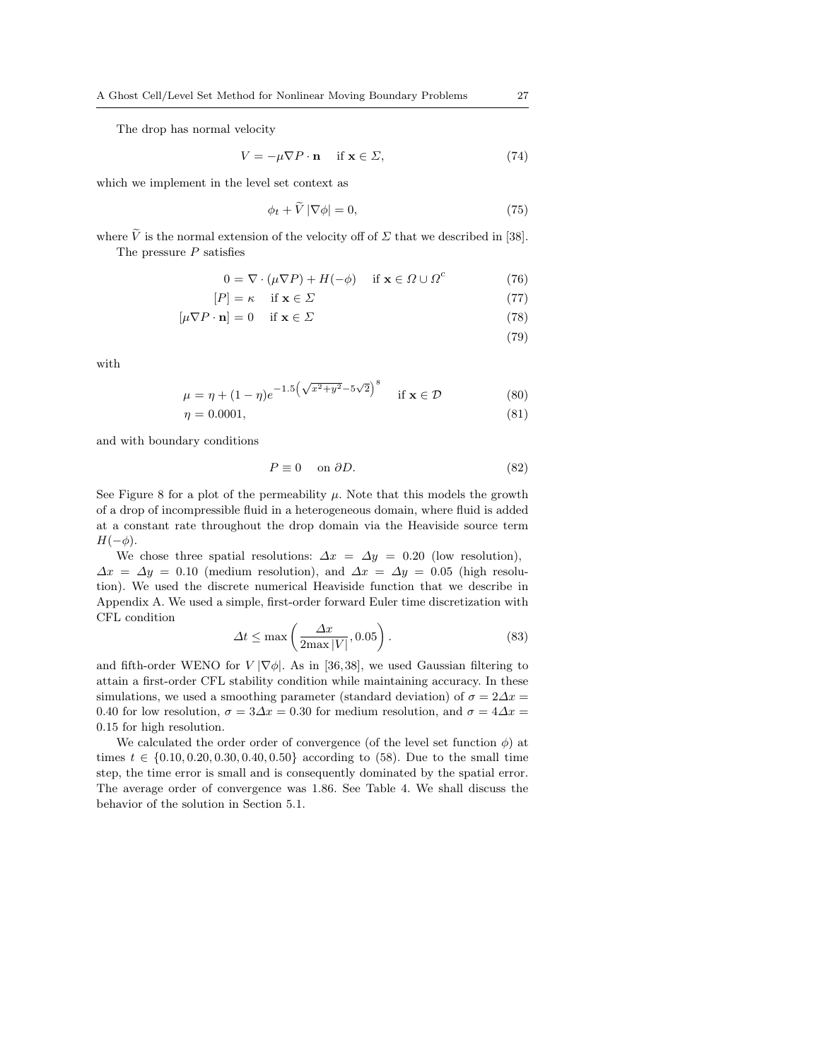The drop has normal velocity

$$
V = -\mu \nabla P \cdot \mathbf{n} \quad \text{if } \mathbf{x} \in \Sigma,
$$
 (74)

which we implement in the level set context as

$$
\phi_t + \widetilde{V} |\nabla \phi| = 0,\tag{75}
$$

where  $\tilde{V}$  is the normal extension of the velocity off of  $\Sigma$  that we described in [38]. The pressure  $P$  satisfies

$$
0 = \nabla \cdot (\mu \nabla P) + H(-\phi) \quad \text{if } \mathbf{x} \in \Omega \cup \Omega^c \tag{76}
$$

$$
[P] = \kappa \quad \text{if } \mathbf{x} \in \Sigma \tag{77}
$$

$$
[\mu \nabla P \cdot \mathbf{n}] = 0 \quad \text{if } \mathbf{x} \in \Sigma \tag{78}
$$

(79)

with

$$
\mu = \eta + (1 - \eta)e^{-1.5(\sqrt{x^2 + y^2} - 5\sqrt{2})^8} \quad \text{if } \mathbf{x} \in \mathcal{D}
$$
 (80)

$$
\eta = 0.0001,\tag{81}
$$

and with boundary conditions

$$
P \equiv 0 \quad \text{on } \partial D. \tag{82}
$$

See Figure 8 for a plot of the permeability  $\mu$ . Note that this models the growth of a drop of incompressible fluid in a heterogeneous domain, where fluid is added at a constant rate throughout the drop domain via the Heaviside source term  $H(-\phi)$ .

We chose three spatial resolutions:  $\Delta x = \Delta y = 0.20$  (low resolution),  $\Delta x = \Delta y = 0.10$  (medium resolution), and  $\Delta x = \Delta y = 0.05$  (high resolution). We used the discrete numerical Heaviside function that we describe in Appendix A. We used a simple, first-order forward Euler time discretization with CFL condition

$$
\Delta t \le \max\left(\frac{\Delta x}{2\max|V|}, 0.05\right). \tag{83}
$$

and fifth-order WENO for  $V[\nabla \phi]$ . As in [36,38], we used Gaussian filtering to attain a first-order CFL stability condition while maintaining accuracy. In these simulations, we used a smoothing parameter (standard deviation) of  $\sigma = 2\Delta x =$ 0.40 for low resolution,  $\sigma = 3\Delta x = 0.30$  for medium resolution, and  $\sigma = 4\Delta x =$ 0.15 for high resolution.

We calculated the order order of convergence (of the level set function  $\phi$ ) at times  $t \in \{0.10, 0.20, 0.30, 0.40, 0.50\}$  according to (58). Due to the small time step, the time error is small and is consequently dominated by the spatial error. The average order of convergence was 1.86. See Table 4. We shall discuss the behavior of the solution in Section 5.1.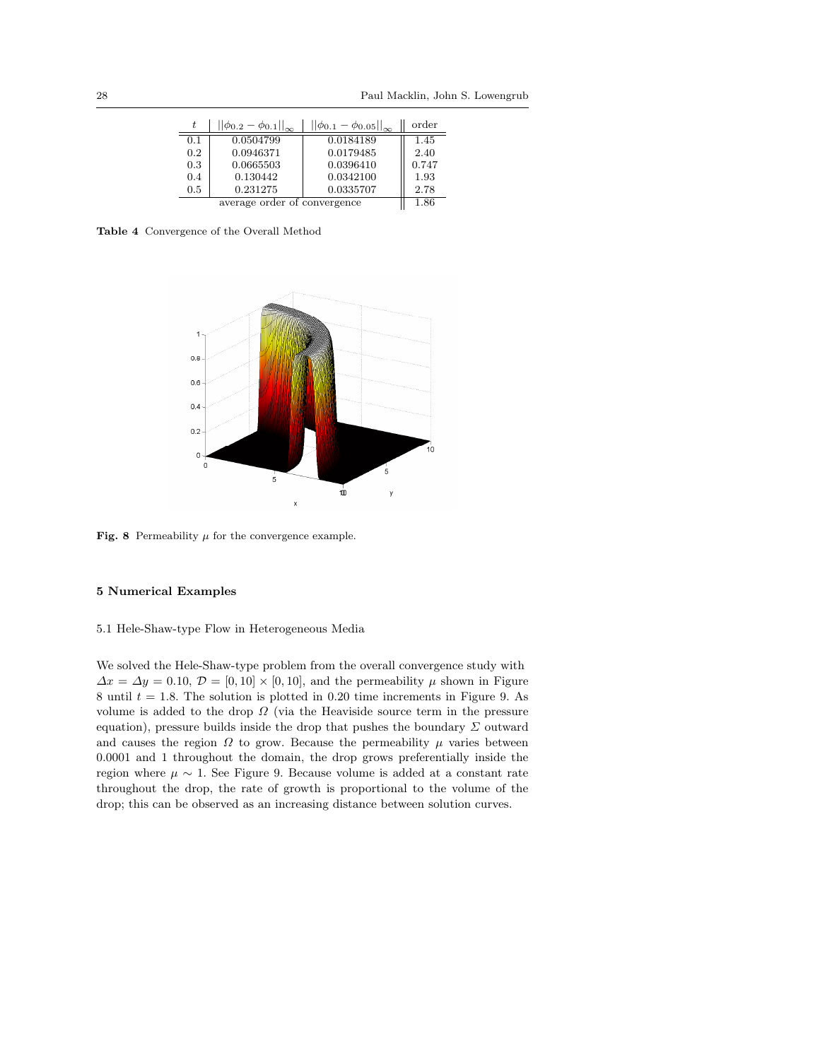| t.  | $  \phi_{0.2} - \phi_{0.1}  _{\infty}$ | $  \phi_{0.1} - \phi_{0.05}  _{\infty}$ | order |
|-----|----------------------------------------|-----------------------------------------|-------|
| 0.1 | 0.0504799                              | 0.0184189                               | 1.45  |
| 0.2 | 0.0946371                              | 0.0179485                               | 2.40  |
| 0.3 | 0.0665503                              | 0.0396410                               | 0.747 |
| 0.4 | 0.130442                               | 0.0342100                               | 1.93  |
| 0.5 | 0.231275                               | 0.0335707                               | 2.78  |
|     | 1.86                                   |                                         |       |

Table 4 Convergence of the Overall Method



Fig. 8 Permeability  $\mu$  for the convergence example.

## 5 Numerical Examples

#### 5.1 Hele-Shaw-type Flow in Heterogeneous Media

We solved the Hele-Shaw-type problem from the overall convergence study with  $\Delta x = \Delta y = 0.10, \mathcal{D} = [0, 10] \times [0, 10],$  and the permeability  $\mu$  shown in Figure 8 until  $t = 1.8$ . The solution is plotted in 0.20 time increments in Figure 9. As volume is added to the drop  $\Omega$  (via the Heaviside source term in the pressure equation), pressure builds inside the drop that pushes the boundary  $\Sigma$  outward and causes the region  $\Omega$  to grow. Because the permeability  $\mu$  varies between 0.0001 and 1 throughout the domain, the drop grows preferentially inside the region where  $\mu \sim 1$ . See Figure 9. Because volume is added at a constant rate throughout the drop, the rate of growth is proportional to the volume of the drop; this can be observed as an increasing distance between solution curves.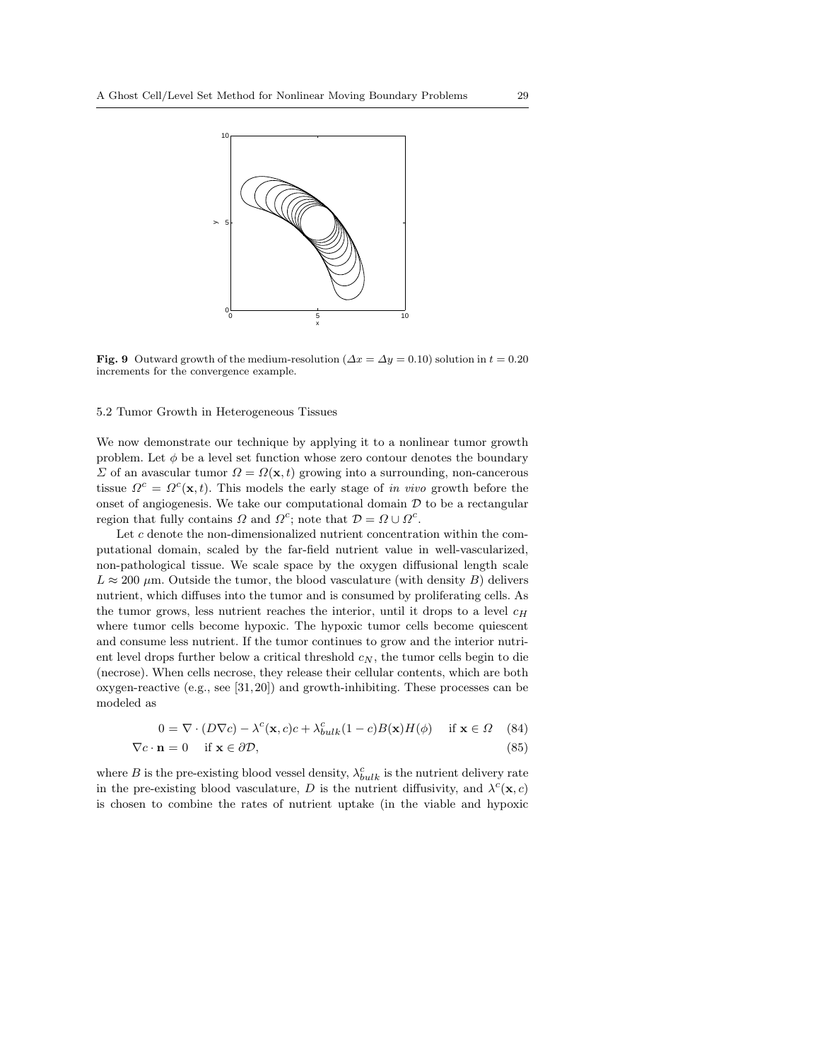

Fig. 9 Outward growth of the medium-resolution ( $\Delta x = \Delta y = 0.10$ ) solution in  $t = 0.20$ increments for the convergence example.

# 5.2 Tumor Growth in Heterogeneous Tissues

We now demonstrate our technique by applying it to a nonlinear tumor growth problem. Let  $\phi$  be a level set function whose zero contour denotes the boundary  $\Sigma$  of an avascular tumor  $\Omega = \Omega(\mathbf{x}, t)$  growing into a surrounding, non-cancerous tissue  $\Omega^c = \Omega^c(\mathbf{x}, t)$ . This models the early stage of in vivo growth before the onset of angiogenesis. We take our computational domain  $D$  to be a rectangular region that fully contains  $\Omega$  and  $\Omega^c$ ; note that  $\mathcal{D} = \Omega \cup \Omega^c$ .

Let c denote the non-dimensionalized nutrient concentration within the computational domain, scaled by the far-field nutrient value in well-vascularized, non-pathological tissue. We scale space by the oxygen diffusional length scale  $L \approx 200 \ \mu \text{m}$ . Outside the tumor, the blood vasculature (with density B) delivers nutrient, which diffuses into the tumor and is consumed by proliferating cells. As the tumor grows, less nutrient reaches the interior, until it drops to a level  $c_H$ where tumor cells become hypoxic. The hypoxic tumor cells become quiescent and consume less nutrient. If the tumor continues to grow and the interior nutrient level drops further below a critical threshold  $c_N$ , the tumor cells begin to die (necrose). When cells necrose, they release their cellular contents, which are both oxygen-reactive (e.g., see [31, 20]) and growth-inhibiting. These processes can be modeled as

$$
0 = \nabla \cdot (D\nabla c) - \lambda^{c}(\mathbf{x}, c)c + \lambda_{bulk}^{c}(1 - c)B(\mathbf{x})H(\phi) \quad \text{if } \mathbf{x} \in \Omega \quad (84)
$$
  

$$
\nabla c \cdot \mathbf{n} = 0 \quad \text{if } \mathbf{x} \in \partial \mathcal{D}, \tag{85}
$$

where B is the pre-existing blood vessel density,  $\lambda_{bulk}^c$  is the nutrient delivery rate in the pre-existing blood vasculature, D is the nutrient diffusivity, and  $\lambda^c(\mathbf{x}, c)$ is chosen to combine the rates of nutrient uptake (in the viable and hypoxic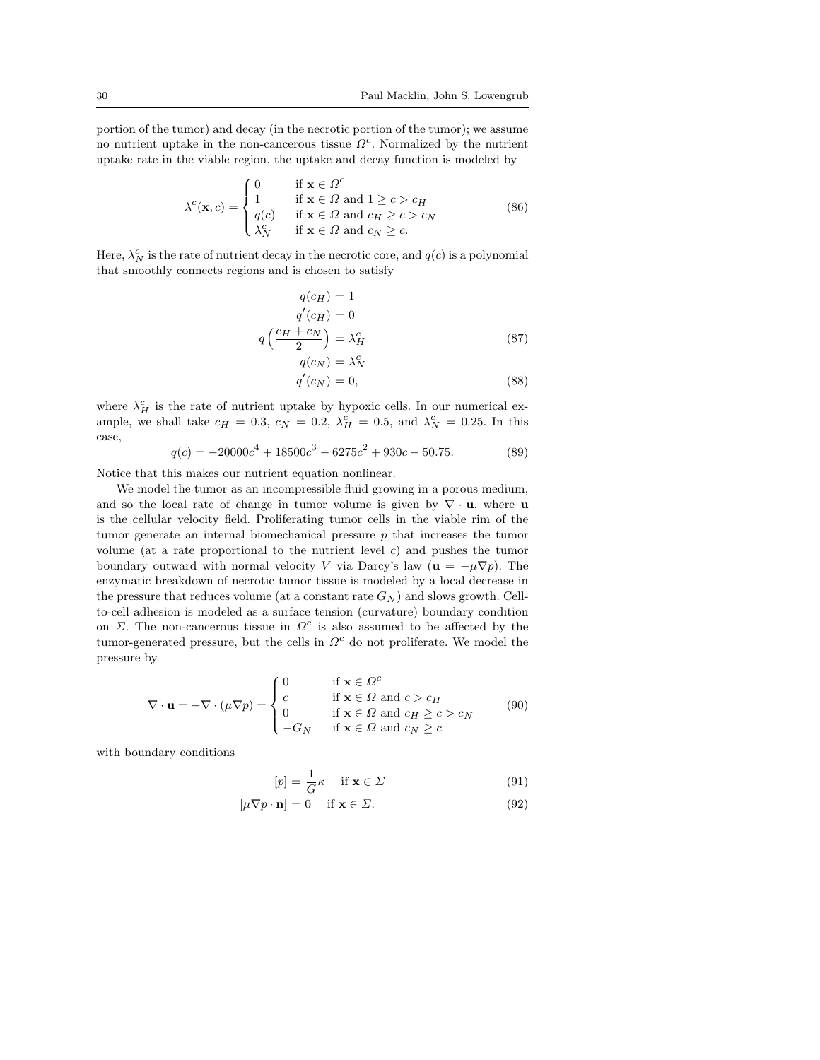portion of the tumor) and decay (in the necrotic portion of the tumor); we assume no nutrient uptake in the non-cancerous tissue  $\Omega^c$ . Normalized by the nutrient uptake rate in the viable region, the uptake and decay function is modeled by

$$
\lambda^{c}(\mathbf{x}, c) = \begin{cases}\n0 & \text{if } \mathbf{x} \in \Omega^{c} \\
1 & \text{if } \mathbf{x} \in \Omega \text{ and } 1 \geq c > c_{H} \\
q(c) & \text{if } \mathbf{x} \in \Omega \text{ and } c_{H} \geq c > c_{N} \\
\lambda_{N}^{c} & \text{if } \mathbf{x} \in \Omega \text{ and } c_{N} \geq c.\n\end{cases}
$$
\n(86)

Here,  $\lambda_N^c$  is the rate of nutrient decay in the necrotic core, and  $q(c)$  is a polynomial that smoothly connects regions and is chosen to satisfy

$$
q(c_H) = 1
$$
  
\n
$$
q'(c_H) = 0
$$
  
\n
$$
q\left(\frac{c_H + c_N}{2}\right) = \lambda_H^c
$$
  
\n
$$
q(c_N) = \lambda_N^c
$$
\n(87)

$$
q'(c_N) = 0,\t\t(88)
$$

where  $\lambda_H^c$  is the rate of nutrient uptake by hypoxic cells. In our numerical example, we shall take  $c_H = 0.3$ ,  $c_N = 0.2$ ,  $\lambda_H^c = 0.5$ , and  $\lambda_N^c = 0.25$ . In this case,

$$
q(c) = -20000c4 + 18500c3 - 6275c2 + 930c - 50.75.
$$
 (89)

Notice that this makes our nutrient equation nonlinear.

We model the tumor as an incompressible fluid growing in a porous medium, and so the local rate of change in tumor volume is given by  $\nabla \cdot \mathbf{u}$ , where **u** is the cellular velocity field. Proliferating tumor cells in the viable rim of the tumor generate an internal biomechanical pressure  $p$  that increases the tumor volume (at a rate proportional to the nutrient level  $c$ ) and pushes the tumor boundary outward with normal velocity V via Darcy's law ( $\mathbf{u} = -\mu \nabla p$ ). The enzymatic breakdown of necrotic tumor tissue is modeled by a local decrease in the pressure that reduces volume (at a constant rate  $G_N$ ) and slows growth. Cellto-cell adhesion is modeled as a surface tension (curvature) boundary condition on  $\Sigma$ . The non-cancerous tissue in  $\Omega^c$  is also assumed to be affected by the tumor-generated pressure, but the cells in  $\Omega^c$  do not proliferate. We model the pressure by

$$
\nabla \cdot \mathbf{u} = -\nabla \cdot (\mu \nabla p) = \begin{cases} 0 & \text{if } \mathbf{x} \in \Omega^c \\ c & \text{if } \mathbf{x} \in \Omega \text{ and } c > c_H \\ 0 & \text{if } \mathbf{x} \in \Omega \text{ and } c_H \ge c > c_N \\ -G_N & \text{if } \mathbf{x} \in \Omega \text{ and } c_N \ge c \end{cases}
$$
(90)

with boundary conditions

$$
[p] = \frac{1}{G}\kappa \quad \text{if } \mathbf{x} \in \Sigma \tag{91}
$$

$$
[\mu \nabla p \cdot \mathbf{n}] = 0 \quad \text{if } \mathbf{x} \in \Sigma. \tag{92}
$$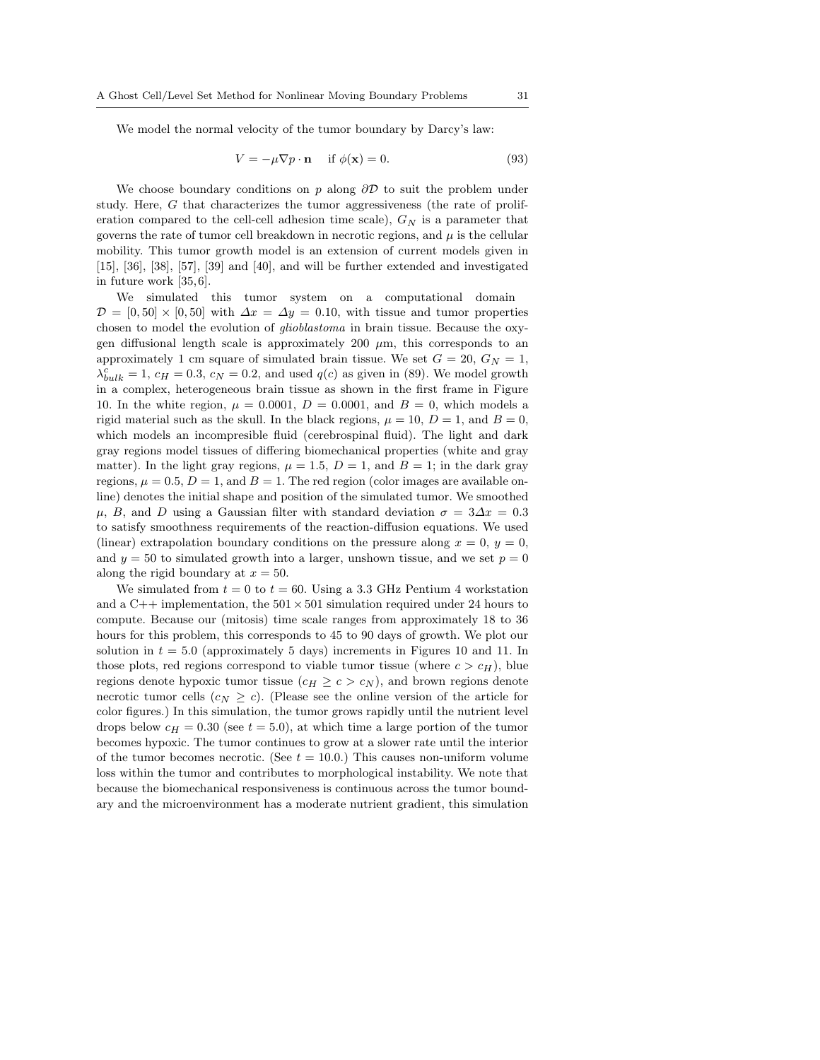We model the normal velocity of the tumor boundary by Darcy's law:

$$
V = -\mu \nabla p \cdot \mathbf{n} \quad \text{if } \phi(\mathbf{x}) = 0. \tag{93}
$$

We choose boundary conditions on p along  $\partial \mathcal{D}$  to suit the problem under study. Here, G that characterizes the tumor aggressiveness (the rate of proliferation compared to the cell-cell adhesion time scale),  $G_N$  is a parameter that governs the rate of tumor cell breakdown in necrotic regions, and  $\mu$  is the cellular mobility. This tumor growth model is an extension of current models given in [15], [36], [38], [57], [39] and [40], and will be further extended and investigated in future work [35, 6].

We simulated this tumor system on a computational domain  $\mathcal{D} = [0, 50] \times [0, 50]$  with  $\Delta x = \Delta y = 0.10$ , with tissue and tumor properties chosen to model the evolution of glioblastoma in brain tissue. Because the oxygen diffusional length scale is approximately 200  $\mu$ m, this corresponds to an approximately 1 cm square of simulated brain tissue. We set  $G = 20$ ,  $G_N = 1$ ,  $\lambda_{bulk}^c = 1, c_H = 0.3, c_N = 0.2$ , and used  $q(c)$  as given in (89). We model growth in a complex, heterogeneous brain tissue as shown in the first frame in Figure 10. In the white region,  $\mu = 0.0001$ ,  $D = 0.0001$ , and  $B = 0$ , which models a rigid material such as the skull. In the black regions,  $\mu = 10$ ,  $D = 1$ , and  $B = 0$ , which models an incompresible fluid (cerebrospinal fluid). The light and dark gray regions model tissues of differing biomechanical properties (white and gray matter). In the light gray regions,  $\mu = 1.5$ ,  $D = 1$ , and  $B = 1$ ; in the dark gray regions,  $\mu = 0.5, D = 1$ , and  $B = 1$ . The red region (color images are available online) denotes the initial shape and position of the simulated tumor. We smoothed  $\mu$ , B, and D using a Gaussian filter with standard deviation  $\sigma = 3\Delta x = 0.3$ to satisfy smoothness requirements of the reaction-diffusion equations. We used (linear) extrapolation boundary conditions on the pressure along  $x = 0$ ,  $y = 0$ , and  $y = 50$  to simulated growth into a larger, unshown tissue, and we set  $p = 0$ along the rigid boundary at  $x = 50$ .

We simulated from  $t = 0$  to  $t = 60$ . Using a 3.3 GHz Pentium 4 workstation and a C++ implementation, the  $501 \times 501$  simulation required under 24 hours to compute. Because our (mitosis) time scale ranges from approximately 18 to 36 hours for this problem, this corresponds to 45 to 90 days of growth. We plot our solution in  $t = 5.0$  (approximately 5 days) increments in Figures 10 and 11. In those plots, red regions correspond to viable tumor tissue (where  $c > c_H$ ), blue regions denote hypoxic tumor tissue ( $c_H \geq c > c_N$ ), and brown regions denote necrotic tumor cells  $(c_N \geq c)$ . (Please see the online version of the article for color figures.) In this simulation, the tumor grows rapidly until the nutrient level drops below  $c_H = 0.30$  (see  $t = 5.0$ ), at which time a large portion of the tumor becomes hypoxic. The tumor continues to grow at a slower rate until the interior of the tumor becomes necrotic. (See  $t = 10.0$ .) This causes non-uniform volume loss within the tumor and contributes to morphological instability. We note that because the biomechanical responsiveness is continuous across the tumor boundary and the microenvironment has a moderate nutrient gradient, this simulation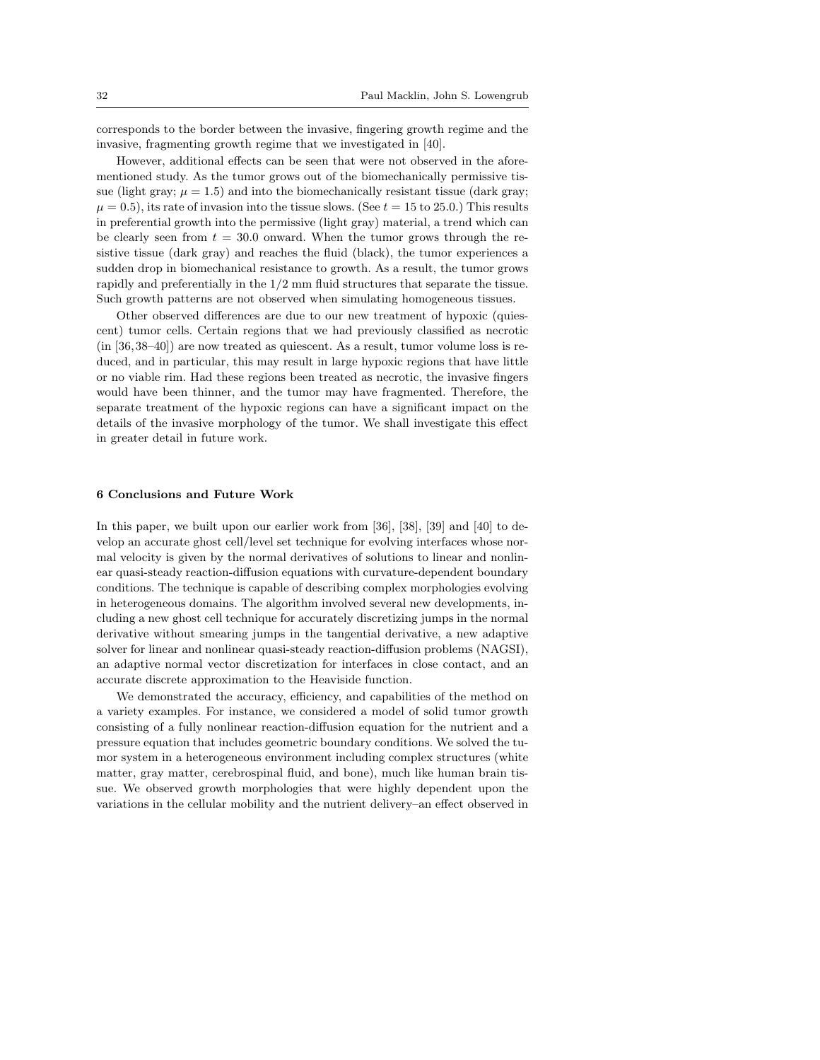corresponds to the border between the invasive, fingering growth regime and the invasive, fragmenting growth regime that we investigated in [40].

However, additional effects can be seen that were not observed in the aforementioned study. As the tumor grows out of the biomechanically permissive tissue (light gray;  $\mu = 1.5$ ) and into the biomechanically resistant tissue (dark gray;  $\mu = 0.5$ , its rate of invasion into the tissue slows. (See  $t = 15$  to 25.0.) This results in preferential growth into the permissive (light gray) material, a trend which can be clearly seen from  $t = 30.0$  onward. When the tumor grows through the resistive tissue (dark gray) and reaches the fluid (black), the tumor experiences a sudden drop in biomechanical resistance to growth. As a result, the tumor grows rapidly and preferentially in the 1/2 mm fluid structures that separate the tissue. Such growth patterns are not observed when simulating homogeneous tissues.

Other observed differences are due to our new treatment of hypoxic (quiescent) tumor cells. Certain regions that we had previously classified as necrotic (in [36, 38–40]) are now treated as quiescent. As a result, tumor volume loss is reduced, and in particular, this may result in large hypoxic regions that have little or no viable rim. Had these regions been treated as necrotic, the invasive fingers would have been thinner, and the tumor may have fragmented. Therefore, the separate treatment of the hypoxic regions can have a significant impact on the details of the invasive morphology of the tumor. We shall investigate this effect in greater detail in future work.

#### 6 Conclusions and Future Work

In this paper, we built upon our earlier work from [36], [38], [39] and [40] to develop an accurate ghost cell/level set technique for evolving interfaces whose normal velocity is given by the normal derivatives of solutions to linear and nonlinear quasi-steady reaction-diffusion equations with curvature-dependent boundary conditions. The technique is capable of describing complex morphologies evolving in heterogeneous domains. The algorithm involved several new developments, including a new ghost cell technique for accurately discretizing jumps in the normal derivative without smearing jumps in the tangential derivative, a new adaptive solver for linear and nonlinear quasi-steady reaction-diffusion problems (NAGSI), an adaptive normal vector discretization for interfaces in close contact, and an accurate discrete approximation to the Heaviside function.

We demonstrated the accuracy, efficiency, and capabilities of the method on a variety examples. For instance, we considered a model of solid tumor growth consisting of a fully nonlinear reaction-diffusion equation for the nutrient and a pressure equation that includes geometric boundary conditions. We solved the tumor system in a heterogeneous environment including complex structures (white matter, gray matter, cerebrospinal fluid, and bone), much like human brain tissue. We observed growth morphologies that were highly dependent upon the variations in the cellular mobility and the nutrient delivery–an effect observed in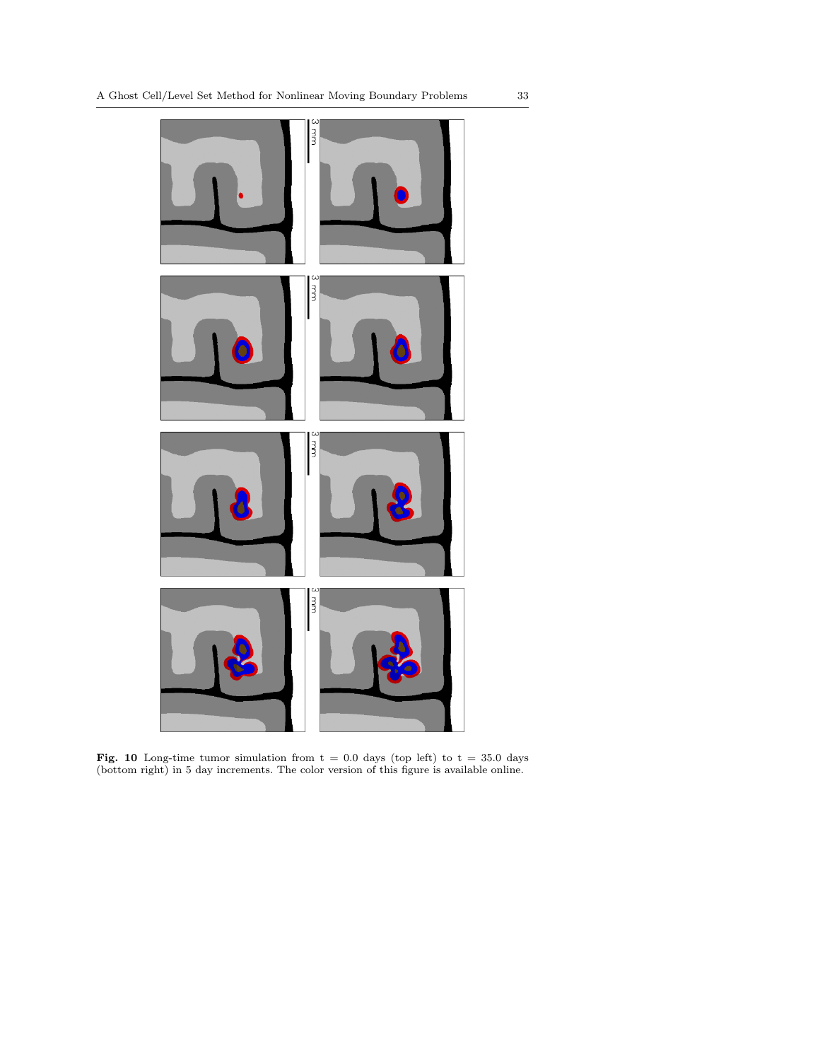

Fig. 10 Long-time tumor simulation from  $t = 0.0$  days (top left) to  $t = 35.0$  days (bottom right) in 5 day increments. The color version of this figure is available online.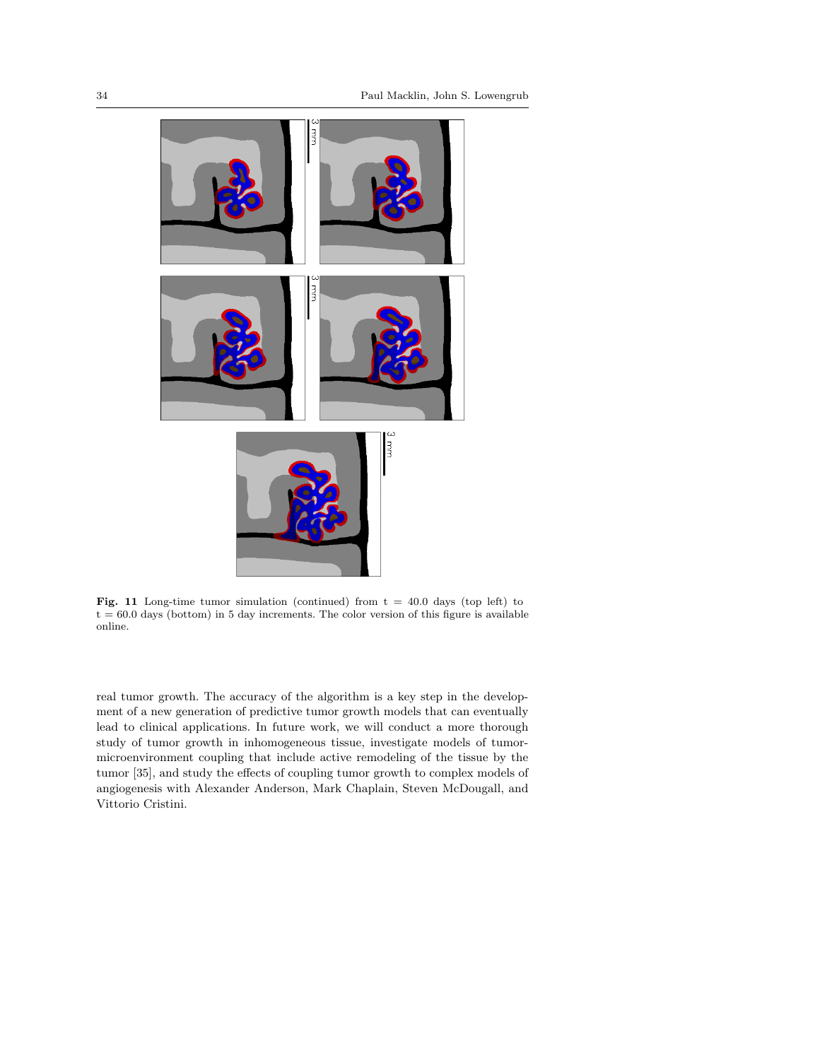

Fig. 11 Long-time tumor simulation (continued) from  $t = 40.0$  days (top left) to  $t = 60.0$  days (bottom) in 5 day increments. The color version of this figure is available online.

real tumor growth. The accuracy of the algorithm is a key step in the development of a new generation of predictive tumor growth models that can eventually lead to clinical applications. In future work, we will conduct a more thorough study of tumor growth in inhomogeneous tissue, investigate models of tumormicroenvironment coupling that include active remodeling of the tissue by the tumor [35], and study the effects of coupling tumor growth to complex models of angiogenesis with Alexander Anderson, Mark Chaplain, Steven McDougall, and Vittorio Cristini.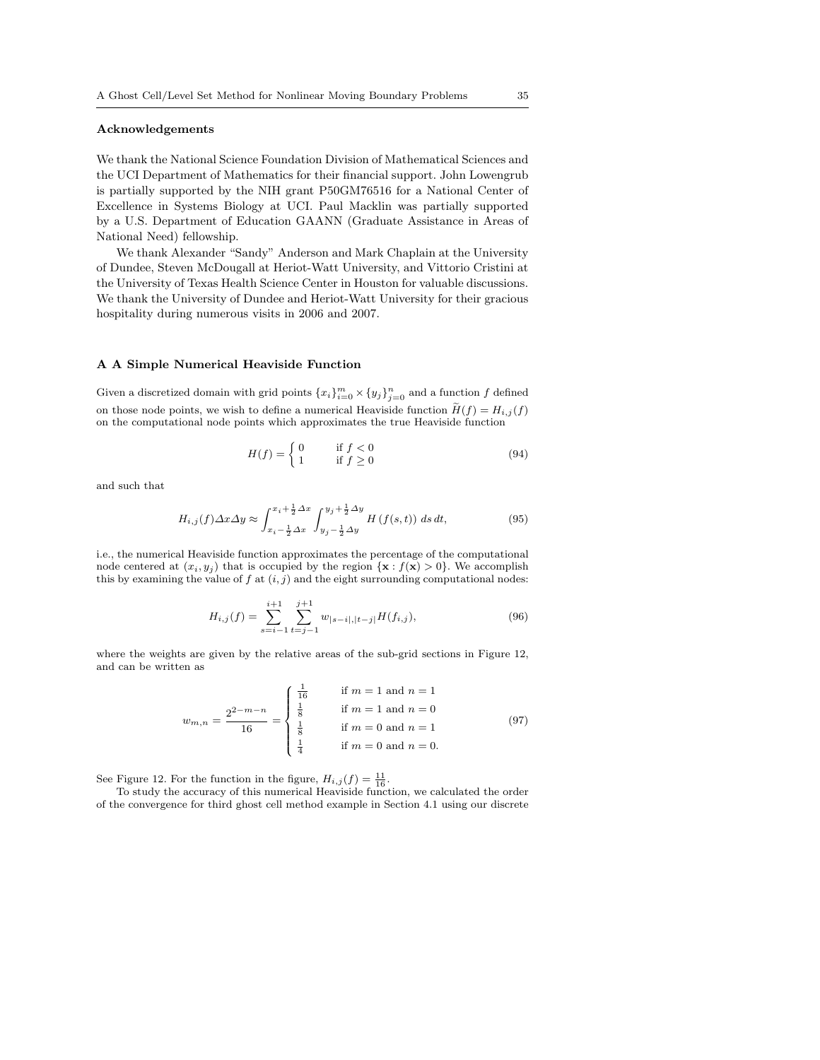# Acknowledgements

We thank the National Science Foundation Division of Mathematical Sciences and the UCI Department of Mathematics for their financial support. John Lowengrub is partially supported by the NIH grant P50GM76516 for a National Center of Excellence in Systems Biology at UCI. Paul Macklin was partially supported by a U.S. Department of Education GAANN (Graduate Assistance in Areas of National Need) fellowship.

We thank Alexander "Sandy" Anderson and Mark Chaplain at the University of Dundee, Steven McDougall at Heriot-Watt University, and Vittorio Cristini at the University of Texas Health Science Center in Houston for valuable discussions. We thank the University of Dundee and Heriot-Watt University for their gracious hospitality during numerous visits in 2006 and 2007.

#### A A Simple Numerical Heaviside Function

Given a discretized domain with grid points  ${x_i}_{i=0}^m \times {y_j}_{j=0}^n$  and a function f defined on those node points, we wish to define a numerical Heaviside function  $H(f) = H_{i,j}(f)$ on the computational node points which approximates the true Heaviside function

$$
H(f) = \begin{cases} 0 & \text{if } f < 0\\ 1 & \text{if } f \ge 0 \end{cases}
$$
 (94)

and such that

$$
H_{i,j}(f)\Delta x \Delta y \approx \int_{x_i - \frac{1}{2}\Delta x}^{x_i + \frac{1}{2}\Delta x} \int_{y_j - \frac{1}{2}\Delta y}^{y_j + \frac{1}{2}\Delta y} H\left(f(s, t)\right) ds dt,\tag{95}
$$

i.e., the numerical Heaviside function approximates the percentage of the computational node centered at  $(x_i, y_j)$  that is occupied by the region  $\{x : f(x) > 0\}$ . We accomplish this by examining the value of f at  $(i, j)$  and the eight surrounding computational nodes:

$$
H_{i,j}(f) = \sum_{s=i-1}^{i+1} \sum_{t=j-1}^{j+1} w_{|s-i|, |t-j|} H(f_{i,j}),
$$
\n(96)

where the weights are given by the relative areas of the sub-grid sections in Figure 12, and can be written as

$$
w_{m,n} = \frac{2^{2-m-n}}{16} = \begin{cases} \frac{1}{16} & \text{if } m = 1 \text{ and } n = 1\\ \frac{1}{8} & \text{if } m = 1 \text{ and } n = 0\\ \frac{1}{8} & \text{if } m = 0 \text{ and } n = 1\\ \frac{1}{4} & \text{if } m = 0 \text{ and } n = 0. \end{cases} \tag{97}
$$

See Figure 12. For the function in the figure,  $H_{i,j}(f) = \frac{11}{16}$ .<br>To study the accuracy of this numerical Heaviside function, we calculated the order of the convergence for third ghost cell method example in Section 4.1 using our discrete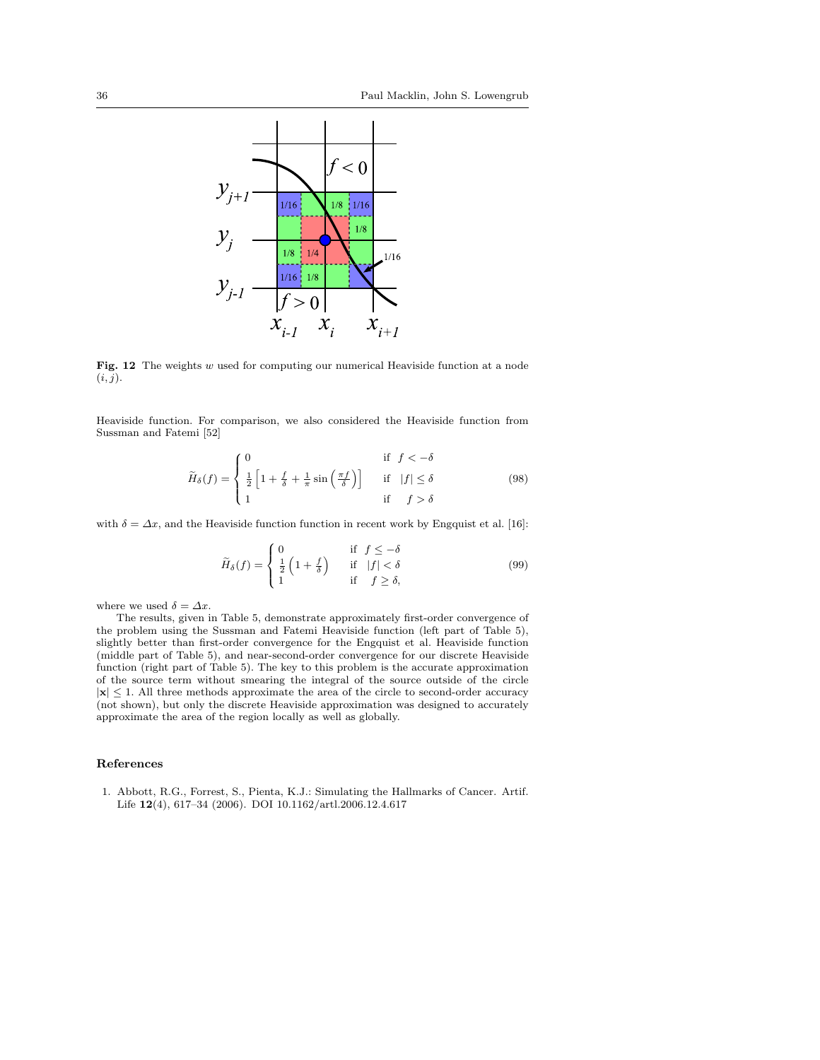

Fig. 12 The weights w used for computing our numerical Heaviside function at a node  $(i, j)$ .

Heaviside function. For comparison, we also considered the Heaviside function from Sussman and Fatemi [52]

$$
\widetilde{H}_{\delta}(f) = \begin{cases}\n0 & \text{if } f < -\delta \\
\frac{1}{2} \left[ 1 + \frac{f}{\delta} + \frac{1}{\pi} \sin\left(\frac{\pi f}{\delta}\right) \right] & \text{if } |f| \le \delta \\
1 & \text{if } f > \delta\n\end{cases}
$$
\n(98)

with  $\delta = \Delta x$ , and the Heaviside function function in recent work by Engquist et al. [16]:

$$
\widetilde{H}_{\delta}(f) = \begin{cases}\n0 & \text{if } f \leq -\delta \\
\frac{1}{2} \left(1 + \frac{f}{\delta}\right) & \text{if } |f| < \delta \\
1 & \text{if } f \geq \delta,\n\end{cases}
$$
\n(99)

where we used  $\delta=\varDelta x.$ 

The results, given in Table 5, demonstrate approximately first-order convergence of the problem using the Sussman and Fatemi Heaviside function (left part of Table 5), slightly better than first-order convergence for the Engquist et al. Heaviside function (middle part of Table 5), and near-second-order convergence for our discrete Heaviside function (right part of Table 5). The key to this problem is the accurate approximation of the source term without smearing the integral of the source outside of the circle  $|x| \leq 1$ . All three methods approximate the area of the circle to second-order accuracy (not shown), but only the discrete Heaviside approximation was designed to accurately approximate the area of the region locally as well as globally.

# References

1. Abbott, R.G., Forrest, S., Pienta, K.J.: Simulating the Hallmarks of Cancer. Artif. Life 12(4), 617–34 (2006). DOI 10.1162/artl.2006.12.4.617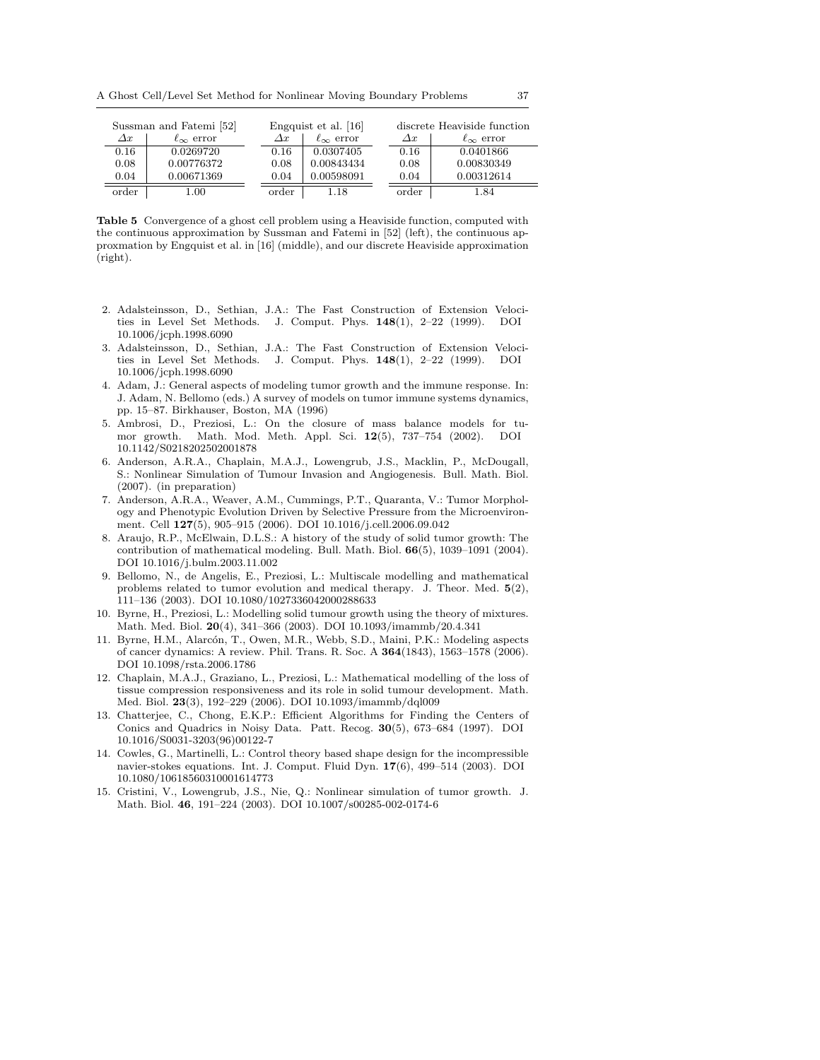A Ghost Cell/Level Set Method for Nonlinear Moving Boundary Problems 37

 $\equiv$ 

| Sussman and Fatemi [52] |                       | Engquist et al. [16] |                       |  | discrete Heaviside function |                       |  |
|-------------------------|-----------------------|----------------------|-----------------------|--|-----------------------------|-----------------------|--|
| $\Delta x$              | $\ell_{\infty}$ error | $\varDelta x$        | $\ell_{\infty}$ error |  | $\Delta x$                  | $\ell_{\infty}$ error |  |
| 0.16                    | 0.0269720             | 0.16                 | 0.0307405             |  | 0.16                        | 0.0401866             |  |
| 0.08                    | 0.00776372            | 0.08                 | 0.00843434            |  | 0.08                        | 0.00830349            |  |
| 0.04                    | 0.00671369            | 0.04                 | 0.00598091            |  | 0.04                        | 0.00312614            |  |
| order                   | 1.00                  | order                | 1.18                  |  | order                       | -.84                  |  |

Table 5 Convergence of a ghost cell problem using a Heaviside function, computed with the continuous approximation by Sussman and Fatemi in [52] (left), the continuous approxmation by Engquist et al. in [16] (middle), and our discrete Heaviside approximation (right).

- 2. Adalsteinsson, D., Sethian, J.A.: The Fast Construction of Extension Velocities in Level Set Methods. J. Comput. Phys. 148(1), 2–22 (1999). DOI 10.1006/jcph.1998.6090
- 3. Adalsteinsson, D., Sethian, J.A.: The Fast Construction of Extension Velocities in Level Set Methods. J. Comput. Phys.  $148(1)$ ,  $2-22$  (1999). DOI 10.1006/jcph.1998.6090
- 4. Adam, J.: General aspects of modeling tumor growth and the immune response. In: J. Adam, N. Bellomo (eds.) A survey of models on tumor immune systems dynamics, pp. 15–87. Birkhauser, Boston, MA (1996)
- 5. Ambrosi, D., Preziosi, L.: On the closure of mass balance models for tumor growth. Math. Mod. Meth. Appl. Sci. 12(5), 737–754 (2002). DOI 10.1142/S0218202502001878
- 6. Anderson, A.R.A., Chaplain, M.A.J., Lowengrub, J.S., Macklin, P., McDougall, S.: Nonlinear Simulation of Tumour Invasion and Angiogenesis. Bull. Math. Biol. (2007). (in preparation)
- 7. Anderson, A.R.A., Weaver, A.M., Cummings, P.T., Quaranta, V.: Tumor Morphology and Phenotypic Evolution Driven by Selective Pressure from the Microenvironment. Cell 127(5), 905–915 (2006). DOI 10.1016/j.cell.2006.09.042
- 8. Araujo, R.P., McElwain, D.L.S.: A history of the study of solid tumor growth: The contribution of mathematical modeling. Bull. Math. Biol.  $66(5)$ , 1039-1091 (2004). DOI 10.1016/j.bulm.2003.11.002
- 9. Bellomo, N., de Angelis, E., Preziosi, L.: Multiscale modelling and mathematical problems related to tumor evolution and medical therapy. J. Theor. Med.  $5(2)$ , 111–136 (2003). DOI 10.1080/1027336042000288633
- 10. Byrne, H., Preziosi, L.: Modelling solid tumour growth using the theory of mixtures. Math. Med. Biol. 20(4), 341–366 (2003). DOI 10.1093/imammb/20.4.341
- 11. Byrne, H.M., Alarcón, T., Owen, M.R., Webb, S.D., Maini, P.K.: Modeling aspects of cancer dynamics: A review. Phil. Trans. R. Soc. A 364(1843), 1563–1578 (2006). DOI 10.1098/rsta.2006.1786
- 12. Chaplain, M.A.J., Graziano, L., Preziosi, L.: Mathematical modelling of the loss of tissue compression responsiveness and its role in solid tumour development. Math. Med. Biol. 23(3), 192–229 (2006). DOI 10.1093/imammb/dql009
- 13. Chatterjee, C., Chong, E.K.P.: Efficient Algorithms for Finding the Centers of Conics and Quadrics in Noisy Data. Patt. Recog. 30(5), 673–684 (1997). DOI 10.1016/S0031-3203(96)00122-7
- 14. Cowles, G., Martinelli, L.: Control theory based shape design for the incompressible navier-stokes equations. Int. J. Comput. Fluid Dyn. 17(6), 499–514 (2003). DOI 10.1080/10618560310001614773
- 15. Cristini, V., Lowengrub, J.S., Nie, Q.: Nonlinear simulation of tumor growth. J. Math. Biol. 46, 191–224 (2003). DOI 10.1007/s00285-002-0174-6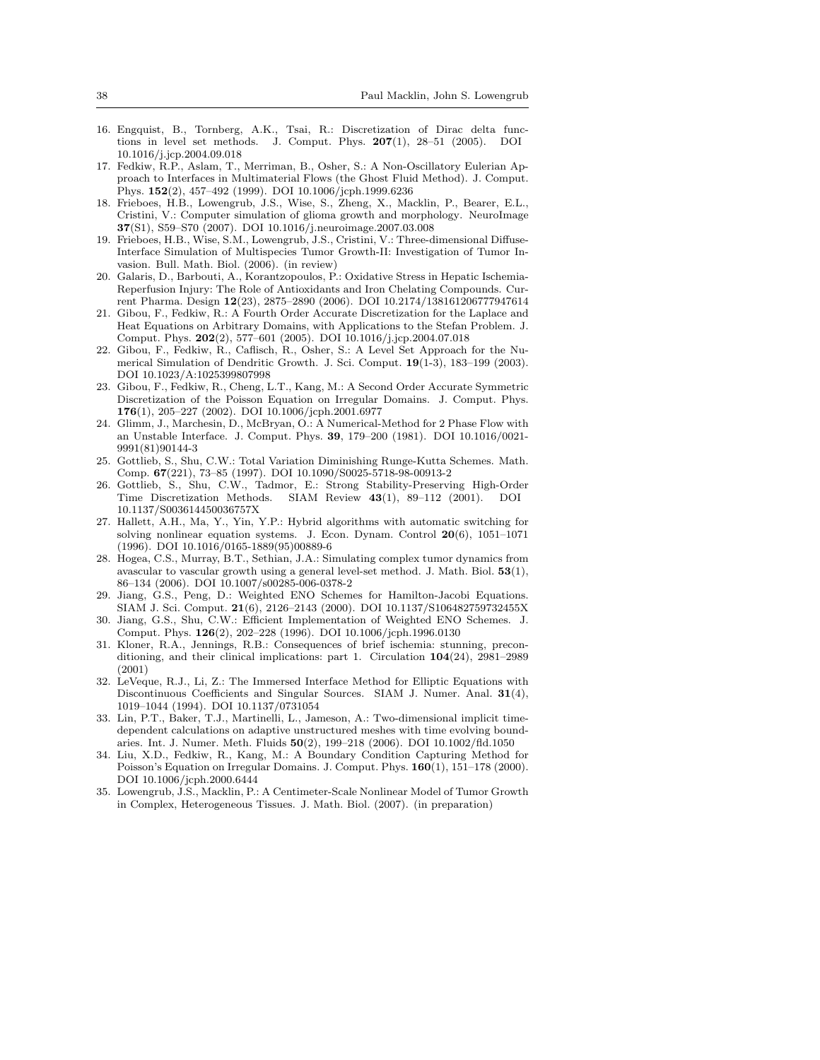- 16. Engquist, B., Tornberg, A.K., Tsai, R.: Discretization of Dirac delta functions in level set methods. J. Comput. Phys. 207(1), 28–51 (2005). DOI 10.1016/j.jcp.2004.09.018
- 17. Fedkiw, R.P., Aslam, T., Merriman, B., Osher, S.: A Non-Oscillatory Eulerian Approach to Interfaces in Multimaterial Flows (the Ghost Fluid Method). J. Comput. Phys. 152(2), 457–492 (1999). DOI 10.1006/jcph.1999.6236
- 18. Frieboes, H.B., Lowengrub, J.S., Wise, S., Zheng, X., Macklin, P., Bearer, E.L., Cristini, V.: Computer simulation of glioma growth and morphology. NeuroImage 37(S1), S59–S70 (2007). DOI 10.1016/j.neuroimage.2007.03.008
- 19. Frieboes, H.B., Wise, S.M., Lowengrub, J.S., Cristini, V.: Three-dimensional Diffuse-Interface Simulation of Multispecies Tumor Growth-II: Investigation of Tumor Invasion. Bull. Math. Biol. (2006). (in review)
- 20. Galaris, D., Barbouti, A., Korantzopoulos, P.: Oxidative Stress in Hepatic Ischemia-Reperfusion Injury: The Role of Antioxidants and Iron Chelating Compounds. Current Pharma. Design 12(23), 2875–2890 (2006). DOI 10.2174/138161206777947614
- 21. Gibou, F., Fedkiw, R.: A Fourth Order Accurate Discretization for the Laplace and Heat Equations on Arbitrary Domains, with Applications to the Stefan Problem. J. Comput. Phys. 202(2), 577–601 (2005). DOI 10.1016/j.jcp.2004.07.018
- 22. Gibou, F., Fedkiw, R., Caflisch, R., Osher, S.: A Level Set Approach for the Numerical Simulation of Dendritic Growth. J. Sci. Comput. 19(1-3), 183–199 (2003). DOI 10.1023/A:1025399807998
- 23. Gibou, F., Fedkiw, R., Cheng, L.T., Kang, M.: A Second Order Accurate Symmetric Discretization of the Poisson Equation on Irregular Domains. J. Comput. Phys. 176(1), 205–227 (2002). DOI 10.1006/jcph.2001.6977
- 24. Glimm, J., Marchesin, D., McBryan, O.: A Numerical-Method for 2 Phase Flow with an Unstable Interface. J. Comput. Phys. 39, 179–200 (1981). DOI 10.1016/0021- 9991(81)90144-3
- 25. Gottlieb, S., Shu, C.W.: Total Variation Diminishing Runge-Kutta Schemes. Math. Comp. 67(221), 73–85 (1997). DOI 10.1090/S0025-5718-98-00913-2
- 26. Gottlieb, S., Shu, C.W., Tadmor, E.: Strong Stability-Preserving High-Order Time Discretization Methods. SIAM Review 43(1), 89–112 (2001). DOI 10.1137/S003614450036757X
- 27. Hallett, A.H., Ma, Y., Yin, Y.P.: Hybrid algorithms with automatic switching for solving nonlinear equation systems. J. Econ. Dynam. Control 20(6), 1051–1071 (1996). DOI 10.1016/0165-1889(95)00889-6
- 28. Hogea, C.S., Murray, B.T., Sethian, J.A.: Simulating complex tumor dynamics from avascular to vascular growth using a general level-set method. J. Math. Biol.  $53(1)$ , 86–134 (2006). DOI 10.1007/s00285-006-0378-2
- 29. Jiang, G.S., Peng, D.: Weighted ENO Schemes for Hamilton-Jacobi Equations. SIAM J. Sci. Comput. 21(6), 2126–2143 (2000). DOI 10.1137/S106482759732455X
- 30. Jiang, G.S., Shu, C.W.: Efficient Implementation of Weighted ENO Schemes. J. Comput. Phys. 126(2), 202–228 (1996). DOI 10.1006/jcph.1996.0130
- 31. Kloner, R.A., Jennings, R.B.: Consequences of brief ischemia: stunning, preconditioning, and their clinical implications: part 1. Circulation 104(24), 2981–2989 (2001)
- 32. LeVeque, R.J., Li, Z.: The Immersed Interface Method for Elliptic Equations with Discontinuous Coefficients and Singular Sources. SIAM J. Numer. Anal. 31(4), 1019–1044 (1994). DOI 10.1137/0731054
- 33. Lin, P.T., Baker, T.J., Martinelli, L., Jameson, A.: Two-dimensional implicit timedependent calculations on adaptive unstructured meshes with time evolving boundaries. Int. J. Numer. Meth. Fluids 50(2), 199–218 (2006). DOI 10.1002/fld.1050
- 34. Liu, X.D., Fedkiw, R., Kang, M.: A Boundary Condition Capturing Method for Poisson's Equation on Irregular Domains. J. Comput. Phys. 160(1), 151–178 (2000). DOI 10.1006/jcph.2000.6444
- 35. Lowengrub, J.S., Macklin, P.: A Centimeter-Scale Nonlinear Model of Tumor Growth in Complex, Heterogeneous Tissues. J. Math. Biol. (2007). (in preparation)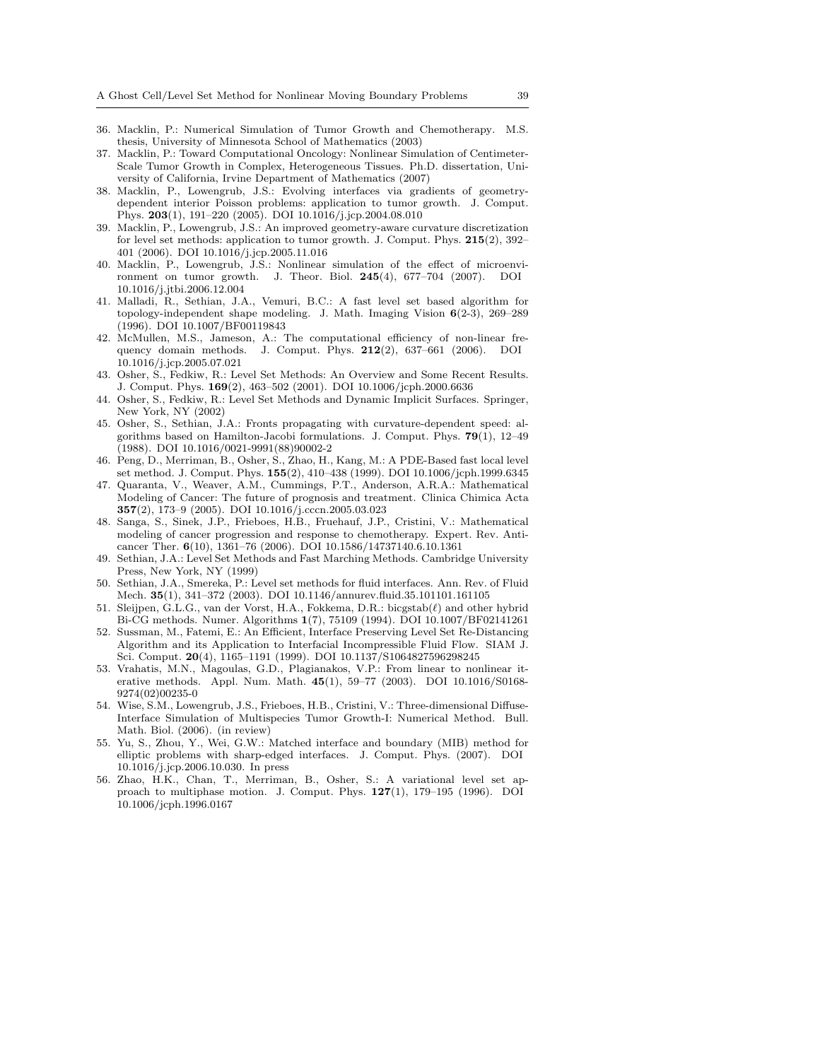- 36. Macklin, P.: Numerical Simulation of Tumor Growth and Chemotherapy. M.S. thesis, University of Minnesota School of Mathematics (2003)
- 37. Macklin, P.: Toward Computational Oncology: Nonlinear Simulation of Centimeter-Scale Tumor Growth in Complex, Heterogeneous Tissues. Ph.D. dissertation, University of California, Irvine Department of Mathematics (2007)
- 38. Macklin, P., Lowengrub, J.S.: Evolving interfaces via gradients of geometrydependent interior Poisson problems: application to tumor growth. J. Comput. Phys. 203(1), 191–220 (2005). DOI 10.1016/j.jcp.2004.08.010
- 39. Macklin, P., Lowengrub, J.S.: An improved geometry-aware curvature discretization for level set methods: application to tumor growth. J. Comput. Phys.  $215(2)$ ,  $392-$ 401 (2006). DOI 10.1016/j.jcp.2005.11.016
- 40. Macklin, P., Lowengrub, J.S.: Nonlinear simulation of the effect of microenvironment on tumor growth. J. Theor. Biol. 245(4), 677–704 (2007). DOI 10.1016/j.jtbi.2006.12.004
- 41. Malladi, R., Sethian, J.A., Vemuri, B.C.: A fast level set based algorithm for topology-independent shape modeling. J. Math. Imaging Vision 6(2-3), 269–289 (1996). DOI 10.1007/BF00119843
- 42. McMullen, M.S., Jameson, A.: The computational efficiency of non-linear frequency domain methods. J. Comput. Phys. 212(2), 637–661 (2006). DOI 10.1016/j.jcp.2005.07.021
- 43. Osher, S., Fedkiw, R.: Level Set Methods: An Overview and Some Recent Results. J. Comput. Phys. 169(2), 463–502 (2001). DOI 10.1006/jcph.2000.6636
- 44. Osher, S., Fedkiw, R.: Level Set Methods and Dynamic Implicit Surfaces. Springer, New York, NY (2002)
- 45. Osher, S., Sethian, J.A.: Fronts propagating with curvature-dependent speed: algorithms based on Hamilton-Jacobi formulations. J. Comput. Phys.  $79(1)$ , 12-49 (1988). DOI 10.1016/0021-9991(88)90002-2
- 46. Peng, D., Merriman, B., Osher, S., Zhao, H., Kang, M.: A PDE-Based fast local level set method. J. Comput. Phys. 155(2), 410–438 (1999). DOI 10.1006/jcph.1999.6345
- 47. Quaranta, V., Weaver, A.M., Cummings, P.T., Anderson, A.R.A.: Mathematical Modeling of Cancer: The future of prognosis and treatment. Clinica Chimica Acta 357(2), 173–9 (2005). DOI 10.1016/j.cccn.2005.03.023
- 48. Sanga, S., Sinek, J.P., Frieboes, H.B., Fruehauf, J.P., Cristini, V.: Mathematical modeling of cancer progression and response to chemotherapy. Expert. Rev. Anticancer Ther. 6(10), 1361–76 (2006). DOI 10.1586/14737140.6.10.1361
- 49. Sethian, J.A.: Level Set Methods and Fast Marching Methods. Cambridge University Press, New York, NY (1999)
- 50. Sethian, J.A., Smereka, P.: Level set methods for fluid interfaces. Ann. Rev. of Fluid Mech. 35(1), 341–372 (2003). DOI 10.1146/annurev.fluid.35.101101.161105
- 51. Sleijpen, G.L.G., van der Vorst, H.A., Fokkema, D.R.: bicgstab $(\ell)$  and other hybrid Bi-CG methods. Numer. Algorithms 1(7), 75109 (1994). DOI 10.1007/BF02141261
- 52. Sussman, M., Fatemi, E.: An Efficient, Interface Preserving Level Set Re-Distancing Algorithm and its Application to Interfacial Incompressible Fluid Flow. SIAM J. Sci. Comput. 20(4), 1165–1191 (1999). DOI 10.1137/S1064827596298245
- 53. Vrahatis, M.N., Magoulas, G.D., Plagianakos, V.P.: From linear to nonlinear iterative methods. Appl. Num. Math. 45(1), 59–77 (2003). DOI 10.1016/S0168- 9274(02)00235-0
- 54. Wise, S.M., Lowengrub, J.S., Frieboes, H.B., Cristini, V.: Three-dimensional Diffuse-Interface Simulation of Multispecies Tumor Growth-I: Numerical Method. Bull. Math. Biol. (2006). (in review)
- 55. Yu, S., Zhou, Y., Wei, G.W.: Matched interface and boundary (MIB) method for elliptic problems with sharp-edged interfaces. J. Comput. Phys. (2007). DOI 10.1016/j.jcp.2006.10.030. In press
- 56. Zhao, H.K., Chan, T., Merriman, B., Osher, S.: A variational level set approach to multiphase motion. J. Comput. Phys.  $127(1)$ ,  $179-195$  (1996). DOI 10.1006/jcph.1996.0167